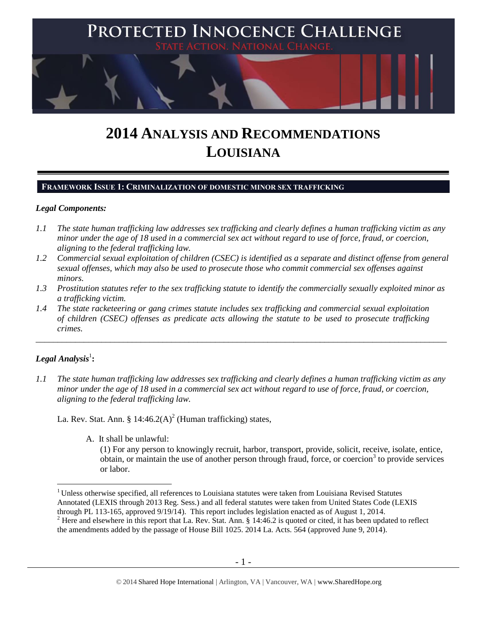

# **2014 ANALYSIS AND RECOMMENDATIONS LOUISIANA**

## **FRAMEWORK ISSUE 1: CRIMINALIZATION OF DOMESTIC MINOR SEX TRAFFICKING**

## *Legal Components:*

- *1.1 The state human trafficking law addresses sex trafficking and clearly defines a human trafficking victim as any minor under the age of 18 used in a commercial sex act without regard to use of force, fraud, or coercion, aligning to the federal trafficking law.*
- *1.2 Commercial sexual exploitation of children (CSEC) is identified as a separate and distinct offense from general sexual offenses, which may also be used to prosecute those who commit commercial sex offenses against minors.*
- *1.3 Prostitution statutes refer to the sex trafficking statute to identify the commercially sexually exploited minor as a trafficking victim.*

\_\_\_\_\_\_\_\_\_\_\_\_\_\_\_\_\_\_\_\_\_\_\_\_\_\_\_\_\_\_\_\_\_\_\_\_\_\_\_\_\_\_\_\_\_\_\_\_\_\_\_\_\_\_\_\_\_\_\_\_\_\_\_\_\_\_\_\_\_\_\_\_\_\_\_\_\_\_\_\_\_\_\_\_\_\_\_\_\_\_\_\_\_\_

*1.4 The state racketeering or gang crimes statute includes sex trafficking and commercial sexual exploitation of children (CSEC) offenses as predicate acts allowing the statute to be used to prosecute trafficking crimes.* 

# $\boldsymbol{Legal}$  Analysis $^1$ :

 $\overline{a}$ 

*1.1 The state human trafficking law addresses sex trafficking and clearly defines a human trafficking victim as any minor under the age of 18 used in a commercial sex act without regard to use of force, fraud, or coercion, aligning to the federal trafficking law.*

La. Rev. Stat. Ann. § 14:46.2(A)<sup>2</sup> (Human trafficking) states,

A. It shall be unlawful:

<span id="page-0-1"></span><span id="page-0-0"></span>(1) For any person to knowingly recruit, harbor, transport, provide, solicit, receive, isolate, entice, obtain, or maintain the use of another person through fraud, force, or coercion<sup>3</sup> to provide services or labor.

<sup>&</sup>lt;sup>1</sup> Unless otherwise specified, all references to Louisiana statutes were taken from Louisiana Revised Statutes Annotated (LEXIS through 2013 Reg. Sess.) and all federal statutes were taken from United States Code (LEXIS through PL 113-165, approved 9/19/14). This report includes legislation enacted as of August 1, 2014.

<sup>&</sup>lt;sup>2</sup> Here and elsewhere in this report that La. Rev. Stat. Ann. § 14:46.2 is quoted or cited, it has been updated to reflect the amendments added by the passage of House Bill 1025. 2014 La. Acts. 564 (approved June 9, 2014).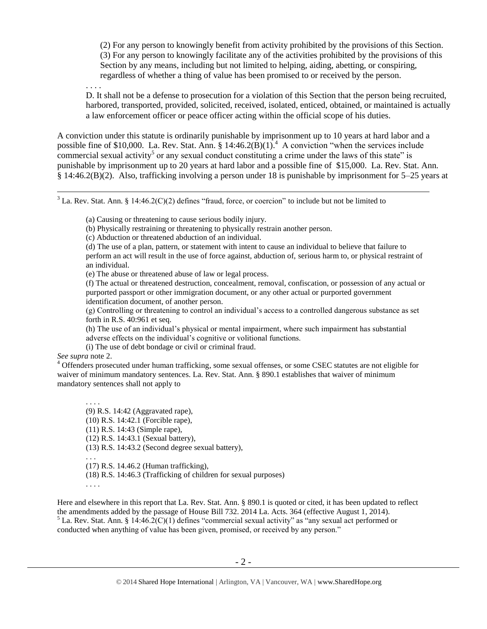(2) For any person to knowingly benefit from activity prohibited by the provisions of this Section. (3) For any person to knowingly facilitate any of the activities prohibited by the provisions of this Section by any means, including but not limited to helping, aiding, abetting, or conspiring, regardless of whether a thing of value has been promised to or received by the person.

. . . .

 $\overline{a}$ 

<span id="page-1-0"></span>D. It shall not be a defense to prosecution for a violation of this Section that the person being recruited, harbored, transported, provided, solicited, received, isolated, enticed, obtained, or maintained is actually a law enforcement officer or peace officer acting within the official scope of his duties.

A conviction under this statute is ordinarily punishable by imprisonment up to 10 years at hard labor and a possible fine of \$10,000. La. Rev. Stat. Ann.  $\S 14:46.2(B)(1)$ <sup>4</sup> A conviction "when the services include commercial sexual activity<sup>5</sup> or any sexual conduct constituting a crime under the laws of this state" is punishable by imprisonment up to 20 years at hard labor and a possible fine of \$15,000. La. Rev. Stat. Ann. § 14:46.2(B)(2). Also, trafficking involving a person under 18 is punishable by imprisonment for 5–25 years at

 $3$  La. Rev. Stat. Ann. § 14:46.2(C)(2) defines "fraud, force, or coercion" to include but not be limited to

(a) Causing or threatening to cause serious bodily injury.

- (b) Physically restraining or threatening to physically restrain another person.
- (c) Abduction or threatened abduction of an individual.
- (d) The use of a plan, pattern, or statement with intent to cause an individual to believe that failure to perform an act will result in the use of force against, abduction of, serious harm to, or physical restraint of an individual.

(e) The abuse or threatened abuse of law or legal process.

(f) The actual or threatened destruction, concealment, removal, confiscation, or possession of any actual or purported passport or other immigration document, or any other actual or purported government identification document, of another person.

(g) Controlling or threatening to control an individual's access to a controlled dangerous substance as set forth in R.S. 40:961 et seq.

(h) The use of an individual's physical or mental impairment, where such impairment has substantial adverse effects on the individual's cognitive or volitional functions.

(i) The use of debt bondage or civil or criminal fraud.

*See supra* note [2.](#page-0-0)

<sup>4</sup> Offenders prosecuted under human trafficking, some sexual offenses, or some CSEC statutes are not eligible for waiver of minimum mandatory sentences. La. Rev. Stat. Ann. § 890.1 establishes that waiver of minimum mandatory sentences shall not apply to

. . . . (9) R.S. 14:42 (Aggravated rape), (10) R.S. 14:42.1 (Forcible rape), (11) R.S. 14:43 (Simple rape), (12) R.S. 14:43.1 (Sexual battery), (13) R.S. 14:43.2 (Second degree sexual battery), . . . (17) R.S. 14.46.2 (Human trafficking),

(18) R.S. 14:46.3 (Trafficking of children for sexual purposes)

. . . .

Here and elsewhere in this report that La. Rev. Stat. Ann. § 890.1 is quoted or cited, it has been updated to reflect the amendments added by the passage of House Bill 732. 2014 La. Acts. 364 (effective August 1, 2014).  $<sup>5</sup>$  La. Rev. Stat. Ann. § 14:46.2(C)(1) defines "commercial sexual activity" as "any sexual act performed or</sup> conducted when anything of value has been given, promised, or received by any person."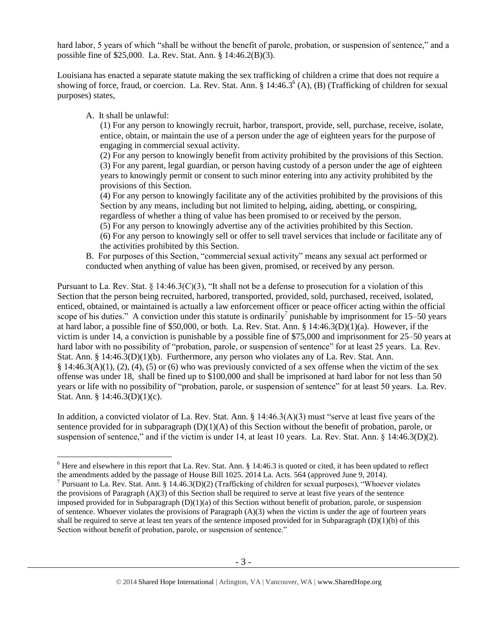hard labor, 5 years of which "shall be without the benefit of parole, probation, or suspension of sentence," and a possible fine of \$25,000. La. Rev. Stat. Ann. § 14:46.2(B)(3).

Louisiana has enacted a separate statute making the sex trafficking of children a crime that does not require a showing of force, fraud, or coercion. La. Rev. Stat. Ann. § 14:46.3<sup>6</sup> (A), (B) (Trafficking of children for sexual purposes) states,

A. It shall be unlawful:

 $\overline{a}$ 

<span id="page-2-0"></span>(1) For any person to knowingly recruit, harbor, transport, provide, sell, purchase, receive, isolate, entice, obtain, or maintain the use of a person under the age of eighteen years for the purpose of engaging in commercial sexual activity.

(2) For any person to knowingly benefit from activity prohibited by the provisions of this Section. (3) For any parent, legal guardian, or person having custody of a person under the age of eighteen years to knowingly permit or consent to such minor entering into any activity prohibited by the provisions of this Section.

(4) For any person to knowingly facilitate any of the activities prohibited by the provisions of this Section by any means, including but not limited to helping, aiding, abetting, or conspiring, regardless of whether a thing of value has been promised to or received by the person.

- (5) For any person to knowingly advertise any of the activities prohibited by this Section.
- (6) For any person to knowingly sell or offer to sell travel services that include or facilitate any of the activities prohibited by this Section.
- B. For purposes of this Section, "commercial sexual activity" means any sexual act performed or conducted when anything of value has been given, promised, or received by any person.

Pursuant to La. Rev. Stat. § 14:46.3(C)(3), "It shall not be a defense to prosecution for a violation of this Section that the person being recruited, harbored, transported, provided, sold, purchased, received, isolated, enticed, obtained, or maintained is actually a law enforcement officer or peace officer acting within the official scope of his duties." A conviction under this statute is ordinarily<sup>7</sup> punishable by imprisonment for 15–50 years at hard labor, a possible fine of \$50,000, or both. La. Rev. Stat. Ann. §  $14:46.3(D)(1)(a)$ . However, if the victim is under 14, a conviction is punishable by a possible fine of \$75,000 and imprisonment for 25–50 years at hard labor with no possibility of "probation, parole, or suspension of sentence" for at least 25 years. La. Rev. Stat. Ann. § 14:46.3(D)(1)(b). Furthermore, any person who violates any of La. Rev. Stat. Ann.  $§$  14:46.3(A)(1), (2), (4), (5) or (6) who was previously convicted of a sex offense when the victim of the sex offense was under 18, shall be fined up to \$100,000 and shall be imprisoned at hard labor for not less than 50 years or life with no possibility of "probation, parole, or suspension of sentence" for at least 50 years. La. Rev. Stat. Ann. § 14:46.3(D)(1)(c).

In addition, a convicted violator of La. Rev. Stat. Ann. § 14:46.3(A)(3) must "serve at least five years of the sentence provided for in subparagraph (D)(1)(A) of this Section without the benefit of probation, parole, or suspension of sentence," and if the victim is under 14, at least 10 years. La. Rev. Stat. Ann. § 14:46.3(D)(2).

 $6$  Here and elsewhere in this report that La. Rev. Stat. Ann.  $\S$  14:46.3 is quoted or cited, it has been updated to reflect the amendments added by the passage of House Bill 1025. 2014 La. Acts. 564 (approved June 9, 2014).

<sup>&</sup>lt;sup>7</sup> Pursuant to La. Rev. Stat. Ann. § 14.46.3(D)(2) (Trafficking of children for sexual purposes), "Whoever violates the provisions of Paragraph (A)(3) of this Section shall be required to serve at least five years of the sentence imposed provided for in Subparagraph (D)(1)(a) of this Section without benefit of probation, parole, or suspension of sentence. Whoever violates the provisions of Paragraph  $(A)(3)$  when the victim is under the age of fourteen years shall be required to serve at least ten years of the sentence imposed provided for in Subparagraph  $(D)(1)(b)$  of this Section without benefit of probation, parole, or suspension of sentence."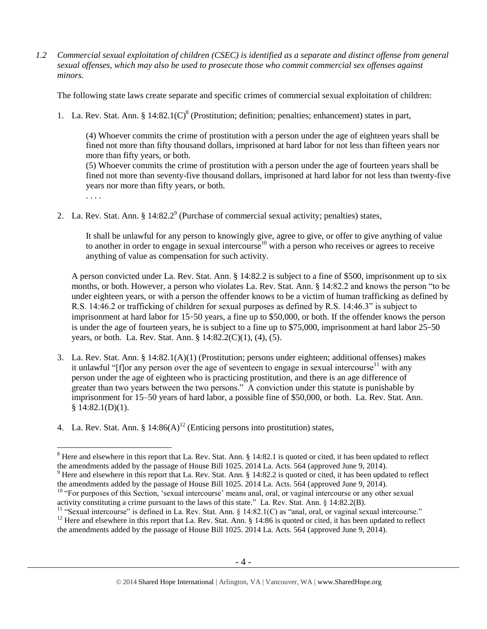*1.2 Commercial sexual exploitation of children (CSEC) is identified as a separate and distinct offense from general sexual offenses, which may also be used to prosecute those who commit commercial sex offenses against minors.*

The following state laws create separate and specific crimes of commercial sexual exploitation of children:

1. La. Rev. Stat. Ann. §  $14:82.1(C)^8$  (Prostitution; definition; penalties; enhancement) states in part,

<span id="page-3-0"></span>(4) Whoever commits the crime of prostitution with a person under the age of eighteen years shall be fined not more than fifty thousand dollars, imprisoned at hard labor for not less than fifteen years nor more than fifty years, or both.

(5) Whoever commits the crime of prostitution with a person under the age of fourteen years shall be fined not more than seventy-five thousand dollars, imprisoned at hard labor for not less than twenty-five years nor more than fifty years, or both.

<span id="page-3-1"></span>. . . .

 $\overline{a}$ 

2. La. Rev. Stat. Ann. §  $14:82.2^9$  (Purchase of commercial sexual activity; penalties) states,

It shall be unlawful for any person to knowingly give, agree to give, or offer to give anything of value to another in order to engage in sexual intercourse<sup>10</sup> with a person who receives or agrees to receive anything of value as compensation for such activity.

A person convicted under La. Rev. Stat. Ann. § 14:82.2 is subject to a fine of \$500, imprisonment up to six months, or both. However, a person who violates La. Rev. Stat. Ann. § 14:82.2 and knows the person "to be under eighteen years, or with a person the offender knows to be a victim of human trafficking as defined by R.S. 14:46.2 or trafficking of children for sexual purposes as defined by R.S. 14:46.3" is subject to imprisonment at hard labor for 15–50 years, a fine up to \$50,000, or both. If the offender knows the person is under the age of fourteen years, he is subject to a fine up to \$75,000, imprisonment at hard labor 25–50 years, or both. La. Rev. Stat. Ann. § 14:82.2(C)(1), (4), (5).

- 3. La. Rev. Stat. Ann. § 14:82.1(A)(1) (Prostitution; persons under eighteen; additional offenses) makes it unlawful " $[f]$ or any person over the age of seventeen to engage in sexual intercourse<sup>11</sup> with any person under the age of eighteen who is practicing prostitution, and there is an age difference of greater than two years between the two persons." A conviction under this statute is punishable by imprisonment for 15–50 years of hard labor, a possible fine of \$50,000, or both. La. Rev. Stat. Ann. § 14:82.1(D)(1).
- 4. La. Rev. Stat. Ann. §  $14:86(A)^{12}$  (Enticing persons into prostitution) states,

<sup>&</sup>lt;sup>8</sup> Here and elsewhere in this report that La. Rev. Stat. Ann. § 14:82.1 is quoted or cited, it has been updated to reflect the amendments added by the passage of House Bill 1025. 2014 La. Acts. 564 (approved June 9, 2014).

 $9$  Here and elsewhere in this report that La. Rev. Stat. Ann.  $\S$  14:82.2 is quoted or cited, it has been updated to reflect the amendments added by the passage of House Bill 1025. 2014 La. Acts. 564 (approved June 9, 2014).

<sup>&</sup>lt;sup>10</sup> "For purposes of this Section, 'sexual intercourse' means anal, oral, or vaginal intercourse or any other sexual activity constituting a crime pursuant to the laws of this state." La. Rev. Stat. Ann. § 14:82.2(B).

<sup>&</sup>lt;sup>11</sup> "Sexual intercourse" is defined in La. Rev. Stat. Ann. § 14:82.1(C) as "anal, oral, or vaginal sexual intercourse."  $12$  Here and elsewhere in this report that La. Rev. Stat. Ann. § 14:86 is quoted or cited, it has been updated to reflect

the amendments added by the passage of House Bill 1025. 2014 La. Acts. 564 (approved June 9, 2014).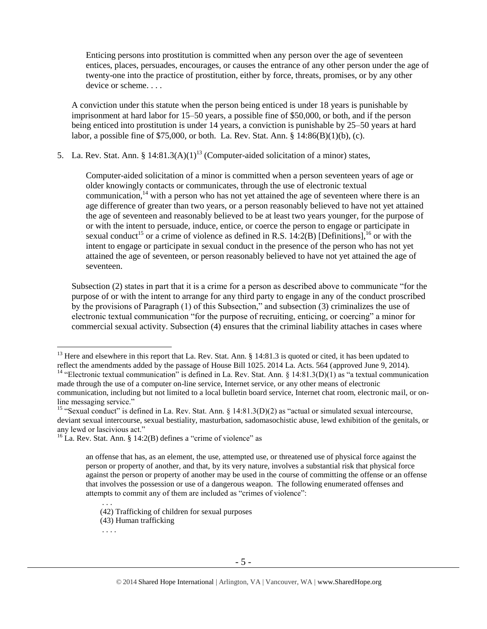Enticing persons into prostitution is committed when any person over the age of seventeen entices, places, persuades, encourages, or causes the entrance of any other person under the age of twenty-one into the practice of prostitution, either by force, threats, promises, or by any other device or scheme. . . .

A conviction under this statute when the person being enticed is under 18 years is punishable by imprisonment at hard labor for 15–50 years, a possible fine of \$50,000, or both, and if the person being enticed into prostitution is under 14 years, a conviction is punishable by 25–50 years at hard labor, a possible fine of \$75,000, or both. La. Rev. Stat. Ann. § 14:86(B)(1)(b), (c).

5. La. Rev. Stat. Ann. § 14:81.3(A)(1)<sup>13</sup> (Computer-aided solicitation of a minor) states,

<span id="page-4-3"></span><span id="page-4-2"></span><span id="page-4-1"></span><span id="page-4-0"></span>Computer-aided solicitation of a minor is committed when a person seventeen years of age or older knowingly contacts or communicates, through the use of electronic textual communication,  $14$  with a person who has not yet attained the age of seventeen where there is an age difference of greater than two years, or a person reasonably believed to have not yet attained the age of seventeen and reasonably believed to be at least two years younger, for the purpose of or with the intent to persuade, induce, entice, or coerce the person to engage or participate in sexual conduct<sup>15</sup> or a crime of violence as defined in R.S. [14:2\(B\)](https://www.lexis.com/research/buttonTFLink?_m=cab6dd21dd29306a3d10703ad9288f43&_xfercite=%3ccite%20cc%3d%22USA%22%3e%3c%21%5bCDATA%5bLa.%20R.S.%2014%3a81.3%5d%5d%3e%3c%2fcite%3e&_butType=4&_butStat=0&_butNum=2&_butInline=1&_butinfo=LACODE%2014%3a2&_fmtstr=FULL&docnum=1&_startdoc=1&wchp=dGLbVzV-zSkAA&_md5=d31e1e2fad189a60cd471ae8696c87cd) [Definitions], <sup>16</sup> or with the intent to engage or participate in sexual conduct in the presence of the person who has not yet attained the age of seventeen, or person reasonably believed to have not yet attained the age of seventeen.

Subsection (2) states in part that it is a crime for a person as described above to communicate "for the purpose of or with the intent to arrange for any third party to engage in any of the conduct proscribed by the provisions of Paragraph (1) of this Subsection," and subsection (3) criminalizes the use of electronic textual communication "for the purpose of recruiting, enticing, or coercing" a minor for commercial sexual activity. Subsection (4) ensures that the criminal liability attaches in cases where

. . .

 $13$  Here and elsewhere in this report that La. Rev. Stat. Ann. § 14:81.3 is quoted or cited, it has been updated to reflect the amendments added by the passage of House Bill 1025. 2014 La. Acts. 564 (approved June 9, 2014).

<sup>&</sup>lt;sup>14</sup> "Electronic textual communication" is defined in La. Rev. Stat. Ann. § 14:81.3(D)(1) as "a textual communication made through the use of a computer on-line service, Internet service, or any other means of electronic communication, including but not limited to a local bulletin board service, Internet chat room, electronic mail, or online messaging service."

<sup>&</sup>lt;sup>15</sup> "Sexual conduct" is defined in La. Rev. Stat. Ann. § 14:81.3(D)(2) as "actual or simulated sexual intercourse, deviant sexual intercourse, sexual bestiality, masturbation, sadomasochistic abuse, lewd exhibition of the genitals, or any lewd or lascivious act."

 $^{16}$  La. Rev. Stat. Ann. § 14:2(B) defines a "crime of violence" as

an offense that has, as an element, the use, attempted use, or threatened use of physical force against the person or property of another, and that, by its very nature, involves a substantial risk that physical force against the person or property of another may be used in the course of committing the offense or an offense that involves the possession or use of a dangerous weapon. The following enumerated offenses and attempts to commit any of them are included as "crimes of violence":

<sup>(42)</sup> Trafficking of children for sexual purposes

<sup>(43)</sup> Human trafficking

<sup>. . . .</sup>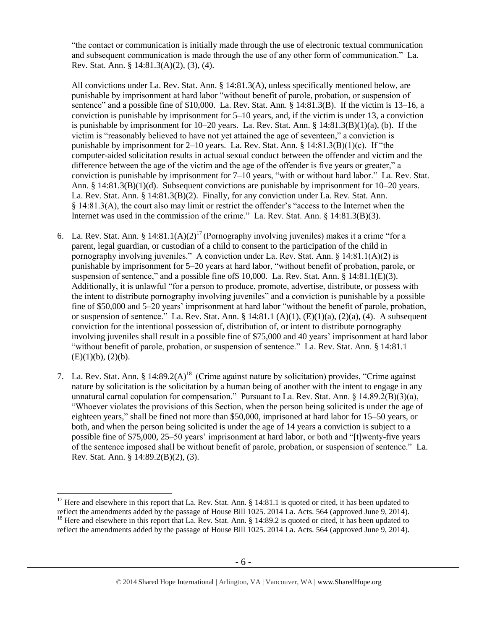"the contact or communication is initially made through the use of electronic textual communication and subsequent communication is made through the use of any other form of communication." La. Rev. Stat. Ann. § 14:81.3(A)(2), (3), (4).

All convictions under La. Rev. Stat. Ann. § 14:81.3(A), unless specifically mentioned below, are punishable by imprisonment at hard labor "without benefit of parole, probation, or suspension of sentence" and a possible fine of \$10,000. La. Rev. Stat. Ann. § 14:81.3(B). If the victim is 13–16, a conviction is punishable by imprisonment for 5–10 years, and, if the victim is under 13, a conviction is punishable by imprisonment for  $10-20$  years. La. Rev. Stat. Ann. §  $14:81.3(B)(1)(a)$ , (b). If the victim is "reasonably believed to have not yet attained the age of seventeen," a conviction is punishable by imprisonment for 2–10 years. La. Rev. Stat. Ann.  $\S 14:81.3(B)(1)(c)$ . If "the computer-aided solicitation results in actual sexual conduct between the offender and victim and the difference between the age of the victim and the age of the offender is five years or greater," a conviction is punishable by imprisonment for 7–10 years, "with or without hard labor." La. Rev. Stat. Ann. § 14:81.3(B)(1)(d). Subsequent convictions are punishable by imprisonment for 10–20 years. La. Rev. Stat. Ann. § 14:81.3(B)(2). Finally, for any conviction under La. Rev. Stat. Ann. § 14:81.3(A), the court also may limit or restrict the offender's "access to the Internet when the Internet was used in the commission of the crime." La. Rev. Stat. Ann. § 14:81.3(B)(3).

- <span id="page-5-1"></span>6. La. Rev. Stat. Ann. § 14:81.1(A)(2)<sup>17</sup> (Pornography involving juveniles) makes it a crime "for a parent, legal guardian, or custodian of a child to consent to the participation of the child in pornography involving juveniles." A conviction under La. Rev. Stat. Ann. § 14:81.1(A)(2) is punishable by imprisonment for 5–20 years at hard labor, "without benefit of probation, parole, or suspension of sentence," and a possible fine of  $10,000$ . La. Rev. Stat. Ann.  $\S$  14:81.1(E)(3). Additionally, it is unlawful "for a person to produce, promote, advertise, distribute, or possess with the intent to distribute pornography involving juveniles" and a conviction is punishable by a possible fine of \$50,000 and 5–20 years' imprisonment at hard labor "without the benefit of parole, probation, or suspension of sentence." La. Rev. Stat. Ann. § 14:81.1 (A)(1), (E)(1)(a), (2)(a), (4). A subsequent conviction for the intentional possession of, distribution of, or intent to distribute pornography involving juveniles shall result in a possible fine of \$75,000 and 40 years' imprisonment at hard labor "without benefit of parole, probation, or suspension of sentence." La. Rev. Stat. Ann. § 14:81.1  $(E)(1)(b)$ ,  $(2)(b)$ .
- <span id="page-5-0"></span>7. La. Rev. Stat. Ann. §  $14:89.2(A)^{18}$  (Crime against nature by solicitation) provides, "Crime against nature by solicitation is the solicitation by a human being of another with the intent to engage in any unnatural carnal copulation for compensation." Pursuant to La. Rev. Stat. Ann.  $\S 14.89.2(B)(3)(a)$ , "Whoever violates the provisions of this Section, when the person being solicited is under the age of eighteen years," shall be fined not more than \$50,000, imprisoned at hard labor for 15–50 years, or both, and when the person being solicited is under the age of 14 years a conviction is subject to a possible fine of \$75,000, 25–50 years' imprisonment at hard labor, or both and "[t]wenty-five years of the sentence imposed shall be without benefit of parole, probation, or suspension of sentence." La. Rev. Stat. Ann. § 14:89.2(B)(2), (3).

<sup>&</sup>lt;sup>17</sup> Here and elsewhere in this report that La. Rev. Stat. Ann. § 14:81.1 is quoted or cited, it has been updated to reflect the amendments added by the passage of House Bill 1025. 2014 La. Acts. 564 (approved June 9, 2014).

<sup>&</sup>lt;sup>18</sup> Here and elsewhere in this report that La. Rev. Stat. Ann. § 14:89.2 is quoted or cited, it has been updated to reflect the amendments added by the passage of House Bill 1025. 2014 La. Acts. 564 (approved June 9, 2014).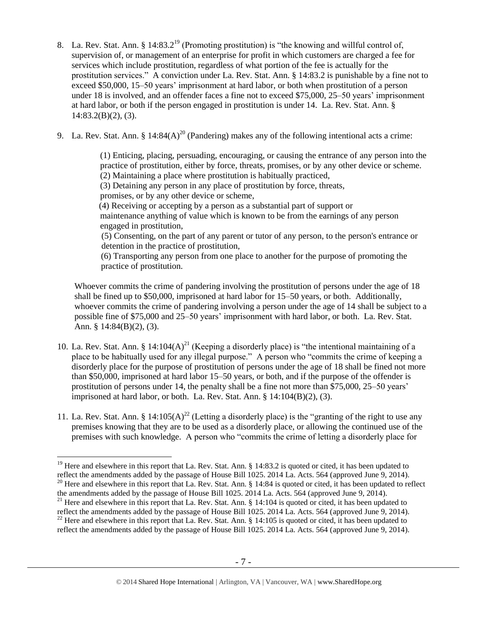- <span id="page-6-1"></span>8. La. Rev. Stat. Ann. § 14:83.2<sup>19</sup> (Promoting prostitution) is "the knowing and willful control of, supervision of, or management of an enterprise for profit in which customers are charged a fee for services which include prostitution, regardless of what portion of the fee is actually for the prostitution services." A conviction under La. Rev. Stat. Ann. § 14:83.2 is punishable by a fine not to exceed \$50,000, 15–50 years' imprisonment at hard labor, or both when prostitution of a person under 18 is involved, and an offender faces a fine not to exceed \$75,000, 25–50 years' imprisonment at hard labor, or both if the person engaged in prostitution is under 14. La. Rev. Stat. Ann. §  $14:83.2(B)(2)$ , (3).
- 9. La. Rev. Stat. Ann. § 14:84(A)<sup>20</sup> (Pandering) makes any of the following intentional acts a crime:

<span id="page-6-0"></span>(1) Enticing, placing, persuading, encouraging, or causing the entrance of any person into the practice of prostitution, either by force, threats, promises, or by any other device or scheme. (2) Maintaining a place where prostitution is habitually practiced,

(3) Detaining any person in any place of prostitution by force, threats,

promises, or by any other device or scheme,

 (4) Receiving or accepting by a person as a substantial part of support or maintenance anything of value which is known to be from the earnings of any person engaged in prostitution,

(5) Consenting, on the part of any parent or tutor of any person, to the person's entrance or detention in the practice of prostitution,

<span id="page-6-2"></span> (6) Transporting any person from one place to another for the purpose of promoting the practice of prostitution.

Whoever commits the crime of pandering involving the prostitution of persons under the age of 18 shall be fined up to \$50,000, imprisoned at hard labor for 15–50 years, or both. Additionally, whoever commits the crime of pandering involving a person under the age of 14 shall be subject to a possible fine of \$75,000 and 25–50 years' imprisonment with hard labor, or both. La. Rev. Stat. Ann. § 14:84(B)(2), (3).

- 10. La. Rev. Stat. Ann.  $\delta$  14:104(A)<sup>21</sup> (Keeping a disorderly place) is "the intentional maintaining of a place to be habitually used for any illegal purpose." A person who "commits the crime of keeping a disorderly place for the purpose of prostitution of persons under the age of 18 shall be fined not more than \$50,000, imprisoned at hard labor 15–50 years, or both, and if the purpose of the offender is prostitution of persons under 14, the penalty shall be a fine not more than \$75,000, 25–50 years' imprisoned at hard labor, or both. La. Rev. Stat. Ann.  $\S$  14:104 $(B)(2)$ , (3).
- <span id="page-6-3"></span>11. La. Rev. Stat. Ann. § 14:105(A)<sup>22</sup> (Letting a disorderly place) is the "granting of the right to use any premises knowing that they are to be used as a disorderly place, or allowing the continued use of the premises with such knowledge. A person who "commits the crime of letting a disorderly place for

 $\overline{a}$ <sup>19</sup> Here and elsewhere in this report that La. Rev. Stat. Ann.  $\S$  14:83.2 is quoted or cited, it has been updated to reflect the amendments added by the passage of House Bill 1025. 2014 La. Acts. 564 (approved June 9, 2014).  $20$  Here and elsewhere in this report that La. Rev. Stat. Ann. § 14:84 is quoted or cited, it has been updated to reflect

the amendments added by the passage of House Bill 1025. 2014 La. Acts. 564 (approved June 9, 2014).

<sup>&</sup>lt;sup>21</sup> Here and elsewhere in this report that La. Rev. Stat. Ann.  $\S$  14:104 is quoted or cited, it has been updated to reflect the amendments added by the passage of House Bill 1025. 2014 La. Acts. 564 (approved June 9, 2014). <sup>22</sup> Here and elsewhere in this report that La. Rev. Stat. Ann. § 14:105 is quoted or cited, it has been updated to

reflect the amendments added by the passage of House Bill 1025. 2014 La. Acts. 564 (approved June 9, 2014).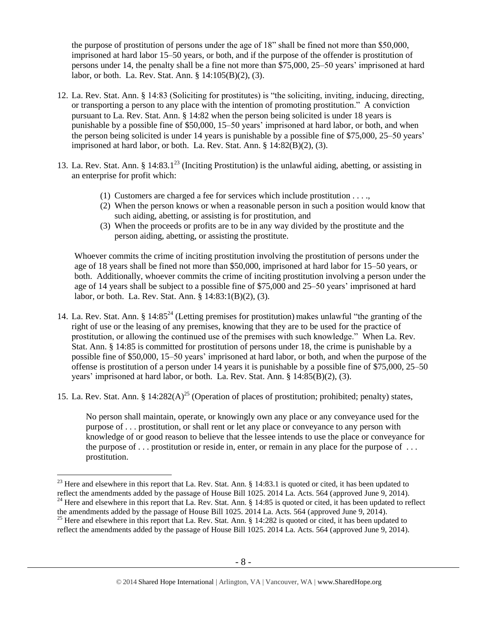the purpose of prostitution of persons under the age of 18" shall be fined not more than \$50,000, imprisoned at hard labor 15–50 years, or both, and if the purpose of the offender is prostitution of persons under 14, the penalty shall be a fine not more than \$75,000, 25–50 years' imprisoned at hard labor, or both. La. Rev. Stat. Ann. § 14:105(B)(2), (3).

- 12. La. Rev. Stat. Ann. § 14:83 (Soliciting for prostitutes) is "the soliciting, inviting, inducing, directing, or transporting a person to any place with the intention of promoting prostitution." A conviction pursuant to La. Rev. Stat. Ann. § 14:82 when the person being solicited is under 18 years is punishable by a possible fine of \$50,000, 15–50 years' imprisoned at hard labor, or both, and when the person being solicited is under 14 years is punishable by a possible fine of \$75,000, 25–50 years' imprisoned at hard labor, or both. La. Rev. Stat. Ann.  $\S$  14:82(B)(2), (3).
- <span id="page-7-1"></span>13. La. Rev. Stat. Ann. §  $14:83.1^{23}$  (Inciting Prostitution) is the unlawful aiding, abetting, or assisting in an enterprise for profit which:
	- (1) Customers are charged a fee for services which include prostitution . . . .,
	- (2) When the person knows or when a reasonable person in such a position would know that such aiding, abetting, or assisting is for prostitution, and
	- (3) When the proceeds or profits are to be in any way divided by the prostitute and the person aiding, abetting, or assisting the prostitute.

Whoever commits the crime of inciting prostitution involving the prostitution of persons under the age of 18 years shall be fined not more than \$50,000, imprisoned at hard labor for 15–50 years, or both. Additionally, whoever commits the crime of inciting prostitution involving a person under the age of 14 years shall be subject to a possible fine of \$75,000 and 25–50 years' imprisoned at hard labor, or both. La. Rev. Stat. Ann. § 14:83:1(B)(2), (3).

- <span id="page-7-2"></span>14. La. Rev. Stat. Ann. § 14:85<sup>24</sup> (Letting premises for prostitution) makes unlawful "the granting of the right of use or the leasing of any premises, knowing that they are to be used for the practice of prostitution, or allowing the continued use of the premises with such knowledge." When La. Rev. Stat. Ann. § 14:85 is committed for prostitution of persons under 18, the crime is punishable by a possible fine of \$50,000, 15–50 years' imprisoned at hard labor, or both, and when the purpose of the offense is prostitution of a person under 14 years it is punishable by a possible fine of \$75,000, 25–50 years' imprisoned at hard labor, or both. La. Rev. Stat. Ann. § 14:85(B)(2), (3).
- 15. La. Rev. Stat. Ann. §  $14:282(A)^{25}$  (Operation of places of prostitution; prohibited; penalty) states,

<span id="page-7-0"></span>No person shall maintain, operate, or knowingly own any place or any conveyance used for the purpose of . . . prostitution, or shall rent or let any place or conveyance to any person with knowledge of or good reason to believe that the lessee intends to use the place or conveyance for the purpose of  $\dots$  prostitution or reside in, enter, or remain in any place for the purpose of  $\dots$ prostitution.

 $^{23}$  Here and elsewhere in this report that La. Rev. Stat. Ann. § 14:83.1 is quoted or cited, it has been updated to reflect the amendments added by the passage of House Bill 1025. 2014 La. Acts. 564 (approved June 9, 2014).  $^{24}$  Here and elsewhere in this report that La. Rev. Stat. Ann. § 14:85 is quoted or cited, it has been updated to reflect the amendments added by the passage of House Bill 1025. 2014 La. Acts. 564 (approved June 9, 2014).

<sup>&</sup>lt;sup>25</sup> Here and elsewhere in this report that La. Rev. Stat. Ann. § 14:282 is quoted or cited, it has been updated to reflect the amendments added by the passage of House Bill 1025. 2014 La. Acts. 564 (approved June 9, 2014).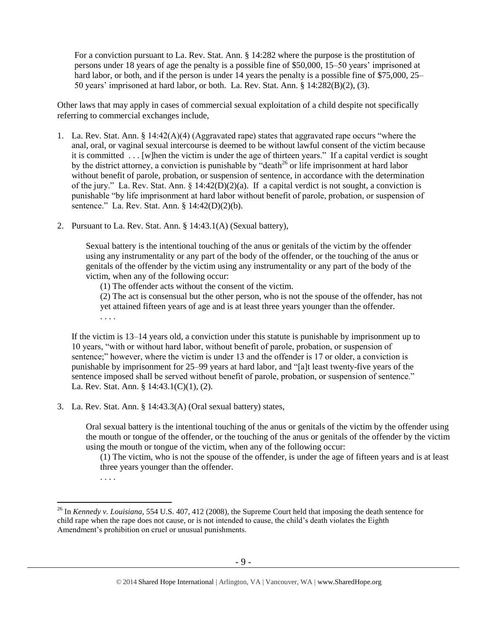For a conviction pursuant to La. Rev. Stat. Ann. § 14:282 where the purpose is the prostitution of persons under 18 years of age the penalty is a possible fine of \$50,000, 15–50 years' imprisoned at hard labor, or both, and if the person is under 14 years the penalty is a possible fine of \$75,000, 25– 50 years' imprisoned at hard labor, or both. La. Rev. Stat. Ann. § 14:282(B)(2), (3).

Other laws that may apply in cases of commercial sexual exploitation of a child despite not specifically referring to commercial exchanges include,

- 1. La. Rev. Stat. Ann. § 14:42(A)(4) (Aggravated rape) states that aggravated rape occurs "where the anal, oral, or vaginal sexual intercourse is deemed to be without lawful consent of the victim because it is committed . . . [w]hen the victim is under the age of thirteen years." If a capital verdict is sought by the district attorney, a conviction is punishable by "death<sup>26</sup> or life imprisonment at hard labor without benefit of parole, probation, or suspension of sentence, in accordance with the determination of the jury." La. Rev. Stat. Ann. § 14:42(D)(2)(a). If a capital verdict is not sought, a conviction is punishable "by life imprisonment at hard labor without benefit of parole, probation, or suspension of sentence." La. Rev. Stat. Ann. § 14:42(D)(2)(b).
- 2. Pursuant to La. Rev. Stat. Ann. § 14:43.1(A) (Sexual battery),

Sexual battery is the intentional touching of the anus or genitals of the victim by the offender using any instrumentality or any part of the body of the offender, or the touching of the anus or genitals of the offender by the victim using any instrumentality or any part of the body of the victim, when any of the following occur:

(1) The offender acts without the consent of the victim.

(2) The act is consensual but the other person, who is not the spouse of the offender, has not yet attained fifteen years of age and is at least three years younger than the offender. . . . .

If the victim is 13–14 years old, a conviction under this statute is punishable by imprisonment up to 10 years, "with or without hard labor, without benefit of parole, probation, or suspension of sentence;" however, where the victim is under 13 and the offender is 17 or older, a conviction is punishable by imprisonment for 25–99 years at hard labor, and "[a]t least twenty-five years of the sentence imposed shall be served without benefit of parole, probation, or suspension of sentence." La. Rev. Stat. Ann. § 14:43.1(C)(1), (2).

3. La. Rev. Stat. Ann. § 14:43.3(A) (Oral sexual battery) states,

Oral sexual battery is the intentional touching of the anus or genitals of the victim by the offender using the mouth or tongue of the offender, or the touching of the anus or genitals of the offender by the victim using the mouth or tongue of the victim, when any of the following occur:

(1) The victim, who is not the spouse of the offender, is under the age of fifteen years and is at least three years younger than the offender.

. . . .

<sup>26</sup> In *Kennedy v. Louisiana*, 554 U.S. 407, 412 (2008), the Supreme Court held that imposing the death sentence for child rape when the rape does not cause, or is not intended to cause, the child's death violates the Eighth Amendment's prohibition on cruel or unusual punishments.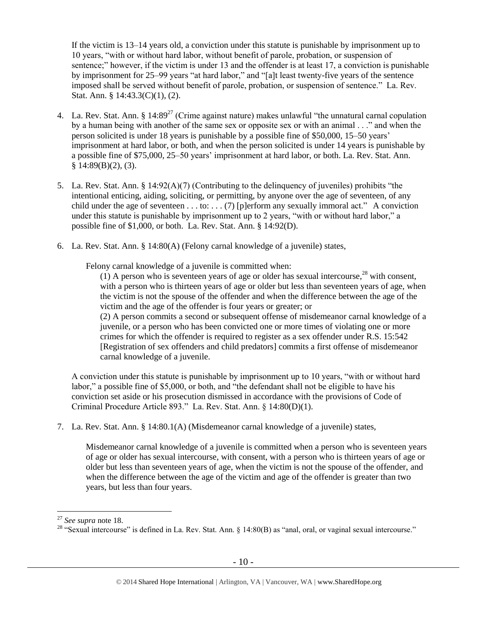If the victim is 13–14 years old, a conviction under this statute is punishable by imprisonment up to 10 years, "with or without hard labor, without benefit of parole, probation, or suspension of sentence;" however, if the victim is under 13 and the offender is at least 17, a conviction is punishable by imprisonment for 25–99 years "at hard labor," and "[a]t least twenty-five years of the sentence imposed shall be served without benefit of parole, probation, or suspension of sentence." La. Rev. Stat. Ann. § 14:43.3(C)(1), (2).

- 4. La. Rev. Stat. Ann.  $\S 14:89^{27}$  (Crime against nature) makes unlawful "the unnatural carnal copulation by a human being with another of the same sex or opposite sex or with an animal . . ." and when the person solicited is under 18 years is punishable by a possible fine of \$50,000, 15–50 years' imprisonment at hard labor, or both, and when the person solicited is under 14 years is punishable by a possible fine of \$75,000, 25–50 years' imprisonment at hard labor, or both. La. Rev. Stat. Ann.  $§$  14:89(B)(2), (3).
- 5. La. Rev. Stat. Ann. § 14:92(A)(7) (Contributing to the delinquency of juveniles) prohibits "the intentional enticing, aiding, soliciting, or permitting, by anyone over the age of seventeen, of any child under the age of seventeen . . . to: . . . (7) [p]erform any sexually immoral act." A conviction under this statute is punishable by imprisonment up to 2 years, "with or without hard labor," a possible fine of \$1,000, or both. La. Rev. Stat. Ann. § 14:92(D).
- 6. La. Rev. Stat. Ann. § 14:80(A) (Felony carnal knowledge of a juvenile) states,

Felony carnal knowledge of a juvenile is committed when:

(1) A person who is seventeen years of age or older has sexual intercourse,  $^{28}$  with consent. with a person who is thirteen years of age or older but less than seventeen years of age, when the victim is not the spouse of the offender and when the difference between the age of the victim and the age of the offender is four years or greater; or (2) A person commits a second or subsequent offense of misdemeanor carnal knowledge of a

juvenile, or a person who has been convicted one or more times of violating one or more crimes for which the offender is required to register as a sex offender under R.S. 15:542 [Registration of sex offenders and child predators] commits a first offense of misdemeanor carnal knowledge of a juvenile.

A conviction under this statute is punishable by imprisonment up to 10 years, "with or without hard labor," a possible fine of \$5,000, or both, and "the defendant shall not be eligible to have his conviction set aside or his prosecution dismissed in accordance with the provisions of Code of Criminal Procedure Article 893." La. Rev. Stat. Ann. § 14:80(D)(1).

7. La. Rev. Stat. Ann. § 14:80.1(A) (Misdemeanor carnal knowledge of a juvenile) states,

Misdemeanor carnal knowledge of a juvenile is committed when a person who is seventeen years of age or older has sexual intercourse, with consent, with a person who is thirteen years of age or older but less than seventeen years of age, when the victim is not the spouse of the offender, and when the difference between the age of the victim and age of the offender is greater than two years, but less than four years.

<sup>27</sup> *See supra* note [18.](#page-5-0)

<sup>&</sup>lt;sup>28</sup> "Sexual intercourse" is defined in La. Rev. Stat. Ann. § 14:80(B) as "anal, oral, or vaginal sexual intercourse."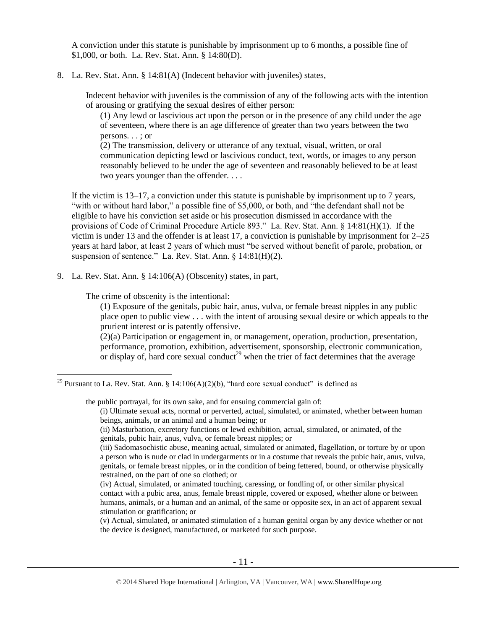A conviction under this statute is punishable by imprisonment up to 6 months, a possible fine of \$1,000, or both. La. Rev. Stat. Ann. § 14:80(D).

#### 8. La. Rev. Stat. Ann. § 14:81(A) (Indecent behavior with juveniles) states,

Indecent behavior with juveniles is the commission of any of the following acts with the intention of arousing or gratifying the sexual desires of either person:

(1) Any lewd or lascivious act upon the person or in the presence of any child under the age of seventeen, where there is an age difference of greater than two years between the two persons. . . ; or

(2) The transmission, delivery or utterance of any textual, visual, written, or oral communication depicting lewd or lascivious conduct, text, words, or images to any person reasonably believed to be under the age of seventeen and reasonably believed to be at least two years younger than the offender. . . .

If the victim is 13–17, a conviction under this statute is punishable by imprisonment up to 7 years, "with or without hard labor," a possible fine of \$5,000, or both, and "the defendant shall not be eligible to have his conviction set aside or his prosecution dismissed in accordance with the provisions of Code of Criminal Procedure Article 893." La. Rev. Stat. Ann. § 14:81(H)(1). If the victim is under 13 and the offender is at least 17, a conviction is punishable by imprisonment for 2–25 years at hard labor, at least 2 years of which must "be served without benefit of parole, probation, or suspension of sentence." La. Rev. Stat. Ann. § 14:81(H)(2).

9. La. Rev. Stat. Ann. § 14:106(A) (Obscenity) states, in part,

The crime of obscenity is the intentional:

 $\overline{a}$ 

(1) Exposure of the genitals, pubic hair, anus, vulva, or female breast nipples in any public place open to public view . . . with the intent of arousing sexual desire or which appeals to the prurient interest or is patently offensive.

(2)(a) Participation or engagement in, or management, operation, production, presentation, performance, promotion, exhibition, advertisement, sponsorship, electronic communication, or display of, hard core sexual conduct<sup>29</sup> when the trier of fact determines that the average

the public portrayal, for its own sake, and for ensuing commercial gain of:

(i) Ultimate sexual acts, normal or perverted, actual, simulated, or animated, whether between human beings, animals, or an animal and a human being; or

(ii) Masturbation, excretory functions or lewd exhibition, actual, simulated, or animated, of the genitals, pubic hair, anus, vulva, or female breast nipples; or

<sup>&</sup>lt;sup>29</sup> Pursuant to La. Rev. Stat. Ann. § 14:106(A)(2)(b), "hard core sexual conduct" is defined as

<sup>(</sup>iii) Sadomasochistic abuse, meaning actual, simulated or animated, flagellation, or torture by or upon a person who is nude or clad in undergarments or in a costume that reveals the pubic hair, anus, vulva, genitals, or female breast nipples, or in the condition of being fettered, bound, or otherwise physically restrained, on the part of one so clothed; or

<sup>(</sup>iv) Actual, simulated, or animated touching, caressing, or fondling of, or other similar physical contact with a pubic area, anus, female breast nipple, covered or exposed, whether alone or between humans, animals, or a human and an animal, of the same or opposite sex, in an act of apparent sexual stimulation or gratification; or

<sup>(</sup>v) Actual, simulated, or animated stimulation of a human genital organ by any device whether or not the device is designed, manufactured, or marketed for such purpose.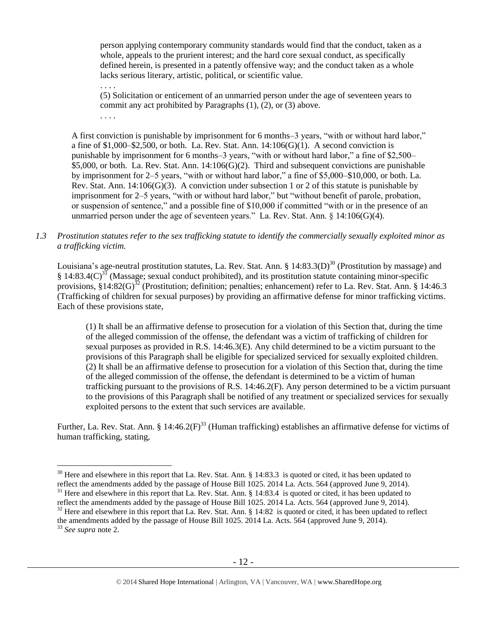person applying contemporary community standards would find that the conduct, taken as a whole, appeals to the prurient interest; and the hard core sexual conduct, as specifically defined herein, is presented in a patently offensive way; and the conduct taken as a whole lacks serious literary, artistic, political, or scientific value.

(5) Solicitation or enticement of an unmarried person under the age of seventeen years to commit any act prohibited by Paragraphs (1), (2), or (3) above.

. . . .

. . . .

A first conviction is punishable by imprisonment for 6 months–3 years, "with or without hard labor," a fine of  $$1,000–$2,500$ , or both. La. Rev. Stat. Ann.  $14:106(G)(1)$ . A second conviction is punishable by imprisonment for 6 months–3 years, "with or without hard labor," a fine of \$2,500– \$5,000, or both. La. Rev. Stat. Ann. 14:106(G)(2). Third and subsequent convictions are punishable by imprisonment for 2–5 years, "with or without hard labor," a fine of \$5,000–\$10,000, or both. La. Rev. Stat. Ann.  $14:106(G)(3)$ . A conviction under subsection 1 or 2 of this statute is punishable by imprisonment for 2–5 years, "with or without hard labor," but "without benefit of parole, probation, or suspension of sentence," and a possible fine of \$10,000 if committed "with or in the presence of an unmarried person under the age of seventeen years." La. Rev. Stat. Ann.  $\S$  14:106(G)(4).

*1.3 Prostitution statutes refer to the sex trafficking statute to identify the commercially sexually exploited minor as a trafficking victim.* 

<span id="page-11-2"></span>Louisiana's age-neutral prostitution statutes, La. Rev. Stat. Ann. § 14:83.3(D)<sup>30</sup> (Prostitution by massage) and § 14:83.4(C)<sup>31</sup> (Massage; sexual conduct prohibited), and its prostitution statute containing minor-specific provisions,  $\S 14:82(G)^{32}$  (Prostitution; definition; penalties; enhancement) refer to La. Rev. Stat. Ann. § 14:46.3 (Trafficking of children for sexual purposes) by providing an affirmative defense for minor trafficking victims. Each of these provisions state,

<span id="page-11-1"></span><span id="page-11-0"></span>(1) It shall be an affirmative defense to prosecution for a violation of this Section that, during the time of the alleged commission of the offense, the defendant was a victim of trafficking of children for sexual purposes as provided in R.S. 14:46.3(E). Any child determined to be a victim pursuant to the provisions of this Paragraph shall be eligible for specialized serviced for sexually exploited children. (2) It shall be an affirmative defense to prosecution for a violation of this Section that, during the time of the alleged commission of the offense, the defendant is determined to be a victim of human trafficking pursuant to the provisions of R.S. 14:46.2(F). Any person determined to be a victim pursuant to the provisions of this Paragraph shall be notified of any treatment or specialized services for sexually exploited persons to the extent that such services are available.

Further, La. Rev. Stat. Ann. § 14:46.2 $(F)^{33}$  (Human trafficking) establishes an affirmative defense for victims of human trafficking, stating,

 $30$  Here and elsewhere in this report that La. Rev. Stat. Ann. § 14:83.3 is quoted or cited, it has been updated to reflect the amendments added by the passage of House Bill 1025. 2014 La. Acts. 564 (approved June 9, 2014).

 $31$  Here and elsewhere in this report that La. Rev. Stat. Ann. § 14:83.4 is quoted or cited, it has been updated to reflect the amendments added by the passage of House Bill 1025. 2014 La. Acts. 564 (approved June 9, 2014).

<sup>&</sup>lt;sup>32</sup> Here and elsewhere in this report that La. Rev. Stat. Ann. § 14:82 is quoted or cited, it has been updated to reflect the amendments added by the passage of House Bill 1025. 2014 La. Acts. 564 (approved June 9, 2014).

<sup>33</sup> *See supra* note [2.](#page-0-0)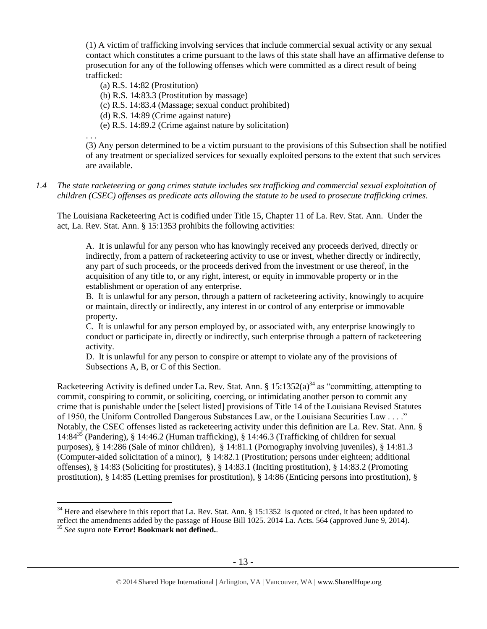(1) A victim of trafficking involving services that include commercial sexual activity or any sexual contact which constitutes a crime pursuant to the laws of this state shall have an affirmative defense to prosecution for any of the following offenses which were committed as a direct result of being trafficked:

(a) R.S. 14:82 (Prostitution)

(b) R.S. 14:83.3 (Prostitution by massage)

(c) R.S. 14:83.4 (Massage; sexual conduct prohibited)

(d) R.S. 14:89 (Crime against nature)

(e) R.S. 14:89.2 (Crime against nature by solicitation)

. . .

(3) Any person determined to be a victim pursuant to the provisions of this Subsection shall be notified of any treatment or specialized services for sexually exploited persons to the extent that such services are available.

## *1.4 The state racketeering or gang crimes statute includes sex trafficking and commercial sexual exploitation of children (CSEC) offenses as predicate acts allowing the statute to be used to prosecute trafficking crimes.*

The Louisiana Racketeering Act is codified under Title 15, Chapter 11 of La. Rev. Stat. Ann. Under the act, La. Rev. Stat. Ann. § 15:1353 prohibits the following activities:

A. It is unlawful for any person who has knowingly received any proceeds derived, directly or indirectly, from a pattern of racketeering activity to use or invest, whether directly or indirectly, any part of such proceeds, or the proceeds derived from the investment or use thereof, in the acquisition of any title to, or any right, interest, or equity in immovable property or in the establishment or operation of any enterprise.

B. It is unlawful for any person, through a pattern of racketeering activity, knowingly to acquire or maintain, directly or indirectly, any interest in or control of any enterprise or immovable property.

C. It is unlawful for any person employed by, or associated with, any enterprise knowingly to conduct or participate in, directly or indirectly, such enterprise through a pattern of racketeering activity.

<span id="page-12-0"></span>D. It is unlawful for any person to conspire or attempt to violate any of the provisions of Subsections A, B, or C of this Section.

Racketeering Activity is defined under La. Rev. Stat. Ann. §  $15:1352(a)^{34}$  as "committing, attempting to commit, conspiring to commit, or soliciting, coercing, or intimidating another person to commit any crime that is punishable under the [select listed] provisions of Title 14 of the Louisiana Revised Statutes of 1950, the Uniform Controlled Dangerous Substances Law, or the Louisiana Securities Law . . . ." Notably, the CSEC offenses listed as racketeering activity under this definition are La. Rev. Stat. Ann. § 14:84<sup>35</sup> (Pandering), § 14:46.2 (Human trafficking), § 14:46.3 (Trafficking of children for sexual purposes), § 14:286 (Sale of minor children), § 14:81.1 (Pornography involving juveniles), § 14:81.3 (Computer-aided solicitation of a minor), § 14:82.1 (Prostitution; persons under eighteen; additional offenses), § 14:83 (Soliciting for prostitutes), § 14:83.1 (Inciting prostitution), § 14:83.2 (Promoting prostitution), § 14:85 (Letting premises for prostitution), § 14:86 (Enticing persons into prostitution), §

 $34$  Here and elsewhere in this report that La. Rev. Stat. Ann. § 15:1352 is quoted or cited, it has been updated to reflect the amendments added by the passage of House Bill 1025. 2014 La. Acts. 564 (approved June 9, 2014).

<sup>35</sup> *See supra* note **Error! Bookmark not defined.**.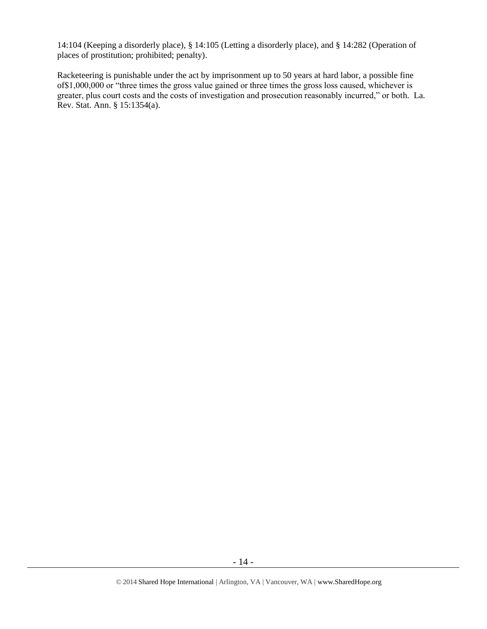14:104 (Keeping a disorderly place), § 14:105 (Letting a disorderly place), and § 14:282 (Operation of places of prostitution; prohibited; penalty).

Racketeering is punishable under the act by imprisonment up to 50 years at hard labor, a possible fine of\$1,000,000 or "three times the gross value gained or three times the gross loss caused, whichever is greater, plus court costs and the costs of investigation and prosecution reasonably incurred," or both. La. Rev. Stat. Ann. § 15:1354(a).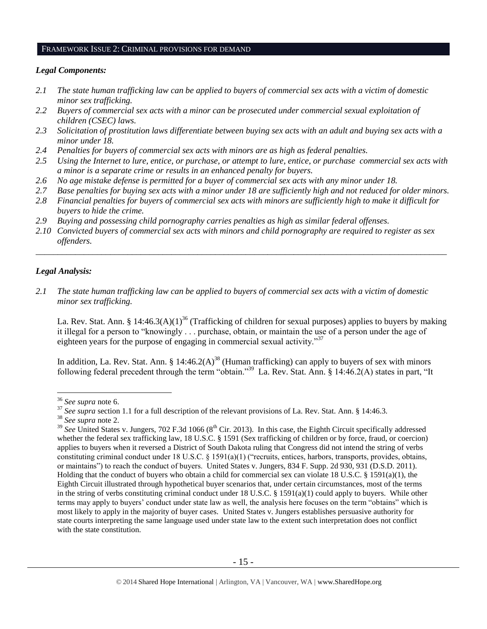## FRAMEWORK ISSUE 2: CRIMINAL PROVISIONS FOR DEMAND

#### *Legal Components:*

- *2.1 The state human trafficking law can be applied to buyers of commercial sex acts with a victim of domestic minor sex trafficking.*
- *2.2 Buyers of commercial sex acts with a minor can be prosecuted under commercial sexual exploitation of children (CSEC) laws.*
- *2.3 Solicitation of prostitution laws differentiate between buying sex acts with an adult and buying sex acts with a minor under 18.*
- *2.4 Penalties for buyers of commercial sex acts with minors are as high as federal penalties.*
- *2.5 Using the Internet to lure, entice, or purchase, or attempt to lure, entice, or purchase commercial sex acts with a minor is a separate crime or results in an enhanced penalty for buyers.*
- *2.6 No age mistake defense is permitted for a buyer of commercial sex acts with any minor under 18.*
- *2.7 Base penalties for buying sex acts with a minor under 18 are sufficiently high and not reduced for older minors.*
- *2.8 Financial penalties for buyers of commercial sex acts with minors are sufficiently high to make it difficult for buyers to hide the crime.*
- *2.9 Buying and possessing child pornography carries penalties as high as similar federal offenses.*
- *2.10 Convicted buyers of commercial sex acts with minors and child pornography are required to register as sex offenders.*

\_\_\_\_\_\_\_\_\_\_\_\_\_\_\_\_\_\_\_\_\_\_\_\_\_\_\_\_\_\_\_\_\_\_\_\_\_\_\_\_\_\_\_\_\_\_\_\_\_\_\_\_\_\_\_\_\_\_\_\_\_\_\_\_\_\_\_\_\_\_\_\_\_\_\_\_\_\_\_\_\_\_\_\_\_\_\_\_\_\_\_\_\_\_

## *Legal Analysis:*

 $\overline{a}$ 

*2.1 The state human trafficking law can be applied to buyers of commercial sex acts with a victim of domestic minor sex trafficking.*

La. Rev. Stat. Ann. § 14:46.3(A)(1)<sup>36</sup> (Trafficking of children for sexual purposes) applies to buyers by making it illegal for a person to "knowingly . . . purchase, obtain, or maintain the use of a person under the age of eighteen years for the purpose of engaging in commercial sexual activity."<sup>37</sup>

In addition, La. Rev. Stat. Ann. § 14:46.2(A)<sup>38</sup> (Human trafficking) can apply to buyers of sex with minors following federal precedent through the term "obtain."<sup>39</sup> La. Rev. Stat. Ann. § 14:46.2(A) states in part, "It

<sup>36</sup> *See supra* note [6.](#page-2-0)

<sup>&</sup>lt;sup>37</sup> See supra section 1.1 for a full description of the relevant provisions of La. Rev. Stat. Ann. § 14:46.3.

<sup>38</sup> *See supra* note [2.](#page-0-0)

 $39$  *See* United States v. Jungers, 702 F.3d 1066 ( $8<sup>th</sup>$  Cir. 2013). In this case, the Eighth Circuit specifically addressed whether the federal sex trafficking law, 18 U.S.C. § 1591 (Sex trafficking of children or by force, fraud, or coercion) applies to buyers when it reversed a District of South Dakota ruling that Congress did not intend the string of verbs constituting criminal conduct under 18 U.S.C. § 1591(a)(1) ("recruits, entices, harbors, transports, provides, obtains, or maintains") to reach the conduct of buyers. United States v. Jungers, 834 F. Supp. 2d 930, 931 (D.S.D. 2011). Holding that the conduct of buyers who obtain a child for commercial sex can violate 18 U.S.C. § 1591(a)(1), the Eighth Circuit illustrated through hypothetical buyer scenarios that, under certain circumstances, most of the terms in the string of verbs constituting criminal conduct under 18 U.S.C. § 1591(a)(1) could apply to buyers. While other terms may apply to buyers' conduct under state law as well, the analysis here focuses on the term "obtains" which is most likely to apply in the majority of buyer cases. United States v. Jungers establishes persuasive authority for state courts interpreting the same language used under state law to the extent such interpretation does not conflict with the state constitution.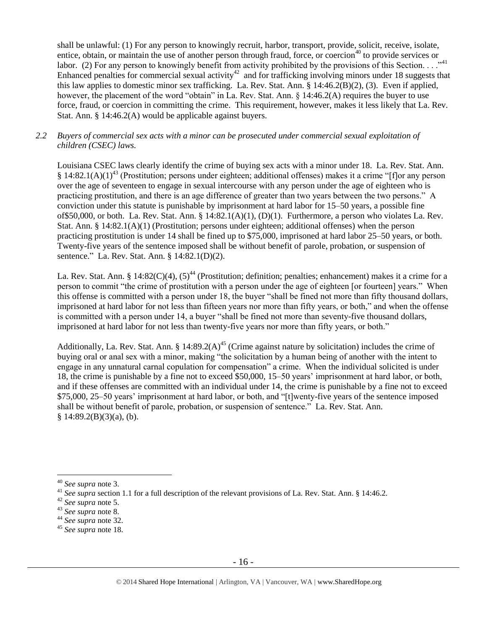shall be unlawful: (1) For any person to knowingly recruit, harbor, transport, provide, solicit, receive, isolate, entice, obtain, or maintain the use of another person through fraud, force, or coercion<sup>40</sup> to provide services or labor. (2) For any person to knowingly benefit from activity prohibited by the provisions of this Section.  $\ldots$ <sup>41</sup> Enhanced penalties for commercial sexual activity<sup>42</sup> and for trafficking involving minors under 18 suggests that this law applies to domestic minor sex trafficking. La. Rev. Stat. Ann. § 14:46.2(B)(2), (3). Even if applied, however, the placement of the word "obtain" in La. Rev. Stat. Ann. § 14:46.2(A) requires the buyer to use force, fraud, or coercion in committing the crime. This requirement, however, makes it less likely that La. Rev. Stat. Ann. § 14:46.2(A) would be applicable against buyers.

## *2.2 Buyers of commercial sex acts with a minor can be prosecuted under commercial sexual exploitation of children (CSEC) laws.*

Louisiana CSEC laws clearly identify the crime of buying sex acts with a minor under 18. La. Rev. Stat. Ann.  $§$  14:82.1(A)(1)<sup>43</sup> (Prostitution; persons under eighteen; additional offenses) makes it a crime "[f]or any person over the age of seventeen to engage in sexual intercourse with any person under the age of eighteen who is practicing prostitution, and there is an age difference of greater than two years between the two persons." A conviction under this statute is punishable by imprisonment at hard labor for 15–50 years, a possible fine of\$50,000, or both. La. Rev. Stat. Ann. § 14:82.1(A)(1), (D)(1). Furthermore, a person who violates La. Rev. Stat. Ann. § 14:82.1(A)(1) (Prostitution; persons under eighteen; additional offenses) when the person practicing prostitution is under 14 shall be fined up to \$75,000, imprisoned at hard labor 25–50 years, or both. Twenty-five years of the sentence imposed shall be without benefit of parole, probation, or suspension of sentence." La. Rev. Stat. Ann. § 14:82.1(D)(2).

La. Rev. Stat. Ann. § 14:82(C)(4),  $(5)^{44}$  (Prostitution; definition; penalties; enhancement) makes it a crime for a person to commit "the crime of prostitution with a person under the age of eighteen [or fourteen] years." When this offense is committed with a person under 18, the buyer "shall be fined not more than fifty thousand dollars, imprisoned at hard labor for not less than fifteen years nor more than fifty years, or both," and when the offense is committed with a person under 14, a buyer "shall be fined not more than seventy-five thousand dollars, imprisoned at hard labor for not less than twenty-five years nor more than fifty years, or both."

Additionally, La. Rev. Stat. Ann. § 14:89.2(A)<sup>45</sup> (Crime against nature by solicitation) includes the crime of buying oral or anal sex with a minor, making "the solicitation by a human being of another with the intent to engage in any unnatural carnal copulation for compensation" a crime. When the individual solicited is under 18, the crime is punishable by a fine not to exceed \$50,000, 15–50 years' imprisonment at hard labor, or both, and if these offenses are committed with an individual under 14, the crime is punishable by a fine not to exceed \$75,000, 25–50 years' imprisonment at hard labor, or both, and "[t]wenty-five years of the sentence imposed shall be without benefit of parole, probation, or suspension of sentence." La. Rev. Stat. Ann.  $§ 14:89.2(B)(3)(a)$ , (b).

<sup>40</sup> *See supra* note [3.](#page-0-1)

<sup>&</sup>lt;sup>41</sup> *See supra* section 1.1 for a full description of the relevant provisions of La. Rev. Stat. Ann. § 14:46.2.

<sup>42</sup> *See supra* note [5.](#page-1-0)

<sup>43</sup> *See supra* note [8.](#page-3-0)

<sup>44</sup> *See supra* note [32.](#page-11-0)

<sup>45</sup> *See supra* note [18.](#page-5-0)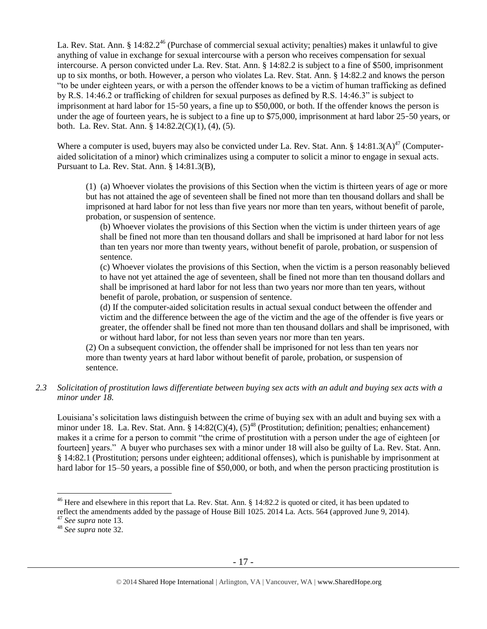La. Rev. Stat. Ann. § 14:82.2<sup>46</sup> (Purchase of commercial sexual activity; penalties) makes it unlawful to give anything of value in exchange for sexual intercourse with a person who receives compensation for sexual intercourse. A person convicted under La. Rev. Stat. Ann. § 14:82.2 is subject to a fine of \$500, imprisonment up to six months, or both. However, a person who violates La. Rev. Stat. Ann. § 14:82.2 and knows the person "to be under eighteen years, or with a person the offender knows to be a victim of human trafficking as defined by R.S. 14:46.2 or trafficking of children for sexual purposes as defined by R.S. 14:46.3" is subject to imprisonment at hard labor for 15–50 years, a fine up to \$50,000, or both. If the offender knows the person is under the age of fourteen years, he is subject to a fine up to \$75,000, imprisonment at hard labor 25–50 years, or both. La. Rev. Stat. Ann. § 14:82.2(C)(1), (4), (5).

Where a computer is used, buyers may also be convicted under La. Rev. Stat. Ann. §  $14:81.3(A)^{47}$  (Computeraided solicitation of a minor) which criminalizes using a computer to solicit a minor to engage in sexual acts. Pursuant to La. Rev. Stat. Ann. § 14:81.3(B),

(1) (a) Whoever violates the provisions of this Section when the victim is thirteen years of age or more but has not attained the age of seventeen shall be fined not more than ten thousand dollars and shall be imprisoned at hard labor for not less than five years nor more than ten years, without benefit of parole, probation, or suspension of sentence.

(b) Whoever violates the provisions of this Section when the victim is under thirteen years of age shall be fined not more than ten thousand dollars and shall be imprisoned at hard labor for not less than ten years nor more than twenty years, without benefit of parole, probation, or suspension of sentence.

(c) Whoever violates the provisions of this Section, when the victim is a person reasonably believed to have not yet attained the age of seventeen, shall be fined not more than ten thousand dollars and shall be imprisoned at hard labor for not less than two years nor more than ten years, without benefit of parole, probation, or suspension of sentence.

(d) If the computer-aided solicitation results in actual sexual conduct between the offender and victim and the difference between the age of the victim and the age of the offender is five years or greater, the offender shall be fined not more than ten thousand dollars and shall be imprisoned, with or without hard labor, for not less than seven years nor more than ten years.

(2) On a subsequent conviction, the offender shall be imprisoned for not less than ten years nor more than twenty years at hard labor without benefit of parole, probation, or suspension of sentence.

*2.3 Solicitation of prostitution laws differentiate between buying sex acts with an adult and buying sex acts with a minor under 18.*

Louisiana's solicitation laws distinguish between the crime of buying sex with an adult and buying sex with a minor under 18. La. Rev. Stat. Ann. §  $14:82(C)(4)$ ,  $(5)^{48}$  (Prostitution; definition; penalties; enhancement) makes it a crime for a person to commit "the crime of prostitution with a person under the age of eighteen [or fourteen] years." A buyer who purchases sex with a minor under 18 will also be guilty of La. Rev. Stat. Ann. § 14:82.1 (Prostitution; persons under eighteen; additional offenses), which is punishable by imprisonment at hard labor for 15–50 years, a possible fine of \$50,000, or both, and when the person practicing prostitution is

<sup>&</sup>lt;sup>46</sup> Here and elsewhere in this report that La. Rev. Stat. Ann. § 14:82.2 is quoted or cited, it has been updated to reflect the amendments added by the passage of House Bill 1025. 2014 La. Acts. 564 (approved June 9, 2014).

<sup>47</sup> *See supra* note [13.](#page-4-0)

<sup>48</sup> *See supra* note [32.](#page-11-0)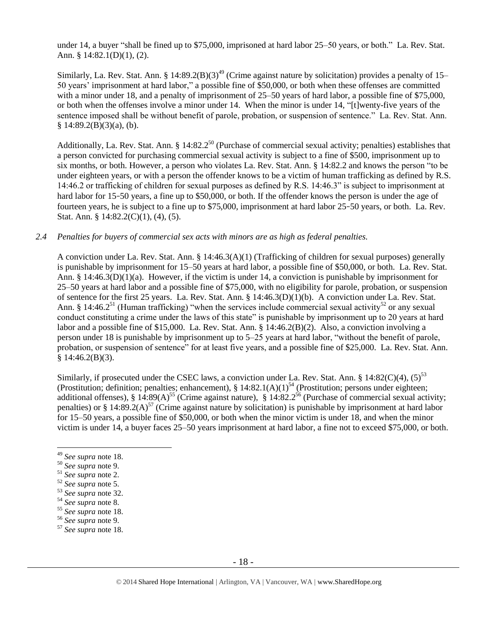under 14, a buyer "shall be fined up to \$75,000, imprisoned at hard labor 25–50 years, or both." La. Rev. Stat. Ann. § 14:82.1(D)(1), (2).

Similarly, La. Rev. Stat. Ann. § 14:89.2(B)(3)<sup>49</sup> (Crime against nature by solicitation) provides a penalty of 15– 50 years' imprisonment at hard labor," a possible fine of \$50,000, or both when these offenses are committed with a minor under 18, and a penalty of imprisonment of 25–50 years of hard labor, a possible fine of \$75,000, or both when the offenses involve a minor under 14. When the minor is under 14, "[t]wenty-five years of the sentence imposed shall be without benefit of parole, probation, or suspension of sentence." La. Rev. Stat. Ann. § 14:89.2(B)(3)(a), (b).

Additionally, La. Rev. Stat. Ann. § 14:82.2<sup>50</sup> (Purchase of commercial sexual activity; penalties) establishes that a person convicted for purchasing commercial sexual activity is subject to a fine of \$500, imprisonment up to six months, or both. However, a person who violates La. Rev. Stat. Ann. § 14:82.2 and knows the person "to be under eighteen years, or with a person the offender knows to be a victim of human trafficking as defined by R.S. 14:46.2 or trafficking of children for sexual purposes as defined by R.S. 14:46.3" is subject to imprisonment at hard labor for 15–50 years, a fine up to \$50,000, or both. If the offender knows the person is under the age of fourteen years, he is subject to a fine up to \$75,000, imprisonment at hard labor 25–50 years, or both. La. Rev. Stat. Ann. § 14:82.2(C)(1), (4), (5).

## *2.4 Penalties for buyers of commercial sex acts with minors are as high as federal penalties.*

A conviction under La. Rev. Stat. Ann. § 14:46.3(A)(1) (Trafficking of children for sexual purposes) generally is punishable by imprisonment for 15–50 years at hard labor, a possible fine of \$50,000, or both. La. Rev. Stat. Ann. § 14:46.3(D)(1)(a). However, if the victim is under 14, a conviction is punishable by imprisonment for 25–50 years at hard labor and a possible fine of \$75,000, with no eligibility for parole, probation, or suspension of sentence for the first 25 years. La. Rev. Stat. Ann. § 14:46.3(D)(1)(b). A conviction under La. Rev. Stat. Ann. § 14:46.2<sup>51</sup> (Human trafficking) "when the services include commercial sexual activity<sup>52</sup> or any sexual conduct constituting a crime under the laws of this state" is punishable by imprisonment up to 20 years at hard labor and a possible fine of \$15,000. La. Rev. Stat. Ann. § 14:46.2(B)(2). Also, a conviction involving a person under 18 is punishable by imprisonment up to 5–25 years at hard labor, "without the benefit of parole, probation, or suspension of sentence" for at least five years, and a possible fine of \$25,000. La. Rev. Stat. Ann.  $§$  14:46.2(B)(3).

Similarly, if prosecuted under the CSEC laws, a conviction under La. Rev. Stat. Ann. § 14:82(C)(4),  $(5)^{53}$ (Prostitution; definition; penalties; enhancement),  $\S 14:82.1(A)(1)^{54}$  (Prostitution; persons under eighteen; additional offenses), § 14:89(A)<sup>55</sup> (Crime against nature), § 14:82.2<sup>56</sup> (Purchase of commercial sexual activity; penalties) or § 14:89.2(A)<sup>57</sup> (Crime against nature by solicitation) is punishable by imprisonment at hard labor for 15–50 years, a possible fine of \$50,000, or both when the minor victim is under 18, and when the minor victim is under 14, a buyer faces 25–50 years imprisonment at hard labor, a fine not to exceed \$75,000, or both.

<sup>49</sup> *See supra* note [18.](#page-5-0)

<sup>50</sup> *See supra* note [9.](#page-3-1)

<sup>51</sup> *See supra* note [2.](#page-0-0)

<sup>52</sup> *See supra* note [5.](#page-1-0)

<sup>53</sup> *See supra* note [32.](#page-11-0)

<sup>54</sup> *See supra* note [8.](#page-3-0)

<sup>55</sup> *See supra* note [18.](#page-5-0) 

<sup>56</sup> *See supra* note [9.](#page-3-1)

<sup>57</sup> *See supra* note [18.](#page-5-0)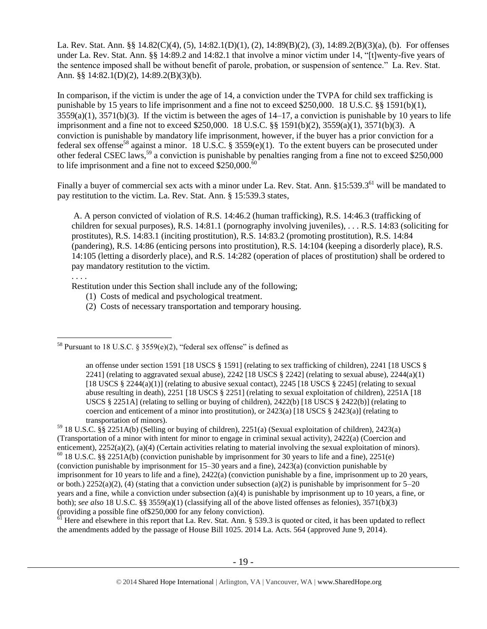La. Rev. Stat. Ann. §§ 14.82(C)(4), (5), 14:82.1(D)(1), (2), 14:89(B)(2), (3), 14:89.2(B)(3)(a), (b). For offenses under La. Rev. Stat. Ann. §§ 14:89.2 and 14:82.1 that involve a minor victim under 14, "[t]wenty-five years of the sentence imposed shall be without benefit of parole, probation, or suspension of sentence." La. Rev. Stat. Ann. §§ 14:82.1(D)(2), 14:89.2(B)(3)(b).

In comparison, if the victim is under the age of 14, a conviction under the TVPA for child sex trafficking is punishable by 15 years to life imprisonment and a fine not to exceed \$250,000. 18 U.S.C. §§ 1591(b)(1),  $3559(a)(1)$ ,  $3571(b)(3)$ . If the victim is between the ages of  $14-17$ , a conviction is punishable by 10 years to life imprisonment and a fine not to exceed \$250,000. 18 U.S.C. §§ 1591(b)(2), 3559(a)(1), 3571(b)(3). A conviction is punishable by mandatory life imprisonment, however, if the buyer has a prior conviction for a federal sex offense<sup>58</sup> against a minor. 18 U.S.C. § 3559(e)(1). To the extent buyers can be prosecuted under other federal CSEC laws,<sup>59</sup> a conviction is punishable by penalties ranging from a fine not to exceed \$250,000 to life imprisonment and a fine not to exceed  $$250,000$ .<sup>6</sup>

<span id="page-18-1"></span>Finally a buyer of commercial sex acts with a minor under La. Rev. Stat. Ann. §15:539.3<sup>61</sup> will be mandated to pay restitution to the victim. La. Rev. Stat. Ann. § 15:539.3 states,

<span id="page-18-0"></span>A. A person convicted of violation of R.S. 14:46.2 (human trafficking), R.S. 14:46.3 (trafficking of children for sexual purposes), R.S. 14:81.1 (pornography involving juveniles), . . . R.S. 14:83 (soliciting for prostitutes), R.S. 14:83.1 (inciting prostitution), R.S. 14:83.2 (promoting prostitution), R.S. 14:84 (pandering), R.S. 14:86 (enticing persons into prostitution), R.S. 14:104 (keeping a disorderly place), R.S. 14:105 (letting a disorderly place), and R.S. 14:282 (operation of places of prostitution) shall be ordered to pay mandatory restitution to the victim.

. . . .

 $\overline{a}$ 

Restitution under this Section shall include any of the following;

- (1) Costs of medical and psychological treatment.
- (2) Costs of necessary transportation and temporary housing.

<sup>59</sup> 18 U.S.C. §§ 2251A(b) (Selling or buying of children), 2251(a) (Sexual exploitation of children), 2423(a) (Transportation of a minor with intent for minor to engage in criminal sexual activity), 2422(a) (Coercion and enticement), 2252(a)(2), (a)(4) (Certain activities relating to material involving the sexual exploitation of minors).  $60$  18 U.S.C. §§ 2251A(b) (conviction punishable by imprisonment for 30 years to life and a fine), 2251(e) (conviction punishable by imprisonment for 15–30 years and a fine), 2423(a) (conviction punishable by imprisonment for 10 years to life and a fine), 2422(a) (conviction punishable by a fine, imprisonment up to 20 years, or both.)  $2252(a)(2)$ , (4) (stating that a conviction under subsection (a)(2) is punishable by imprisonment for  $5-20$ years and a fine, while a conviction under subsection (a)(4) is punishable by imprisonment up to 10 years, a fine, or both); *see also* 18 U.S.C. §§ 3559(a)(1) (classifying all of the above listed offenses as felonies), 3571(b)(3) (providing a possible fine of \$250,000 for any felony conviction).

Here and elsewhere in this report that La. Rev. Stat. Ann. § 539.3 is quoted or cited, it has been updated to reflect the amendments added by the passage of House Bill 1025. 2014 La. Acts. 564 (approved June 9, 2014).

<sup>&</sup>lt;sup>58</sup> Pursuant to 18 U.S.C. § 3559(e)(2), "federal sex offense" is defined as

an offense under section 1591 [18 USCS § 1591] (relating to sex trafficking of children), 2241 [18 USCS § 2241] (relating to aggravated sexual abuse), 2242 [18 USCS  $\S$  2242] (relating to sexual abuse), 2244(a)(1) [18 USCS  $\S 2244(a)(1)$ ] (relating to abusive sexual contact), 2245 [18 USCS  $\S 2245$ ] (relating to sexual abuse resulting in death), 2251 [18 USCS § 2251] (relating to sexual exploitation of children), 2251A [18 USCS § 2251A] (relating to selling or buying of children), 2422(b) [18 USCS § 2422(b)] (relating to coercion and enticement of a minor into prostitution), or  $2423(a)$  [18 USCS §  $2423(a)$ ] (relating to transportation of minors).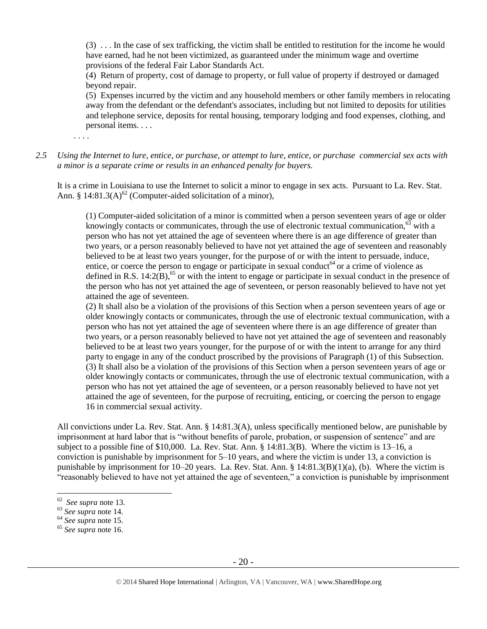(3) . . . In the case of sex trafficking, the victim shall be entitled to restitution for the income he would have earned, had he not been victimized, as guaranteed under the minimum wage and overtime provisions of the federal Fair Labor Standards Act.

(4) Return of property, cost of damage to property, or full value of property if destroyed or damaged beyond repair.

(5) Expenses incurred by the victim and any household members or other family members in relocating away from the defendant or the defendant's associates, including but not limited to deposits for utilities and telephone service, deposits for rental housing, temporary lodging and food expenses, clothing, and personal items. . . .

. . . .

*2.5 Using the Internet to lure, entice, or purchase, or attempt to lure, entice, or purchase commercial sex acts with a minor is a separate crime or results in an enhanced penalty for buyers.*

It is a crime in Louisiana to use the Internet to solicit a minor to engage in sex acts. Pursuant to La. Rev. Stat. Ann. § 14:81.3(A) $^{62}$  (Computer-aided solicitation of a minor),

(1) Computer-aided solicitation of a minor is committed when a person seventeen years of age or older knowingly contacts or communicates, through the use of electronic textual communication, $63$  with a person who has not yet attained the age of seventeen where there is an age difference of greater than two years, or a person reasonably believed to have not yet attained the age of seventeen and reasonably believed to be at least two years younger, for the purpose of or with the intent to persuade, induce, entice, or coerce the person to engage or participate in sexual conduct<sup>64</sup> or a crime of violence as defined in R.S.  $14:2(B)$ ,<sup>65</sup> or with the intent to engage or participate in sexual conduct in the presence of the person who has not yet attained the age of seventeen, or person reasonably believed to have not yet attained the age of seventeen.

(2) It shall also be a violation of the provisions of this Section when a person seventeen years of age or older knowingly contacts or communicates, through the use of electronic textual communication, with a person who has not yet attained the age of seventeen where there is an age difference of greater than two years, or a person reasonably believed to have not yet attained the age of seventeen and reasonably believed to be at least two years younger, for the purpose of or with the intent to arrange for any third party to engage in any of the conduct proscribed by the provisions of Paragraph (1) of this Subsection. (3) It shall also be a violation of the provisions of this Section when a person seventeen years of age or older knowingly contacts or communicates, through the use of electronic textual communication, with a person who has not yet attained the age of seventeen, or a person reasonably believed to have not yet attained the age of seventeen, for the purpose of recruiting, enticing, or coercing the person to engage 16 in commercial sexual activity.

All convictions under La. Rev. Stat. Ann. § 14:81.3(A), unless specifically mentioned below, are punishable by imprisonment at hard labor that is "without benefits of parole, probation, or suspension of sentence" and are subject to a possible fine of \$10,000. La. Rev. Stat. Ann. § 14:81.3(B). Where the victim is 13–16, a conviction is punishable by imprisonment for 5–10 years, and where the victim is under 13, a conviction is punishable by imprisonment for 10–20 years. La. Rev. Stat. Ann. § 14:81.3(B)(1)(a), (b). Where the victim is "reasonably believed to have not yet attained the age of seventeen," a conviction is punishable by imprisonment

<sup>62</sup> *See supra* note [13.](#page-4-0)

<sup>63</sup> *See supra* note [14.](#page-4-1)

<sup>64</sup> *See supra* note [15.](#page-4-2) 

<sup>65</sup> *See supra* note [16.](#page-4-3)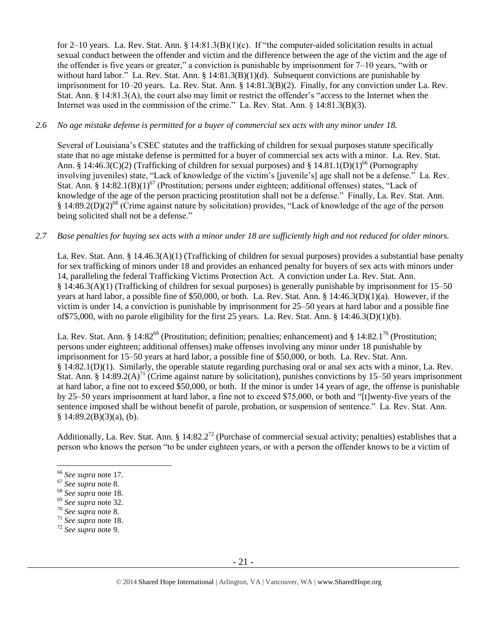for 2–10 years. La. Rev. Stat. Ann. § 14:81.3(B)(1)(c). If "the computer-aided solicitation results in actual sexual conduct between the offender and victim and the difference between the age of the victim and the age of the offender is five years or greater," a conviction is punishable by imprisonment for 7–10 years, "with or without hard labor." La. Rev. Stat. Ann. § 14:81.3(B)(1)(d). Subsequent convictions are punishable by imprisonment for 10–20 years. La. Rev. Stat. Ann. § 14:81.3(B)(2). Finally, for any conviction under La. Rev. Stat. Ann. § 14:81.3(A), the court also may limit or restrict the offender's "access to the Internet when the Internet was used in the commission of the crime." La. Rev. Stat. Ann. § 14:81.3(B)(3).

## *2.6 No age mistake defense is permitted for a buyer of commercial sex acts with any minor under 18.*

Several of Louisiana's CSEC statutes and the trafficking of children for sexual purposes statute specifically state that no age mistake defense is permitted for a buyer of commercial sex acts with a minor. La. Rev. Stat. Ann. § 14:46.3(C)(2) (Trafficking of children for sexual purposes) and § 14.81.1(D)(1)<sup>66</sup> (Pornography involving juveniles) state, "Lack of knowledge of the victim's [juvenile's] age shall not be a defense." La. Rev. Stat. Ann. §  $14:82.1(B)(1)^{67}$  (Prostitution; persons under eighteen; additional offenses) states, "Lack of knowledge of the age of the person practicing prostitution shall not be a defense." Finally, La. Rev. Stat. Ann. § 14:89.2(D)(2)<sup>68</sup> (Crime against nature by solicitation) provides, "Lack of knowledge of the age of the person being solicited shall not be a defense."

## *2.7 Base penalties for buying sex acts with a minor under 18 are sufficiently high and not reduced for older minors.*

La. Rev. Stat. Ann. § 14.46.3(A)(1) (Trafficking of children for sexual purposes) provides a substantial base penalty for sex trafficking of minors under 18 and provides an enhanced penalty for buyers of sex acts with minors under 14, paralleling the federal Trafficking Victims Protection Act. A conviction under La. Rev. Stat. Ann. § 14:46.3(A)(1) (Trafficking of children for sexual purposes) is generally punishable by imprisonment for 15–50 years at hard labor, a possible fine of \$50,000, or both. La. Rev. Stat. Ann. § 14:46.3(D)(1)(a). However, if the victim is under 14, a conviction is punishable by imprisonment for 25–50 years at hard labor and a possible fine of\$75,000, with no parole eligibility for the first 25 years. La. Rev. Stat. Ann. § 14:46.3(D)(1)(b).

La. Rev. Stat. Ann. § 14:82<sup>69</sup> (Prostitution; definition; penalties; enhancement) and § 14:82.1<sup>70</sup> (Prostitution; persons under eighteen; additional offenses) make offenses involving any minor under 18 punishable by imprisonment for 15–50 years at hard labor, a possible fine of \$50,000, or both. La. Rev. Stat. Ann. § 14:82.1(D)(1). Similarly, the operable statute regarding purchasing oral or anal sex acts with a minor, La. Rev. Stat. Ann. §  $14:89.2(A)^{71}$  (Crime against nature by solicitation), punishes convictions by 15–50 years imprisonment at hard labor, a fine not to exceed \$50,000, or both. If the minor is under 14 years of age, the offense is punishable by 25–50 years imprisonment at hard labor, a fine not to exceed \$75,000, or both and "[t]wenty-five years of the sentence imposed shall be without benefit of parole, probation, or suspension of sentence." La. Rev. Stat. Ann.  $§ 14:89.2(B)(3)(a)$ , (b).

Additionally, La. Rev. Stat. Ann. §  $14:82.2^{72}$  (Purchase of commercial sexual activity; penalties) establishes that a person who knows the person "to be under eighteen years, or with a person the offender knows to be a victim of

<sup>66</sup> *See supra* note [17.](#page-5-1)

<sup>67</sup> *See supra* note [8.](#page-3-0)

<sup>68</sup> *See supra* note [18.](#page-5-0)

<sup>69</sup> *See supra* note [32.](#page-11-0)

<sup>70</sup> *See supra* note [8.](#page-3-0)

<sup>71</sup> *See supra* note [18.](#page-5-0)

<sup>72</sup> *See supra* note [9.](#page-3-1)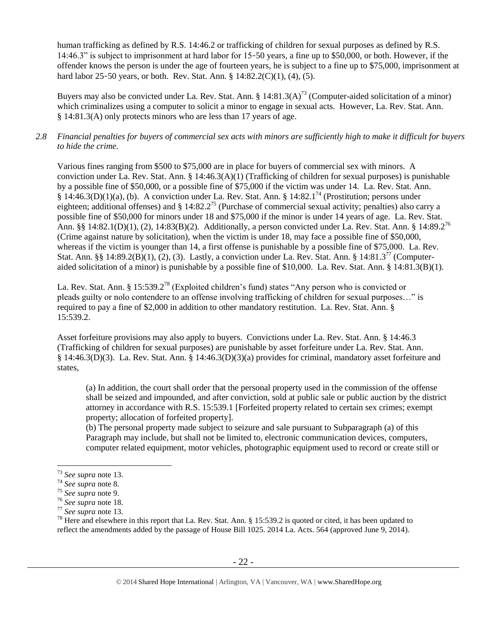human trafficking as defined by R.S. 14:46.2 or trafficking of children for sexual purposes as defined by R.S. 14:46.3" is subject to imprisonment at hard labor for 15–50 years, a fine up to \$50,000, or both. However, if the offender knows the person is under the age of fourteen years, he is subject to a fine up to \$75,000, imprisonment at hard labor 25–50 years, or both. Rev. Stat. Ann. § 14:82.2(C)(1), (4), (5).

Buyers may also be convicted under La. Rev. Stat. Ann. §  $14:81.3(A)^{73}$  (Computer-aided solicitation of a minor) which criminalizes using a computer to solicit a minor to engage in sexual acts. However, La. Rev. Stat. Ann. § 14:81.3(A) only protects minors who are less than 17 years of age.

# *2.8 Financial penalties for buyers of commercial sex acts with minors are sufficiently high to make it difficult for buyers to hide the crime.*

Various fines ranging from \$500 to \$75,000 are in place for buyers of commercial sex with minors. A conviction under La. Rev. Stat. Ann. § 14:46.3(A)(1) (Trafficking of children for sexual purposes) is punishable by a possible fine of \$50,000, or a possible fine of \$75,000 if the victim was under 14. La. Rev. Stat. Ann.  $\S 14:46.3(D)(1)(a)$ , (b). A conviction under La. Rev. Stat. Ann.  $\S 14:82.1^{74}$  (Prostitution; persons under eighteen; additional offenses) and  $\S$  14:82.2<sup>75</sup> (Purchase of commercial sexual activity; penalties) also carry a possible fine of \$50,000 for minors under 18 and \$75,000 if the minor is under 14 years of age. La. Rev. Stat. Ann. §§ 14:82.1(D)(1), (2), 14:83(B)(2). Additionally, a person convicted under La. Rev. Stat. Ann. § 14:89.2<sup>76</sup> (Crime against nature by solicitation), when the victim is under 18, may face a possible fine of \$50,000, whereas if the victim is younger than 14, a first offense is punishable by a possible fine of \$75,000. La. Rev. Stat. Ann. §§ 14:89.2(B)(1), (2), (3). Lastly, a conviction under La. Rev. Stat. Ann. § 14:81.3<sup>77</sup> (Computeraided solicitation of a minor) is punishable by a possible fine of \$10,000. La. Rev. Stat. Ann. § 14:81.3(B)(1).

<span id="page-21-0"></span>La. Rev. Stat. Ann. § 15:539.2<sup>78</sup> (Exploited children's fund) states "Any person who is convicted or pleads guilty or nolo contendere to an offense involving trafficking of children for sexual purposes…" is required to pay a fine of \$2,000 in addition to other mandatory restitution. La. Rev. Stat. Ann. § 15:539.2.

Asset forfeiture provisions may also apply to buyers. Convictions under La. Rev. Stat. Ann. § 14:46.3 (Trafficking of children for sexual purposes) are punishable by asset forfeiture under La. Rev. Stat. Ann. § 14:46.3(D)(3). La. Rev. Stat. Ann. § 14:46.3(D)(3)(a) provides for criminal, mandatory asset forfeiture and states,

(a) In addition, the court shall order that the personal property used in the commission of the offense shall be seized and impounded, and after conviction, sold at public sale or public auction by the district attorney in accordance with R.S. 15:539.1 [Forfeited property related to certain sex crimes; exempt property; allocation of forfeited property].

(b) The personal property made subject to seizure and sale pursuant to Subparagraph (a) of this Paragraph may include, but shall not be limited to, electronic communication devices, computers, computer related equipment, motor vehicles, photographic equipment used to record or create still or

<sup>73</sup> *See supra* note [13.](#page-4-0)

<sup>74</sup> *See supra* note [8.](#page-3-0)

<sup>75</sup> *See supra* note [9.](#page-3-1)

<sup>76</sup> *See supra* note [18.](#page-5-0)

<sup>77</sup> *See supra* note [13.](#page-4-0)

<sup>&</sup>lt;sup>78</sup> Here and elsewhere in this report that La. Rev. Stat. Ann. § 15:539.2 is quoted or cited, it has been updated to reflect the amendments added by the passage of House Bill 1025. 2014 La. Acts. 564 (approved June 9, 2014).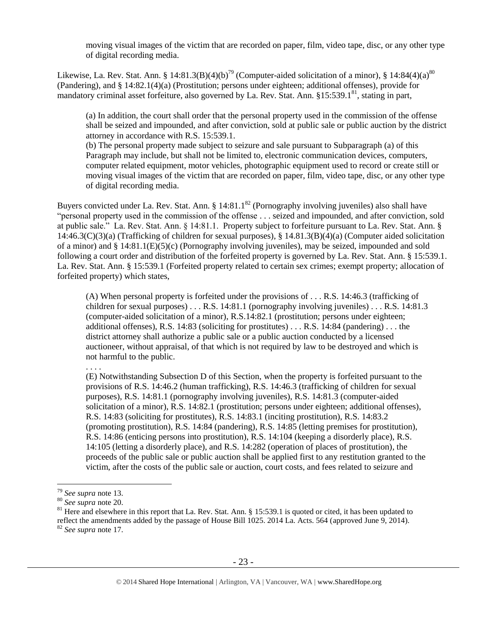moving visual images of the victim that are recorded on paper, film, video tape, disc, or any other type of digital recording media.

Likewise, La. Rev. Stat. Ann. § 14:81.3(B)(4)(b)<sup>79</sup> (Computer-aided solicitation of a minor), § 14:84(4)(a)<sup>80</sup> (Pandering), and § 14:82.1(4)(a) (Prostitution; persons under eighteen; additional offenses), provide for mandatory criminal asset forfeiture, also governed by La. Rev. Stat. Ann. §15:539.1<sup>81</sup>, stating in part,

<span id="page-22-0"></span>(a) In addition, the court shall order that the personal property used in the commission of the offense shall be seized and impounded, and after conviction, sold at public sale or public auction by the district attorney in accordance with R.S. 15:539.1.

(b) The personal property made subject to seizure and sale pursuant to Subparagraph (a) of this Paragraph may include, but shall not be limited to, electronic communication devices, computers, computer related equipment, motor vehicles, photographic equipment used to record or create still or moving visual images of the victim that are recorded on paper, film, video tape, disc, or any other type of digital recording media.

Buyers convicted under La. Rev. Stat. Ann. §  $14:81.1<sup>82</sup>$  (Pornography involving juveniles) also shall have "personal property used in the commission of the offense . . . seized and impounded, and after conviction, sold at public sale." La. Rev. Stat. Ann. § 14:81.1. Property subject to forfeiture pursuant to La. Rev. Stat. Ann. § 14:46.3(C)(3)(a) (Trafficking of children for sexual purposes), § 14.81.3(B)(4)(a) (Computer aided solicitation of a minor) and § 14:81.1(E)(5)(c) (Pornography involving juveniles), may be seized, impounded and sold following a court order and distribution of the forfeited property is governed by La. Rev. Stat. Ann. § 15:539.1. La. Rev. Stat. Ann. § 15:539.1 (Forfeited property related to certain sex crimes; exempt property; allocation of forfeited property) which states,

(A) When personal property is forfeited under the provisions of . . . R.S. 14:46.3 (trafficking of children for sexual purposes) . . . R.S. 14:81.1 (pornography involving juveniles) . . . R.S. 14:81.3 (computer-aided solicitation of a minor), R.S.14:82.1 (prostitution; persons under eighteen; additional offenses), R.S.  $14:83$  (soliciting for prostitutes) . . . R.S.  $14:84$  (pandering) . . . the district attorney shall authorize a public sale or a public auction conducted by a licensed auctioneer, without appraisal, of that which is not required by law to be destroyed and which is not harmful to the public.

(E) Notwithstanding Subsection D of this Section, when the property is forfeited pursuant to the provisions of R.S. 14:46.2 (human trafficking), R.S. 14:46.3 (trafficking of children for sexual purposes), R.S. 14:81.1 (pornography involving juveniles), R.S. 14:81.3 (computer-aided solicitation of a minor), R.S. 14:82.1 (prostitution; persons under eighteen; additional offenses), R.S. 14:83 (soliciting for prostitutes), R.S. 14:83.1 (inciting prostitution), R.S. 14:83.2 (promoting prostitution), R.S. 14:84 (pandering), R.S. 14:85 (letting premises for prostitution), R.S. 14:86 (enticing persons into prostitution), R.S. 14:104 (keeping a disorderly place), R.S. 14:105 (letting a disorderly place), and R.S. 14:282 (operation of places of prostitution), the proceeds of the public sale or public auction shall be applied first to any restitution granted to the victim, after the costs of the public sale or auction, court costs, and fees related to seizure and

<sup>. . . .</sup> 

<sup>79</sup> *See supra* note [13.](#page-4-0)

<sup>80</sup> *See supra* note [20.](#page-6-0)

 $81$  Here and elsewhere in this report that La. Rev. Stat. Ann. § 15:539.1 is quoted or cited, it has been updated to reflect the amendments added by the passage of House Bill 1025. 2014 La. Acts. 564 (approved June 9, 2014). <sup>82</sup> *See supra* note [17.](#page-5-1)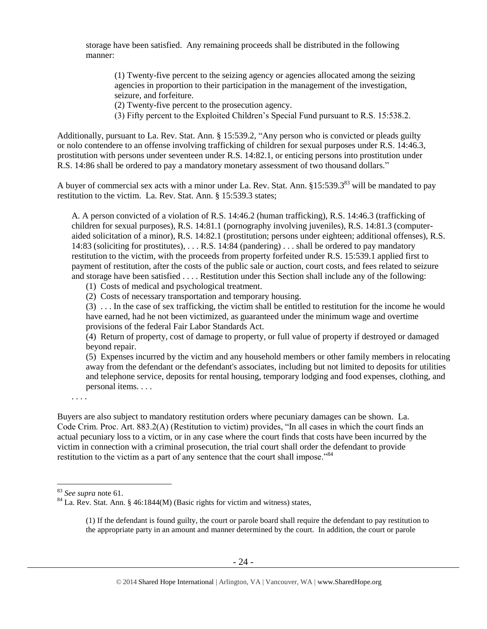storage have been satisfied. Any remaining proceeds shall be distributed in the following manner:

(1) Twenty-five percent to the seizing agency or agencies allocated among the seizing agencies in proportion to their participation in the management of the investigation, seizure, and forfeiture.

(2) Twenty-five percent to the prosecution agency.

(3) Fifty percent to the Exploited Children's Special Fund pursuant to R.S. 15:538.2.

Additionally, pursuant to La. Rev. Stat. Ann. § 15:539.2, "Any person who is convicted or pleads guilty or nolo contendere to an offense involving trafficking of children for sexual purposes under R.S. 14:46.3, prostitution with persons under seventeen under R.S. 14:82.1, or enticing persons into prostitution under R.S. 14:86 shall be ordered to pay a mandatory monetary assessment of two thousand dollars."

A buyer of commercial sex acts with a minor under La. Rev. Stat. Ann. §15:539.3<sup>83</sup> will be mandated to pay restitution to the victim. La. Rev. Stat. Ann. § 15:539.3 states;

A. A person convicted of a violation of R.S. 14:46.2 (human trafficking), R.S. 14:46.3 (trafficking of children for sexual purposes), R.S. 14:81.1 (pornography involving juveniles), R.S. 14:81.3 (computeraided solicitation of a minor), R.S. 14:82.1 (prostitution; persons under eighteen; additional offenses), R.S. 14:83 (soliciting for prostitutes), . . . R.S. 14:84 (pandering) . . . shall be ordered to pay mandatory restitution to the victim, with the proceeds from property forfeited under R.S. 15:539.1 applied first to payment of restitution, after the costs of the public sale or auction, court costs, and fees related to seizure and storage have been satisfied . . . . Restitution under this Section shall include any of the following:

(1) Costs of medical and psychological treatment.

(2) Costs of necessary transportation and temporary housing.

(3) . . . In the case of sex trafficking, the victim shall be entitled to restitution for the income he would have earned, had he not been victimized, as guaranteed under the minimum wage and overtime provisions of the federal Fair Labor Standards Act.

(4) Return of property, cost of damage to property, or full value of property if destroyed or damaged beyond repair.

(5) Expenses incurred by the victim and any household members or other family members in relocating away from the defendant or the defendant's associates, including but not limited to deposits for utilities and telephone service, deposits for rental housing, temporary lodging and food expenses, clothing, and personal items. . . .

. . . .

Buyers are also subject to mandatory restitution orders where pecuniary damages can be shown. La. Code Crim. Proc. Art. 883.2(A) (Restitution to victim) provides, "In all cases in which the court finds an actual pecuniary loss to a victim, or in any case where the court finds that costs have been incurred by the victim in connection with a criminal prosecution, the trial court shall order the defendant to provide restitution to the victim as a part of any sentence that the court shall impose."<sup>84</sup>

<sup>83</sup> *See supra* note [61.](#page-18-0)

<sup>84</sup> La. Rev. Stat. Ann. § 46:1844(M) (Basic rights for victim and witness) states,

<span id="page-23-0"></span><sup>(1)</sup> If the defendant is found guilty, the court or parole board shall require the defendant to pay restitution to the appropriate party in an amount and manner determined by the court. In addition, the court or parole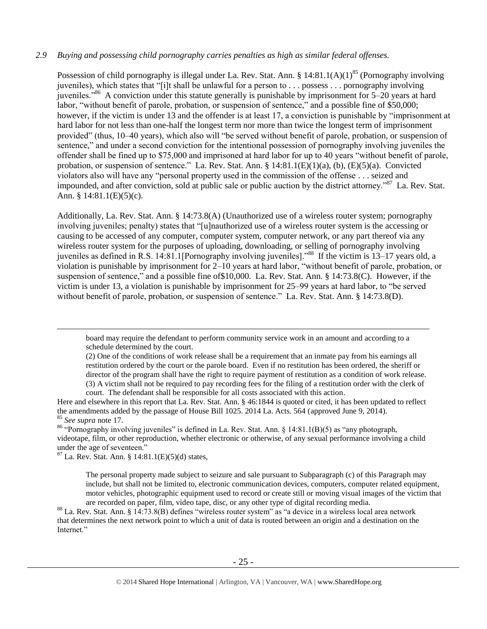## *2.9 Buying and possessing child pornography carries penalties as high as similar federal offenses.*

<span id="page-24-0"></span>Possession of child pornography is illegal under La. Rev. Stat. Ann. § 14:81.1(A)(1)<sup>85</sup> (Pornography involving juveniles), which states that "[i]t shall be unlawful for a person to . . . possess . . . pornography involving juveniles."<sup>86</sup> A conviction under this statute generally is punishable by imprisonment for 5–20 years at hard labor, "without benefit of parole, probation, or suspension of sentence," and a possible fine of \$50,000; however, if the victim is under 13 and the offender is at least 17, a conviction is punishable by "imprisonment at hard labor for not less than one-half the longest term nor more than twice the longest term of imprisonment provided" (thus, 10–40 years), which also will "be served without benefit of parole, probation, or suspension of sentence," and under a second conviction for the intentional possession of pornography involving juveniles the offender shall be fined up to \$75,000 and imprisoned at hard labor for up to 40 years "without benefit of parole, probation, or suspension of sentence." La. Rev. Stat. Ann. § 14:81.1(E)(1)(a), (b), (E)(5)(a). Convicted violators also will have any "personal property used in the commission of the offense . . . seized and impounded, and after conviction, sold at public sale or public auction by the district attorney."<sup>87</sup> La. Rev. Stat. Ann. § 14:81.1(E)(5)(c).

Additionally, La. Rev. Stat. Ann. § 14:73.8(A) (Unauthorized use of a wireless router system; pornography involving juveniles; penalty) states that "[u]nauthorized use of a wireless router system is the accessing or causing to be accessed of any computer, computer system, computer network, or any part thereof via any wireless router system for the purposes of uploading, downloading, or selling of pornography involving juveniles as defined in R.S. 14:81.1[Pornography involving juveniles]."<sup>88</sup> If the victim is 13–17 years old, a violation is punishable by imprisonment for 2–10 years at hard labor, "without benefit of parole, probation, or suspension of sentence," and a possible fine of\$10,000. La. Rev. Stat. Ann. § 14:73.8(C). However, if the victim is under 13, a violation is punishable by imprisonment for 25–99 years at hard labor, to "be served without benefit of parole, probation, or suspension of sentence." La. Rev. Stat. Ann. § 14:73.8(D).

board may require the defendant to perform community service work in an amount and according to a schedule determined by the court.

(2) One of the conditions of work release shall be a requirement that an inmate pay from his earnings all restitution ordered by the court or the parole board. Even if no restitution has been ordered, the sheriff or director of the program shall have the right to require payment of restitution as a condition of work release. (3) A victim shall not be required to pay recording fees for the filing of a restitution order with the clerk of court. The defendant shall be responsible for all costs associated with this action.

Here and elsewhere in this report that La. Rev. Stat. Ann. § 46:1844 is quoted or cited, it has been updated to reflect the amendments added by the passage of House Bill 1025. 2014 La. Acts. 564 (approved June 9, 2014). <sup>85</sup> *See supra* note [17.](#page-5-1)

<sup>86</sup> "Pornography involving juveniles" is defined in La. Rev. Stat. Ann. § 14:81.1(B)(5) as "any photograph, videotape, film, or other reproduction, whether electronic or otherwise, of any sexual performance involving a child under the age of seventeen."

 $87$  La. Rev. Stat. Ann. § 14:81.1(E)(5)(d) states,

 $\overline{a}$ 

The personal property made subject to seizure and sale pursuant to Subparagraph (c) of this Paragraph may include, but shall not be limited to, electronic communication devices, computers, computer related equipment, motor vehicles, photographic equipment used to record or create still or moving visual images of the victim that are recorded on paper, film, video tape, disc, or any other type of digital recording media.

<sup>88</sup> La. Rev. Stat. Ann. § 14:73.8(B) defines "wireless router system" as "a device in a wireless local area network that determines the next network point to which a unit of data is routed between an origin and a destination on the Internet."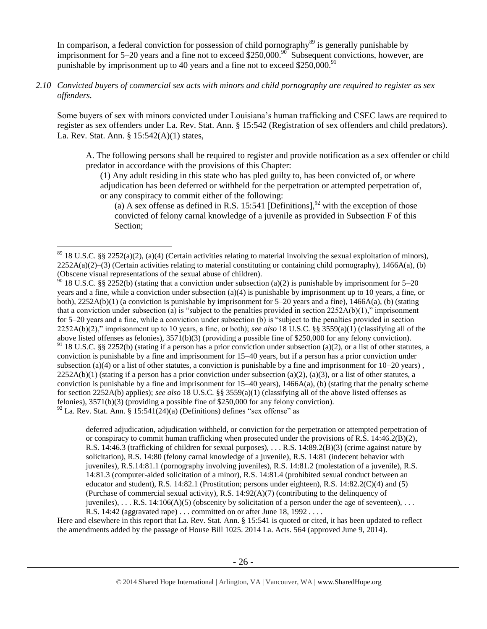In comparison, a federal conviction for possession of child pornography<sup>89</sup> is generally punishable by imprisonment for 5–20 years and a fine not to exceed \$250,000.<sup>90</sup> Subsequent convictions, however, are punishable by imprisonment up to 40 years and a fine not to exceed  $$250,000.<sup>91</sup>$ 

*2.10 Convicted buyers of commercial sex acts with minors and child pornography are required to register as sex offenders.*

Some buyers of sex with minors convicted under Louisiana's human trafficking and CSEC laws are required to register as sex offenders under La. Rev. Stat. Ann. § 15:542 (Registration of sex offenders and child predators). La. Rev. Stat. Ann. § 15:542(A)(1) states,

A. The following persons shall be required to register and provide notification as a sex offender or child predator in accordance with the provisions of this Chapter:

(1) Any adult residing in this state who has pled guilty to, has been convicted of, or where adjudication has been deferred or withheld for the perpetration or attempted perpetration of, or any conspiracy to commit either of the following:

<span id="page-25-0"></span>(a) A sex offense as defined in R.S. 15:541 [Definitions],  $^{92}$  with the exception of those convicted of felony carnal knowledge of a juvenile as provided in Subsection F of this Section;

 $\overline{a}$ 

<sup>90</sup> 18 U.S.C. §§ 2252(b) (stating that a conviction under subsection (a)(2) is punishable by imprisonment for 5–20 years and a fine, while a conviction under subsection (a)(4) is punishable by imprisonment up to 10 years, a fine, or both), 2252A(b)(1) (a conviction is punishable by imprisonment for 5–20 years and a fine), 1466A(a), (b) (stating that a conviction under subsection (a) is "subject to the penalties provided in section  $2252A(b)(1)$ ," imprisonment for 5–20 years and a fine, while a conviction under subsection (b) is "subject to the penalties provided in section 2252A(b)(2)," imprisonment up to 10 years, a fine, or both); *see also* 18 U.S.C. §§ 3559(a)(1) (classifying all of the above listed offenses as felonies), 3571(b)(3) (providing a possible fine of \$250,000 for any felony conviction). 91 18 U.S.C. §§ 2252(b) (stating if a person has a prior conviction under subsection (a)(2), or a list of other statutes, a conviction is punishable by a fine and imprisonment for 15–40 years, but if a person has a prior conviction under subsection (a)(4) or a list of other statutes, a conviction is punishable by a fine and imprisonment for  $10-20$  years),  $2252A(b)(1)$  (stating if a person has a prior conviction under subsection (a)(2), (a)(3), or a list of other statutes, a conviction is punishable by a fine and imprisonment for  $15-40$  years),  $1466A(a)$ , (b) (stating that the penalty scheme for section 2252A(b) applies); *see also* 18 U.S.C. §§ 3559(a)(1) (classifying all of the above listed offenses as felonies), 3571(b)(3) (providing a possible fine of \$250,000 for any felony conviction).  $92$  La. Rev. Stat. Ann. § 15:541(24)(a) (Definitions) defines "sex offense" as

deferred adjudication, adjudication withheld, or conviction for the perpetration or attempted perpetration of or conspiracy to commit human trafficking when prosecuted under the provisions of R.S.  $14:46.2(B)(2)$ , R.S. 14:46.3 (trafficking of children for sexual purposes), . . . R.S. 14:89.2(B)(3) (crime against nature by solicitation), R.S. 14:80 (felony carnal knowledge of a juvenile), R.S. 14:81 (indecent behavior with juveniles), R.S.14:81.1 (pornography involving juveniles), R.S. 14:81.2 (molestation of a juvenile), R.S. 14:81.3 (computer-aided solicitation of a minor), R.S. 14:81.4 (prohibited sexual conduct between an educator and student), R.S. 14:82.1 (Prostitution; persons under eighteen), R.S. 14:82.2(C)(4) and (5) (Purchase of commercial sexual activity), R.S.  $14:92(A)(7)$  (contributing to the delinquency of juveniles), ... R.S. 14:106(A)(5) (obscenity by solicitation of a person under the age of seventeen), ... R.S. 14:42 (aggravated rape) . . . committed on or after June 18, 1992 . . . .

Here and elsewhere in this report that La. Rev. Stat. Ann. § 15:541 is quoted or cited, it has been updated to reflect the amendments added by the passage of House Bill 1025. 2014 La. Acts. 564 (approved June 9, 2014).

 $89$  18 U.S.C. §§ 2252(a)(2), (a)(4) (Certain activities relating to material involving the sexual exploitation of minors),  $2252A(a)(2)$ –(3) (Certain activities relating to material constituting or containing child pornography), 1466A(a), (b) (Obscene visual representations of the sexual abuse of children).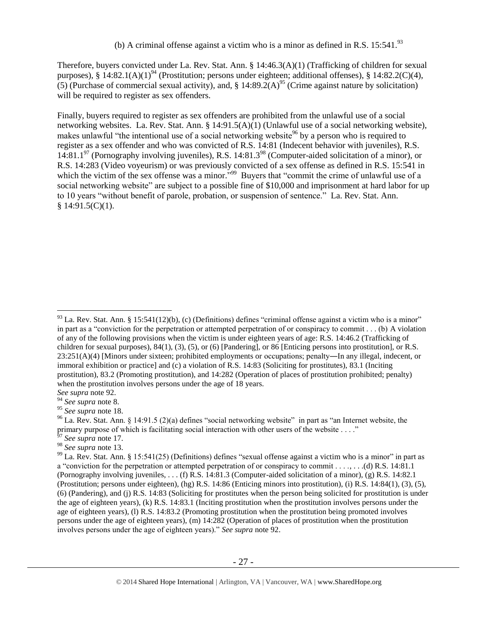<span id="page-26-0"></span>Therefore, buyers convicted under La. Rev. Stat. Ann. § 14:46.3(A)(1) (Trafficking of children for sexual purposes), § 14:82.1(A)(1)<sup>94</sup> (Prostitution; persons under eighteen; additional offenses), § 14:82.2(C)(4), (5) (Purchase of commercial sexual activity), and,  $\S$  14:89.2(A)<sup>95</sup> (Crime against nature by solicitation) will be required to register as sex offenders.

<span id="page-26-1"></span>Finally, buyers required to register as sex offenders are prohibited from the unlawful use of a social networking websites. La. Rev. Stat. Ann. § 14:91.5(A)(1) (Unlawful use of a social networking website), makes unlawful "the intentional use of a social networking website<sup>96</sup> by a person who is required to register as a sex offender and who was convicted of R.S. 14:81 (Indecent behavior with juveniles), R.S. 14:81.1<sup>97</sup> (Pornography involving juveniles), R.S. 14:81.3<sup>98</sup> (Computer-aided solicitation of a minor), or R.S. 14:283 (Video voyeurism) or was previously convicted of a sex offense as defined in R.S. 15:541 in which the victim of the sex offense was a minor.<sup>599</sup> Buyers that "commit the crime of unlawful use of a social networking website" are subject to a possible fine of \$10,000 and imprisonment at hard labor for up to 10 years "without benefit of parole, probation, or suspension of sentence." La. Rev. Stat. Ann.  $$14:91.5(C)(1).$ 

 $93$  La. Rev. Stat. Ann. § 15:541(12)(b), (c) (Definitions) defines "criminal offense against a victim who is a minor" in part as a "conviction for the perpetration or attempted perpetration of or conspiracy to commit . . . (b) A violation of any of the following provisions when the victim is under eighteen years of age: R.S. 14:46.2 (Trafficking of children for sexual purposes), 84(1), (3), (5), or (6) [Pandering], or 86 [Enticing persons into prostitution], or R.S.  $23:251(A)(4)$  [Minors under sixteen; prohibited employments or occupations; penalty—In any illegal, indecent, or immoral exhibition or practice] and (c) a violation of R.S. 14:83 (Soliciting for prostitutes), 83.1 (Inciting prostitution), 83.2 (Promoting prostitution), and 14:282 (Operation of places of prostitution prohibited; penalty) when the prostitution involves persons under the age of 18 years.

*See supra* note [92.](#page-25-0)

<sup>94</sup> *See supra* note [8.](#page-3-0)

<sup>95</sup> *See supra* note [18.](#page-5-0)

 $96$  La. Rev. Stat. Ann. § 14:91.5 (2)(a) defines "social networking website" in part as "an Internet website, the primary purpose of which is facilitating social interaction with other users of the website . . . ."

See supra note [17.](#page-5-1)

<sup>98</sup> *See supra* note [13.](#page-4-0)

 $99$  La. Rev. Stat. Ann. § 15:541(25) (Definitions) defines "sexual offense against a victim who is a minor" in part as a "conviction for the perpetration or attempted perpetration of or conspiracy to commit . . . . . . . . . (d) R.S. 14:81.1 (Pornography involving juveniles, . . . (f) R.S. 14:81.3 (Computer-aided solicitation of a minor), (g) R.S. 14:82.1 (Prostitution; persons under eighteen), (hg) R.S. 14:86 (Enticing minors into prostitution), (i) R.S. 14:84(1), (3), (5), (6) (Pandering), and (j) R.S. 14:83 (Soliciting for prostitutes when the person being solicited for prostitution is under the age of eighteen years), (k) R.S. 14:83.1 (Inciting prostitution when the prostitution involves persons under the age of eighteen years), (l) R.S. 14:83.2 (Promoting prostitution when the prostitution being promoted involves persons under the age of eighteen years), (m) 14:282 (Operation of places of prostitution when the prostitution involves persons under the age of eighteen years)." *See supra* note [92.](#page-25-0)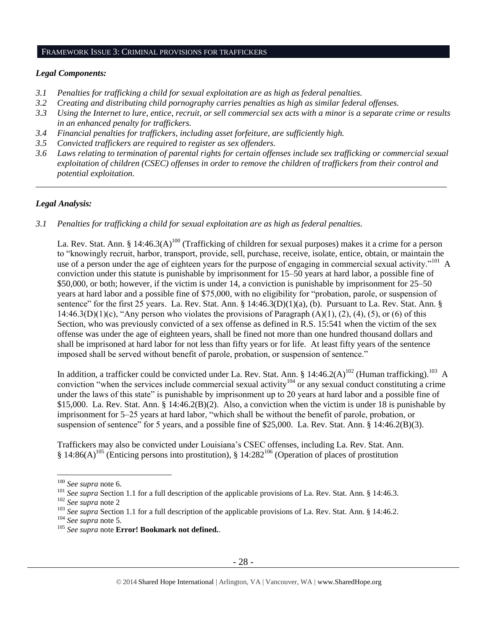## FRAMEWORK ISSUE 3: CRIMINAL PROVISIONS FOR TRAFFICKERS

## *Legal Components:*

- *3.1 Penalties for trafficking a child for sexual exploitation are as high as federal penalties.*
- *3.2 Creating and distributing child pornography carries penalties as high as similar federal offenses.*
- *3.3 Using the Internet to lure, entice, recruit, or sell commercial sex acts with a minor is a separate crime or results in an enhanced penalty for traffickers.*
- *3.4 Financial penalties for traffickers, including asset forfeiture, are sufficiently high.*
- *3.5 Convicted traffickers are required to register as sex offenders.*
- *3.6 Laws relating to termination of parental rights for certain offenses include sex trafficking or commercial sexual exploitation of children (CSEC) offenses in order to remove the children of traffickers from their control and potential exploitation.*

*\_\_\_\_\_\_\_\_\_\_\_\_\_\_\_\_\_\_\_\_\_\_\_\_\_\_\_\_\_\_\_\_\_\_\_\_\_\_\_\_\_\_\_\_\_\_\_\_\_\_\_\_\_\_\_\_\_\_\_\_\_\_\_\_\_\_\_\_\_\_\_\_\_\_\_\_\_\_\_\_\_\_\_\_\_\_\_\_\_\_\_\_\_\_*

# *Legal Analysis:*

*3.1 Penalties for trafficking a child for sexual exploitation are as high as federal penalties.*

La. Rev. Stat. Ann. § 14:46.3(A)<sup>100</sup> (Trafficking of children for sexual purposes) makes it a crime for a person to "knowingly recruit, harbor, transport, provide, sell, purchase, receive, isolate, entice, obtain, or maintain the use of a person under the age of eighteen years for the purpose of engaging in commercial sexual activity."<sup>101</sup> A conviction under this statute is punishable by imprisonment for 15–50 years at hard labor, a possible fine of \$50,000, or both; however, if the victim is under 14, a conviction is punishable by imprisonment for 25–50 years at hard labor and a possible fine of \$75,000, with no eligibility for "probation, parole, or suspension of sentence" for the first 25 years. La. Rev. Stat. Ann. § 14:46.3(D)(1)(a), (b). Pursuant to La. Rev. Stat. Ann. § 14:46.3(D)(1)(c), "Any person who violates the provisions of Paragraph  $(A)(1)$ ,  $(2)$ ,  $(4)$ ,  $(5)$ , or  $(6)$  of this Section, who was previously convicted of a sex offense as defined in R.S. 15:541 when the victim of the sex offense was under the age of eighteen years, shall be fined not more than one hundred thousand dollars and shall be imprisoned at hard labor for not less than fifty years or for life. At least fifty years of the sentence imposed shall be served without benefit of parole, probation, or suspension of sentence."

In addition, a trafficker could be convicted under La. Rev. Stat. Ann. § 14:46.2(A)<sup>102</sup> (Human trafficking).<sup>103</sup> A conviction "when the services include commercial sexual activity<sup>104</sup> or any sexual conduct constituting a crime under the laws of this state" is punishable by imprisonment up to 20 years at hard labor and a possible fine of \$15,000. La. Rev. Stat. Ann. § 14:46.2(B)(2). Also, a conviction when the victim is under 18 is punishable by imprisonment for 5–25 years at hard labor, "which shall be without the benefit of parole, probation, or suspension of sentence" for 5 years, and a possible fine of \$25,000. La. Rev. Stat. Ann. § 14:46.2(B)(3).

Traffickers may also be convicted under Louisiana's CSEC offenses, including La. Rev. Stat. Ann.  $\S 14:86(A)^{105}$  (Enticing persons into prostitution),  $\S 14:282^{106}$  (Operation of places of prostitution

<sup>100</sup> *See supra* not[e 6.](#page-2-0)

<sup>&</sup>lt;sup>101</sup> See supra Section 1.1 for a full description of the applicable provisions of La. Rev. Stat. Ann. § 14:46.3.

<sup>102</sup> *See supra* not[e 2](#page-0-0)

<sup>&</sup>lt;sup>103</sup> See supra Section 1.1 for a full description of the applicable provisions of La. Rev. Stat. Ann. § 14:46.2.

<sup>104</sup> *See supra* not[e 5.](#page-1-0)

<sup>105</sup> *See supra* note **Error! Bookmark not defined.**.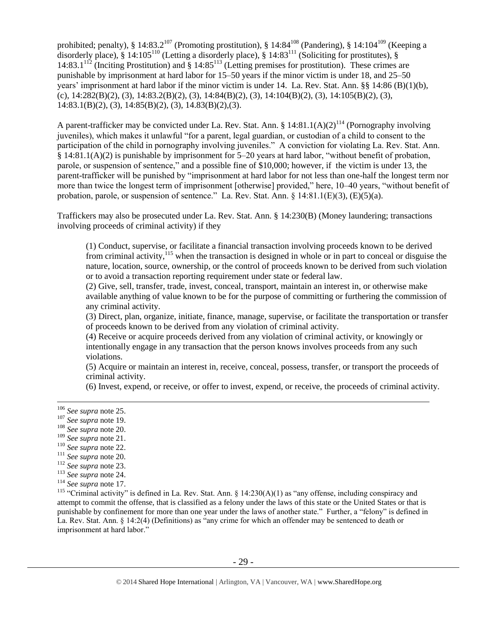prohibited; penalty), § 14:83.2<sup>107</sup> (Promoting prostitution), § 14:84<sup>108</sup> (Pandering), § 14:104<sup>109</sup> (Keeping a disorderly place), § 14:105<sup>110</sup> (Letting a disorderly place), § 14:83<sup>111</sup> (Soliciting for prostitutes), § 14:83.1 $^{112}$  (Inciting Prostitution) and § 14:85<sup>113</sup> (Letting premises for prostitution). These crimes are punishable by imprisonment at hard labor for 15–50 years if the minor victim is under 18, and 25–50 years' imprisonment at hard labor if the minor victim is under 14. La. Rev. Stat. Ann. §§ 14:86 (B)(1)(b),  $(c)$ ,  $14:282(B)(2)$ ,  $(3)$ ,  $14:83.2(B)(2)$ ,  $(3)$ ,  $14:84(B)(2)$ ,  $(3)$ ,  $14:104(B)(2)$ ,  $(3)$ ,  $14:105(B)(2)$ ,  $(3)$ , 14:83.1(B)(2), (3), 14:85(B)(2), (3), 14.83(B)(2),(3).

A parent-trafficker may be convicted under La. Rev. Stat. Ann. § 14:81.1(A)(2)<sup>114</sup> (Pornography involving juveniles), which makes it unlawful "for a parent, legal guardian, or custodian of a child to consent to the participation of the child in pornography involving juveniles." A conviction for violating La. Rev. Stat. Ann. § 14:81.1(A)(2) is punishable by imprisonment for 5–20 years at hard labor, "without benefit of probation, parole, or suspension of sentence," and a possible fine of \$10,000; however, if the victim is under 13, the parent-trafficker will be punished by "imprisonment at hard labor for not less than one-half the longest term nor more than twice the longest term of imprisonment [otherwise] provided," here, 10–40 years, "without benefit of probation, parole, or suspension of sentence." La. Rev. Stat. Ann. § 14:81.1(E)(3), (E)(5)(a).

Traffickers may also be prosecuted under La. Rev. Stat. Ann. § 14:230(B) (Money laundering; transactions involving proceeds of criminal activity) if they

(1) Conduct, supervise, or facilitate a financial transaction involving proceeds known to be derived from criminal activity,  $^{115}$  when the transaction is designed in whole or in part to conceal or disguise the nature, location, source, ownership, or the control of proceeds known to be derived from such violation or to avoid a transaction reporting requirement under state or federal law.

(2) Give, sell, transfer, trade, invest, conceal, transport, maintain an interest in, or otherwise make available anything of value known to be for the purpose of committing or furthering the commission of any criminal activity.

(3) Direct, plan, organize, initiate, finance, manage, supervise, or facilitate the transportation or transfer of proceeds known to be derived from any violation of criminal activity.

(4) Receive or acquire proceeds derived from any violation of criminal activity, or knowingly or intentionally engage in any transaction that the person knows involves proceeds from any such violations.

(5) Acquire or maintain an interest in, receive, conceal, possess, transfer, or transport the proceeds of criminal activity.

(6) Invest, expend, or receive, or offer to invest, expend, or receive, the proceeds of criminal activity.

 $\overline{a}$ 

- <sup>108</sup> *See supra* not[e 20.](#page-6-0)
- <sup>109</sup> *See supra* not[e 21.](#page-6-2)
- <sup>110</sup> *See supra* not[e 22.](#page-6-3)
- <sup>111</sup> *See supra* note 20.
- <sup>112</sup> *See supra* not[e 23.](#page-7-1)

<sup>114</sup> *See supra* not[e 17.](#page-5-1)

<sup>115</sup> "Criminal activity" is defined in La. Rev. Stat. Ann. §  $14:230(A)(1)$  as "any offense, including conspiracy and attempt to commit the offense, that is classified as a felony under the laws of this state or the United States or that is punishable by confinement for more than one year under the laws of another state." Further, a "felony" is defined in La. Rev. Stat. Ann. § 14:2(4) (Definitions) as "any crime for which an offender may be sentenced to death or imprisonment at hard labor."

- 29 -

<sup>106</sup> *See supra* not[e 25.](#page-7-0)

<sup>107</sup> *See supra* not[e 19.](#page-6-1)

<sup>113</sup> *See supra* not[e 24.](#page-7-2)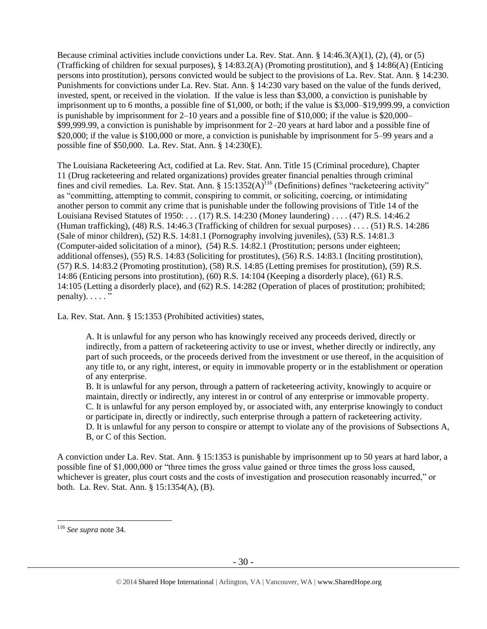Because criminal activities include convictions under La. Rev. Stat. Ann. § 14:46.3(A)(1), (2), (4), or (5) (Trafficking of children for sexual purposes), § 14:83.2(A) (Promoting prostitution), and § 14:86(A) (Enticing persons into prostitution), persons convicted would be subject to the provisions of La. Rev. Stat. Ann. § 14:230. Punishments for convictions under La. Rev. Stat. Ann. § 14:230 vary based on the value of the funds derived, invested, spent, or received in the violation. If the value is less than \$3,000, a conviction is punishable by imprisonment up to 6 months, a possible fine of \$1,000, or both; if the value is \$3,000–\$19,999.99, a conviction is punishable by imprisonment for 2–10 years and a possible fine of \$10,000; if the value is \$20,000– \$99,999.99, a conviction is punishable by imprisonment for 2–20 years at hard labor and a possible fine of \$20,000; if the value is \$100,000 or more, a conviction is punishable by imprisonment for 5–99 years and a possible fine of \$50,000. La. Rev. Stat. Ann. § 14:230(E).

The Louisiana Racketeering Act, codified at La. Rev. Stat. Ann. Title 15 (Criminal procedure), Chapter 11 (Drug racketeering and related organizations) provides greater financial penalties through criminal fines and civil remedies. La. Rev. Stat. Ann. §  $15:1352(A)^{116}$  (Definitions) defines "racketeering activity" as "committing, attempting to commit, conspiring to commit, or soliciting, coercing, or intimidating another person to commit any crime that is punishable under the following provisions of Title 14 of the Louisiana Revised Statutes of 1950: . . . (17) [R.S. 14:230](https://owa.regent.edu/owa/redir.aspx?C=0e2d79adea07471dbdda445e0bdec5a1&URL=https%3a%2f%2fwww.lexis.com%2fresearch%2fbuttonTFLink%3f_m%3d77bedd41a1d353e2f7fb983c7e7d9776%26_xfercite%3d%253ccite%2520cc%253d%2522USA%2522%253e%253c%2521%255bCDATA%255bLa.%2520R.S.%252015%253a1352%255d%255d%253e%253c%252fcite%253e%26_butType%3d4%26_butStat%3d0%26_butNum%3d17%26_butInline%3d1%26_butinfo%3dLACODE%252014%253a230%26_fmtstr%3dFULL%26docnum%3d1%26_startdoc%3d1%26wchp%3ddGLbVzS-zSkAA%26_md5%3d250b0b7bf18842c9490cfcc3fc704d6e) (Money laundering) . . . . (47) R.S. 14:46.2 (Human trafficking), (48) R.S. 14:46.3 (Trafficking of children for sexual purposes) . . . . (51) R.S. 14:286 (Sale of minor children), (52) R.S. 14:81.1 (Pornography involving juveniles), (53) R.S. 14:81.3 (Computer-aided solicitation of a minor), (54) R.S. 14:82.1 (Prostitution; persons under eighteen; additional offenses), (55) R.S. 14:83 (Soliciting for prostitutes), (56) R.S. 14:83.1 (Inciting prostitution), (57) R.S. 14:83.2 (Promoting prostitution), (58) R.S. 14:85 (Letting premises for prostitution), (59) R.S. 14:86 (Enticing persons into prostitution), (60) R.S. 14:104 (Keeping a disorderly place), (61) R.S. 14:105 (Letting a disorderly place), and (62) R.S. 14:282 (Operation of places of prostitution; prohibited;  $penalty$ ).  $\ldots$  ."

La. Rev. Stat. Ann. § 15:1353 (Prohibited activities) states,

A. It is unlawful for any person who has knowingly received any proceeds derived, directly or indirectly, from a pattern of racketeering activity to use or invest, whether directly or indirectly, any part of such proceeds, or the proceeds derived from the investment or use thereof, in the acquisition of any title to, or any right, interest, or equity in immovable property or in the establishment or operation of any enterprise.

B. It is unlawful for any person, through a pattern of racketeering activity, knowingly to acquire or maintain, directly or indirectly, any interest in or control of any enterprise or immovable property. C. It is unlawful for any person employed by, or associated with, any enterprise knowingly to conduct or participate in, directly or indirectly, such enterprise through a pattern of racketeering activity. D. It is unlawful for any person to conspire or attempt to violate any of the provisions of Subsections A, B, or C of this Section.

A conviction under La. Rev. Stat. Ann. § 15:1353 is punishable by imprisonment up to 50 years at hard labor, a possible fine of \$1,000,000 or "three times the gross value gained or three times the gross loss caused, whichever is greater, plus court costs and the costs of investigation and prosecution reasonably incurred," or both. La. Rev. Stat. Ann. § 15:1354(A), (B).

<sup>116</sup> *See supra* not[e 34.](#page-12-0)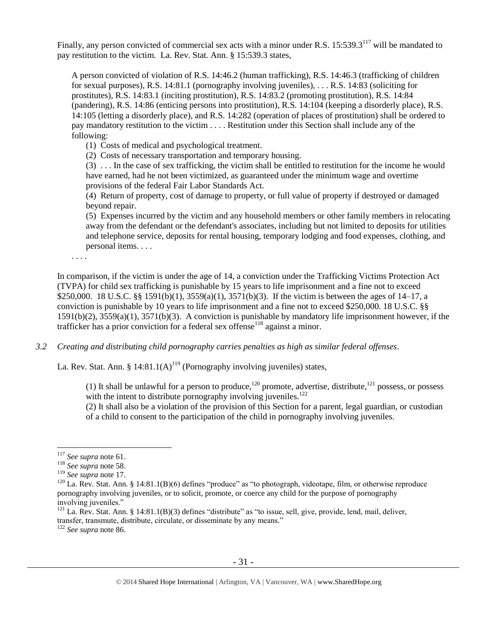Finally, any person convicted of commercial sex acts with a minor under R.S. 15:539.3<sup>117</sup> will be mandated to pay restitution to the victim. La. Rev. Stat. Ann. § 15:539.3 states,

A person convicted of violation of R.S. 14:46.2 (human trafficking), R.S. 14:46.3 (trafficking of children for sexual purposes), R.S. 14:81.1 (pornography involving juveniles), . . . R.S. 14:83 (soliciting for prostitutes), R.S. 14:83.1 (inciting prostitution), R.S. 14:83.2 (promoting prostitution), R.S. 14:84 (pandering), R.S. 14:86 (enticing persons into prostitution), R.S. 14:104 (keeping a disorderly place), R.S. 14:105 (letting a disorderly place), and R.S. 14:282 (operation of places of prostitution) shall be ordered to pay mandatory restitution to the victim . . . . Restitution under this Section shall include any of the following:

(1) Costs of medical and psychological treatment.

(2) Costs of necessary transportation and temporary housing.

(3) . . . In the case of sex trafficking, the victim shall be entitled to restitution for the income he would have earned, had he not been victimized, as guaranteed under the minimum wage and overtime provisions of the federal Fair Labor Standards Act.

(4) Return of property, cost of damage to property, or full value of property if destroyed or damaged beyond repair.

(5) Expenses incurred by the victim and any household members or other family members in relocating away from the defendant or the defendant's associates, including but not limited to deposits for utilities and telephone service, deposits for rental housing, temporary lodging and food expenses, clothing, and personal items. . . .

. . . .

In comparison, if the victim is under the age of 14, a conviction under the Trafficking Victims Protection Act (TVPA) for child sex trafficking is punishable by 15 years to life imprisonment and a fine not to exceed \$250,000. 18 U.S.C. §§ 1591(b)(1), 3559(a)(1), 3571(b)(3). If the victim is between the ages of 14–17, a conviction is punishable by 10 years to life imprisonment and a fine not to exceed \$250,000. 18 U.S.C. §§ 1591(b)(2), 3559(a)(1), 3571(b)(3). A conviction is punishable by mandatory life imprisonment however, if the trafficker has a prior conviction for a federal sex offense<sup>118</sup> against a minor.

*3.2 Creating and distributing child pornography carries penalties as high as similar federal offenses*.

La. Rev. Stat. Ann. §  $14:81.1(A)^{119}$  (Pornography involving juveniles) states,

(1) It shall be unlawful for a person to produce,<sup>120</sup> promote, advertise, distribute,<sup>121</sup> possess, or possess with the intent to distribute pornography involving juveniles.<sup>122</sup>

<span id="page-30-0"></span>(2) It shall also be a violation of the provision of this Section for a parent, legal guardian, or custodian of a child to consent to the participation of the child in pornography involving juveniles.

<sup>117</sup> *See supra* not[e 61.](#page-18-0)

<sup>118</sup> *See supra* not[e 58.](#page-18-1)

<sup>119</sup> *See supra* not[e 17.](#page-5-1)

 $120$  La. Rev. Stat. Ann. § 14:81.1(B)(6) defines "produce" as "to photograph, videotape, film, or otherwise reproduce pornography involving juveniles, or to solicit, promote, or coerce any child for the purpose of pornography involving juveniles."

 $121$  La. Rev. Stat. Ann. § 14:81.1(B)(3) defines "distribute" as "to issue, sell, give, provide, lend, mail, deliver, transfer, transmute, distribute, circulate, or disseminate by any means."

<sup>122</sup> *See supra* not[e 86.](#page-24-0)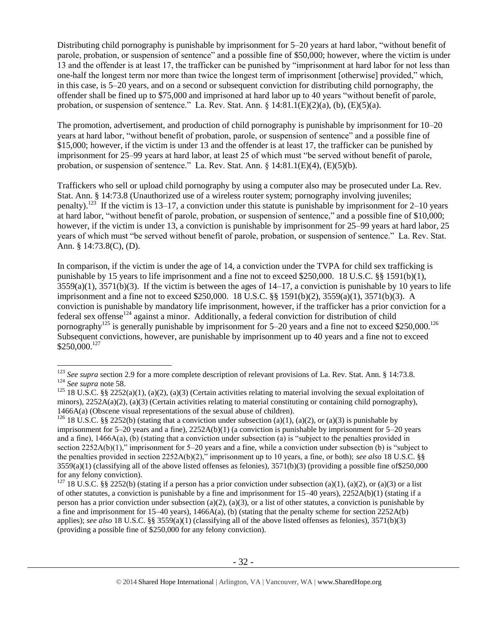Distributing child pornography is punishable by imprisonment for 5–20 years at hard labor, "without benefit of parole, probation, or suspension of sentence" and a possible fine of \$50,000; however, where the victim is under 13 and the offender is at least 17, the trafficker can be punished by "imprisonment at hard labor for not less than one-half the longest term nor more than twice the longest term of imprisonment [otherwise] provided," which, in this case, is 5–20 years, and on a second or subsequent conviction for distributing child pornography, the offender shall be fined up to \$75,000 and imprisoned at hard labor up to 40 years "without benefit of parole, probation, or suspension of sentence." La. Rev. Stat. Ann.  $\S$  14:81.1(E)(2)(a), (b), (E)(5)(a).

The promotion, advertisement, and production of child pornography is punishable by imprisonment for 10–20 years at hard labor, "without benefit of probation, parole, or suspension of sentence" and a possible fine of \$15,000; however, if the victim is under 13 and the offender is at least 17, the trafficker can be punished by imprisonment for 25–99 years at hard labor, at least 25 of which must "be served without benefit of parole, probation, or suspension of sentence." La. Rev. Stat. Ann.  $\S$  14:81.1(E)(4), (E)(5)(b).

Traffickers who sell or upload child pornography by using a computer also may be prosecuted under La. Rev. Stat. Ann. § 14:73.8 (Unauthorized use of a wireless router system; pornography involving juveniles; penalty).<sup>123</sup> If the victim is 13–17, a conviction under this statute is punishable by imprisonment for 2–10 years at hard labor, "without benefit of parole, probation, or suspension of sentence," and a possible fine of \$10,000; however, if the victim is under 13, a conviction is punishable by imprisonment for 25–99 years at hard labor, 25 years of which must "be served without benefit of parole, probation, or suspension of sentence." La. Rev. Stat. Ann. § 14:73.8(C), (D).

In comparison, if the victim is under the age of 14, a conviction under the TVPA for child sex trafficking is punishable by 15 years to life imprisonment and a fine not to exceed \$250,000. 18 U.S.C. §§ 1591(b)(1),  $3559(a)(1)$ ,  $3571(b)(3)$ . If the victim is between the ages of  $14-17$ , a conviction is punishable by 10 years to life imprisonment and a fine not to exceed \$250,000. 18 U.S.C. §§ 1591(b)(2), 3559(a)(1), 3571(b)(3). A conviction is punishable by mandatory life imprisonment, however, if the trafficker has a prior conviction for a federal sex offense<sup>124</sup> against a minor. Additionally, a federal conviction for distribution of child pornography<sup>125</sup> is generally punishable by imprisonment for 5–20 years and a fine not to exceed \$250,000.<sup>126</sup> Subsequent convictions, however, are punishable by imprisonment up to 40 years and a fine not to exceed  $$250,000.<sup>127</sup>$ 

<sup>&</sup>lt;sup>123</sup> See supra section 2.9 for a more complete description of relevant provisions of La. Rev. Stat. Ann. § 14:73.8. <sup>124</sup> *See supra* not[e 58.](#page-18-1)

<sup>&</sup>lt;sup>125</sup> 18 U.S.C. §§ 2252(a)(1), (a)(2), (a)(3) (Certain activities relating to material involving the sexual exploitation of minors),  $2252A(a)(2)$ , (a)(3) (Certain activities relating to material constituting or containing child pornography), 1466A(a) (Obscene visual representations of the sexual abuse of children).

<sup>&</sup>lt;sup>126</sup> 18 U.S.C. §§ 2252(b) (stating that a conviction under subsection (a)(1), (a)(2), or (a)(3) is punishable by imprisonment for 5–20 years and a fine), 2252A(b)(1) (a conviction is punishable by imprisonment for 5–20 years and a fine), 1466A(a), (b) (stating that a conviction under subsection (a) is "subject to the penalties provided in section 2252A(b)(1)," imprisonment for 5–20 years and a fine, while a conviction under subsection (b) is "subject to the penalties provided in section 2252A(b)(2)," imprisonment up to 10 years, a fine, or both); *see also* 18 U.S.C. §§  $3559(a)(1)$  (classifying all of the above listed offenses as felonies),  $3571(b)(3)$  (providing a possible fine of \$250,000 for any felony conviction).

<sup>&</sup>lt;sup>127</sup> 18 U.S.C. §§ 2252(b) (stating if a person has a prior conviction under subsection (a)(1), (a)(2), or (a)(3) or a list of other statutes, a conviction is punishable by a fine and imprisonment for 15–40 years), 2252A(b)(1) (stating if a person has a prior conviction under subsection (a)(2), (a)(3), or a list of other statutes, a conviction is punishable by a fine and imprisonment for 15–40 years), 1466A(a), (b) (stating that the penalty scheme for section 2252A(b) applies); *see also* 18 U.S.C. §§ 3559(a)(1) (classifying all of the above listed offenses as felonies), 3571(b)(3) (providing a possible fine of \$250,000 for any felony conviction).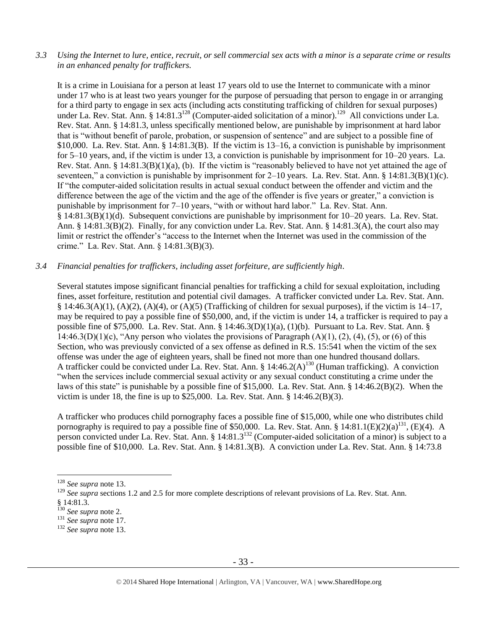*3.3 Using the Internet to lure, entice, recruit, or sell commercial sex acts with a minor is a separate crime or results in an enhanced penalty for traffickers.*

It is a crime in Louisiana for a person at least 17 years old to use the Internet to communicate with a minor under 17 who is at least two years younger for the purpose of persuading that person to engage in or arranging for a third party to engage in sex acts (including acts constituting trafficking of children for sexual purposes) under La. Rev. Stat. Ann. § 14:81.3<sup>128</sup> (Computer-aided solicitation of a minor).<sup>129</sup> All convictions under La. Rev. Stat. Ann. § 14:81.3, unless specifically mentioned below, are punishable by imprisonment at hard labor that is "without benefit of parole, probation, or suspension of sentence" and are subject to a possible fine of \$10,000. La. Rev. Stat. Ann. § 14:81.3(B). If the victim is 13–16, a conviction is punishable by imprisonment for 5–10 years, and, if the victim is under 13, a conviction is punishable by imprisonment for 10–20 years. La. Rev. Stat. Ann. § 14:81.3(B)(1)(a), (b). If the victim is "reasonably believed to have not yet attained the age of seventeen," a conviction is punishable by imprisonment for 2–10 years. La. Rev. Stat. Ann. § 14:81.3(B)(1)(c). If "the computer-aided solicitation results in actual sexual conduct between the offender and victim and the difference between the age of the victim and the age of the offender is five years or greater," a conviction is punishable by imprisonment for 7–10 years, "with or without hard labor." La. Rev. Stat. Ann. § 14:81.3(B)(1)(d). Subsequent convictions are punishable by imprisonment for 10–20 years. La. Rev. Stat. Ann. § 14:81.3(B)(2). Finally, for any conviction under La. Rev. Stat. Ann. § 14:81.3(A), the court also may limit or restrict the offender's "access to the Internet when the Internet was used in the commission of the crime." La. Rev. Stat. Ann. § 14:81.3(B)(3).

## *3.4 Financial penalties for traffickers, including asset forfeiture, are sufficiently high*.

Several statutes impose significant financial penalties for trafficking a child for sexual exploitation, including fines, asset forfeiture, restitution and potential civil damages. A trafficker convicted under La. Rev. Stat. Ann. § 14:46.3(A)(1), (A)(2), (A)(4), or (A)(5) (Trafficking of children for sexual purposes), if the victim is  $14-17$ , may be required to pay a possible fine of \$50,000, and, if the victim is under 14, a trafficker is required to pay a possible fine of \$75,000. La. Rev. Stat. Ann. § 14:46.3(D)(1)(a), (1)(b). Pursuant to La. Rev. Stat. Ann. § 14:46.3(D)(1)(c), "Any person who violates the provisions of Paragraph  $(A)(1)$ ,  $(2)$ ,  $(4)$ ,  $(5)$ , or  $(6)$  of this Section, who was previously convicted of a sex offense as defined in R.S. 15:541 when the victim of the sex offense was under the age of eighteen years, shall be fined not more than one hundred thousand dollars. A trafficker could be convicted under La. Rev. Stat. Ann. §  $14:46.2(A)^{130}$  (Human trafficking). A conviction "when the services include commercial sexual activity or any sexual conduct constituting a crime under the laws of this state" is punishable by a possible fine of \$15,000. La. Rev. Stat. Ann. § 14:46.2(B)(2). When the victim is under 18, the fine is up to  $$25,000$ . La. Rev. Stat. Ann. § 14:46.2(B)(3).

A trafficker who produces child pornography faces a possible fine of \$15,000, while one who distributes child pornography is required to pay a possible fine of \$50,000. La. Rev. Stat. Ann. § 14:81.1(E)(2)(a)<sup>131</sup>, (E)(4). A person convicted under La. Rev. Stat. Ann. §  $14:81.3^{132}$  (Computer-aided solicitation of a minor) is subject to a possible fine of \$10,000. La. Rev. Stat. Ann. § 14:81.3(B). A conviction under La. Rev. Stat. Ann. § 14:73.8

<sup>128</sup> *See supra* not[e 13.](#page-4-0)

<sup>&</sup>lt;sup>129</sup> See supra sections 1.2 and 2.5 for more complete descriptions of relevant provisions of La. Rev. Stat. Ann.

<sup>§</sup> 14:81.3.

<sup>130</sup> *See supra* not[e 2.](#page-0-0)

<sup>131</sup> *See supra* not[e 17.](#page-5-1)

<sup>132</sup> *See supra* not[e 13.](#page-4-0)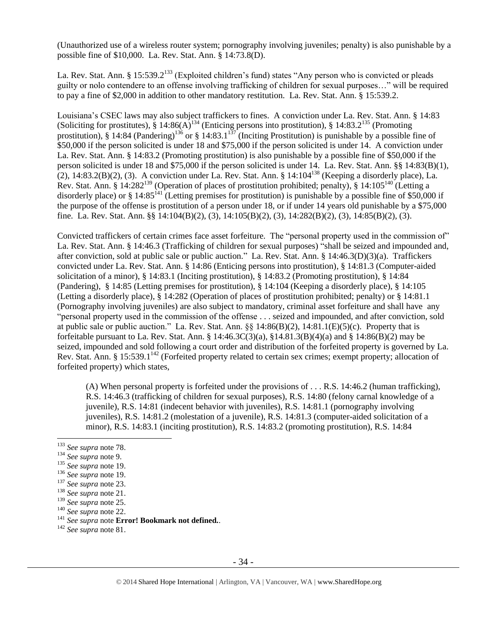(Unauthorized use of a wireless router system; pornography involving juveniles; penalty) is also punishable by a possible fine of \$10,000. La. Rev. Stat. Ann. § 14:73.8(D).

La. Rev. Stat. Ann. § 15:539.2<sup>133</sup> (Exploited children's fund) states "Any person who is convicted or pleads guilty or nolo contendere to an offense involving trafficking of children for sexual purposes…" will be required to pay a fine of \$2,000 in addition to other mandatory restitution. La. Rev. Stat. Ann. § 15:539.2.

Louisiana's CSEC laws may also subject traffickers to fines. A conviction under La. Rev. Stat. Ann. § 14:83 (Soliciting for prostitutes),  $\S 14:86(A)^{134}$  (Enticing persons into prostitution),  $\S 14:83.2^{135}$  (Promoting prostitution),  $\hat{\S}$  14:84 (Pandering)<sup>136</sup> or  $\hat{\S}$  14:83.1<sup>137</sup> (Inciting Prostitution) is punishable by a possible fine of \$50,000 if the person solicited is under 18 and \$75,000 if the person solicited is under 14. A conviction under La. Rev. Stat. Ann. § 14:83.2 (Promoting prostitution) is also punishable by a possible fine of \$50,000 if the person solicited is under 18 and \$75,000 if the person solicited is under 14. La. Rev. Stat. Ann. §§ 14:83(B)(1), (2), 14:83.2(B)(2), (3). A conviction under La. Rev. Stat. Ann. § 14:104<sup>138</sup> (Keeping a disorderly place), La. Rev. Stat. Ann. § 14:282<sup>139</sup> (Operation of places of prostitution prohibited; penalty), § 14:105<sup>140</sup> (Letting a disorderly place) or  $\S 14:85^{141}$  (Letting premises for prostitution) is punishable by a possible fine of \$50,000 if the purpose of the offense is prostitution of a person under 18, or if under 14 years old punishable by a \$75,000 fine. La. Rev. Stat. Ann. §§ 14:104(B)(2), (3), 14:105(B)(2), (3), 14:282(B)(2), (3), 14:85(B)(2), (3).

Convicted traffickers of certain crimes face asset forfeiture. The "personal property used in the commission of" La. Rev. Stat. Ann. § 14:46.3 (Trafficking of children for sexual purposes) "shall be seized and impounded and, after conviction, sold at public sale or public auction." La. Rev. Stat. Ann. § 14:46.3(D)(3)(a). Traffickers convicted under La. Rev. Stat. Ann. § 14:86 (Enticing persons into prostitution), § 14:81.3 (Computer-aided solicitation of a minor), § 14:83.1 (Inciting prostitution), § 14:83.2 (Promoting prostitution), § 14:84 (Pandering), § 14:85 (Letting premises for prostitution), § 14:104 (Keeping a disorderly place), § 14:105 (Letting a disorderly place), § 14:282 (Operation of places of prostitution prohibited; penalty) or § 14:81.1 (Pornography involving juveniles) are also subject to mandatory, criminal asset forfeiture and shall have any "personal property used in the commission of the offense . . . seized and impounded, and after conviction, sold at public sale or public auction." La. Rev. Stat. Ann. §§ 14:86(B)(2), 14:81.1(E)(5)(c). Property that is forfeitable pursuant to La. Rev. Stat. Ann. § 14:46.3C(3)(a), §14.81.3(B)(4)(a) and § 14:86(B)(2) may be seized, impounded and sold following a court order and distribution of the forfeited property is governed by La. Rev. Stat. Ann. § 15:539.1<sup>142</sup> (Forfeited property related to certain sex crimes; exempt property; allocation of forfeited property) which states,

(A) When personal property is forfeited under the provisions of . . . R.S. 14:46.2 (human trafficking), R.S. 14:46.3 (trafficking of children for sexual purposes), R.S. 14:80 (felony carnal knowledge of a juvenile), R.S. 14:81 (indecent behavior with juveniles), R.S. 14:81.1 (pornography involving juveniles), R.S. 14:81.2 (molestation of a juvenile), R.S. 14:81.3 (computer-aided solicitation of a minor), R.S. 14:83.1 (inciting prostitution), R.S. 14:83.2 (promoting prostitution), R.S. 14:84

<sup>133</sup> *See supra* not[e 78.](#page-21-0)

<sup>134</sup> *See supra* note 9.

<sup>135</sup> *See supra* not[e 19.](#page-6-1)

<sup>136</sup> *See supra* not[e 19.](#page-6-1)

<sup>137</sup> *See supra* not[e 23.](#page-7-1)

<sup>138</sup> *See supra* not[e 21.](#page-6-2)

<sup>139</sup> *See supra* not[e 25.](#page-7-0)

<sup>140</sup> *See supra* not[e 22.](#page-6-3)

<sup>141</sup> *See supra* note **Error! Bookmark not defined.**.

<sup>142</sup> *See supra* not[e 81.](#page-22-0)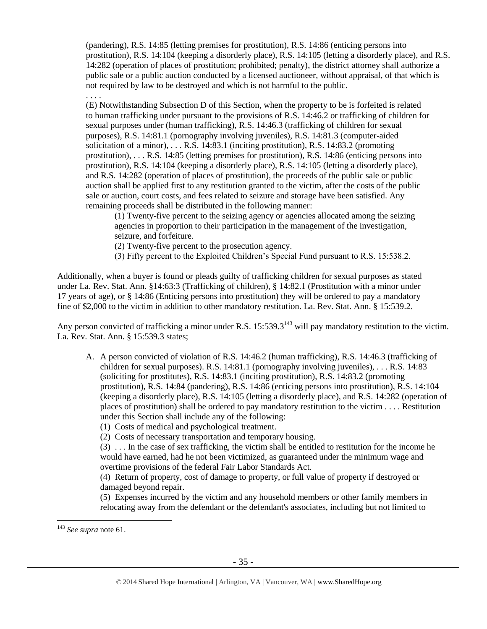(pandering), R.S. 14:85 (letting premises for prostitution), R.S. 14:86 (enticing persons into prostitution), R.S. 14:104 (keeping a disorderly place), R.S. 14:105 (letting a disorderly place), and R.S. 14:282 (operation of places of prostitution; prohibited; penalty), the district attorney shall authorize a public sale or a public auction conducted by a licensed auctioneer, without appraisal, of that which is not required by law to be destroyed and which is not harmful to the public.

(E) Notwithstanding Subsection D of this Section, when the property to be is forfeited is related to human trafficking under pursuant to the provisions of R.S. 14:46.2 or trafficking of children for sexual purposes under (human trafficking), R.S. 14:46.3 (trafficking of children for sexual purposes), R.S. 14:81.1 (pornography involving juveniles), R.S. 14:81.3 (computer-aided solicitation of a minor),  $\dots$  R.S. 14:83.1 (inciting prostitution), R.S. 14:83.2 (promoting prostitution), . . . R.S. 14:85 (letting premises for prostitution), R.S. 14:86 (enticing persons into prostitution), R.S. 14:104 (keeping a disorderly place), R.S. 14:105 (letting a disorderly place), and R.S. 14:282 (operation of places of prostitution), the proceeds of the public sale or public auction shall be applied first to any restitution granted to the victim, after the costs of the public sale or auction, court costs, and fees related to seizure and storage have been satisfied. Any remaining proceeds shall be distributed in the following manner:

(1) Twenty-five percent to the seizing agency or agencies allocated among the seizing agencies in proportion to their participation in the management of the investigation, seizure, and forfeiture.

- (2) Twenty-five percent to the prosecution agency.
- (3) Fifty percent to the Exploited Children's Special Fund pursuant to R.S. 15:538.2.

Additionally, when a buyer is found or pleads guilty of trafficking children for sexual purposes as stated under La. Rev. Stat. Ann. §14:63:3 (Trafficking of children), § 14:82.1 (Prostitution with a minor under 17 years of age), or § 14:86 (Enticing persons into prostitution) they will be ordered to pay a mandatory fine of \$2,000 to the victim in addition to other mandatory restitution. La. Rev. Stat. Ann. § 15:539.2.

Any person convicted of trafficking a minor under R.S. 15:539.3<sup>143</sup> will pay mandatory restitution to the victim. La. Rev. Stat. Ann. § 15:539.3 states;

- A. A person convicted of violation of R.S. 14:46.2 (human trafficking), R.S. 14:46.3 (trafficking of children for sexual purposes). R.S. 14:81.1 (pornography involving juveniles), . . . R.S. 14:83 (soliciting for prostitutes), R.S. 14:83.1 (inciting prostitution), R.S. 14:83.2 (promoting prostitution), R.S. 14:84 (pandering), R.S. 14:86 (enticing persons into prostitution), R.S. 14:104 (keeping a disorderly place), R.S. 14:105 (letting a disorderly place), and R.S. 14:282 (operation of places of prostitution) shall be ordered to pay mandatory restitution to the victim . . . . Restitution under this Section shall include any of the following:
	- (1) Costs of medical and psychological treatment.

(2) Costs of necessary transportation and temporary housing.

(3) . . . In the case of sex trafficking, the victim shall be entitled to restitution for the income he would have earned, had he not been victimized, as guaranteed under the minimum wage and overtime provisions of the federal Fair Labor Standards Act.

(4) Return of property, cost of damage to property, or full value of property if destroyed or damaged beyond repair.

(5) Expenses incurred by the victim and any household members or other family members in relocating away from the defendant or the defendant's associates, including but not limited to

 $\overline{a}$ 

. . . .

<sup>143</sup> *See supra* not[e 61.](#page-18-0)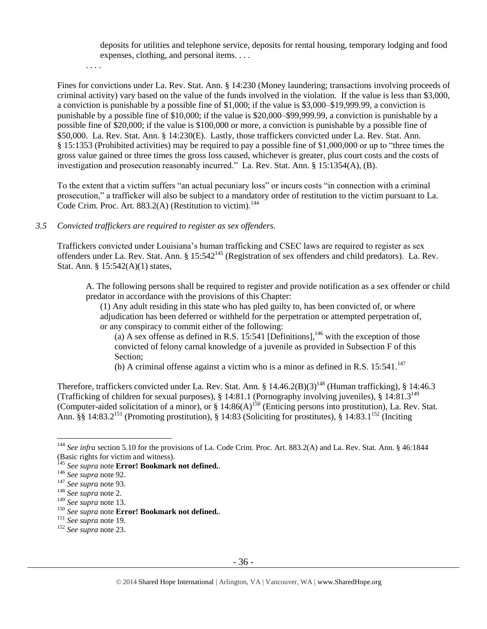deposits for utilities and telephone service, deposits for rental housing, temporary lodging and food expenses, clothing, and personal items. . . .

. . . .

Fines for convictions under La. Rev. Stat. Ann. § 14:230 (Money laundering; transactions involving proceeds of criminal activity) vary based on the value of the funds involved in the violation. If the value is less than \$3,000, a conviction is punishable by a possible fine of \$1,000; if the value is \$3,000–\$19,999.99, a conviction is punishable by a possible fine of \$10,000; if the value is \$20,000–\$99,999.99, a conviction is punishable by a possible fine of \$20,000; if the value is \$100,000 or more, a conviction is punishable by a possible fine of \$50,000. La. Rev. Stat. Ann. § 14:230(E). Lastly, those traffickers convicted under La. Rev. Stat. Ann. § 15:1353 (Prohibited activities) may be required to pay a possible fine of \$1,000,000 or up to "three times the gross value gained or three times the gross loss caused, whichever is greater, plus court costs and the costs of investigation and prosecution reasonably incurred." La. Rev. Stat. Ann. § 15:1354(A), (B).

To the extent that a victim suffers "an actual pecuniary loss" or incurs costs "in connection with a criminal prosecution," a trafficker will also be subject to a mandatory order of restitution to the victim pursuant to La. Code Crim. Proc. Art.  $883.2(A)$  (Restitution to victim).<sup>144</sup>

## *3.5 Convicted traffickers are required to register as sex offenders.*

Traffickers convicted under Louisiana's human trafficking and CSEC laws are required to register as sex offenders under La. Rev. Stat. Ann. § 15:542<sup>145</sup> (Registration of sex offenders and child predators). La. Rev. Stat. Ann. § 15:542(A)(1) states,

A. The following persons shall be required to register and provide notification as a sex offender or child predator in accordance with the provisions of this Chapter:

(1) Any adult residing in this state who has pled guilty to, has been convicted of, or where adjudication has been deferred or withheld for the perpetration or attempted perpetration of, or any conspiracy to commit either of the following:

(a) A sex offense as defined in R.S. 15:541 [Definitions],<sup>146</sup> with the exception of those convicted of felony carnal knowledge of a juvenile as provided in Subsection F of this Section;

(b) A criminal offense against a victim who is a minor as defined in R.S.  $15:541$ .<sup>147</sup>

Therefore, traffickers convicted under La. Rev. Stat. Ann. §  $14.46.2(B)(3)^{148}$  (Human trafficking), § 14:46.3 (Trafficking of children for sexual purposes), § 14:81.1 (Pornography involving juveniles), § 14:81.3<sup>149</sup> (Computer-aided solicitation of a minor), or  $\S$  14:86(A)<sup>150</sup> (Enticing persons into prostitution), La. Rev. Stat. Ann. §§ 14:83.2<sup>151</sup> (Promoting prostitution), § 14:83 (Soliciting for prostitutes), § 14:83.1<sup>152</sup> (Inciting

<sup>&</sup>lt;sup>144</sup> See infra section 5.10 for the provisions of La. Code Crim. Proc. Art. 883.2(A) and La. Rev. Stat. Ann. § 46:1844 (Basic rights for victim and witness).

<sup>145</sup> *See supra* note **Error! Bookmark not defined.**.

<sup>146</sup> *See supra* not[e 92.](#page-25-0)

<sup>147</sup> *See supra* not[e 93.](#page-26-0)

<sup>148</sup> *See supra* not[e 2.](#page-0-0)

<sup>149</sup> *See supra* not[e 13.](#page-4-0)

<sup>150</sup> *See supra* note **Error! Bookmark not defined.**.

<sup>151</sup> *See supra* not[e 19.](#page-6-1)

<sup>152</sup> *See supra* not[e 23.](#page-7-1)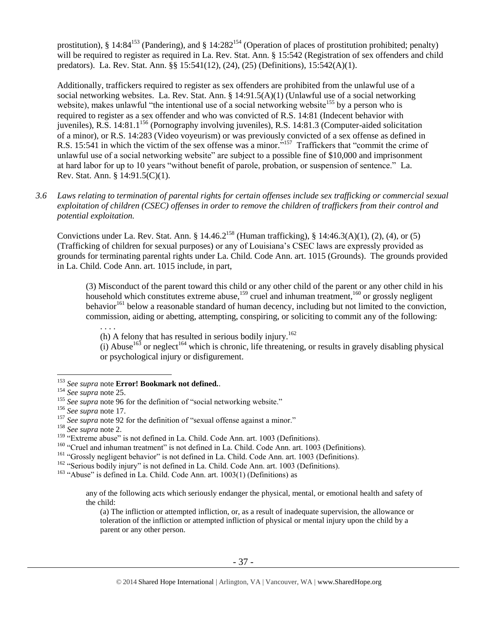prostitution), § 14:84<sup>153</sup> (Pandering), and § 14:282<sup>154</sup> (Operation of places of prostitution prohibited; penalty) will be required to register as required in La. Rev. Stat. Ann. § 15:542 (Registration of sex offenders and child predators). La. Rev. Stat. Ann. §§ 15:541(12), (24), (25) (Definitions), 15:542(A)(1).

Additionally, traffickers required to register as sex offenders are prohibited from the unlawful use of a social networking websites. La. Rev. Stat. Ann. § 14:91.5(A)(1) (Unlawful use of a social networking website), makes unlawful "the intentional use of a social networking website<sup>155</sup> by a person who is required to register as a sex offender and who was convicted of R.S. 14:81 (Indecent behavior with juveniles), R.S.  $14:81.1^{156}$  (Pornography involving juveniles), R.S.  $14:81.3$  (Computer-aided solicitation of a minor), or R.S. 14:283 (Video voyeurism) or was previously convicted of a sex offense as defined in R.S. 15:541 in which the victim of the sex offense was a minor.<sup>5157</sup> Traffickers that "commit the crime of unlawful use of a social networking website" are subject to a possible fine of \$10,000 and imprisonment at hard labor for up to 10 years "without benefit of parole, probation, or suspension of sentence." La. Rev. Stat. Ann. § 14:91.5(C)(1).

*3.6 Laws relating to termination of parental rights for certain offenses include sex trafficking or commercial sexual exploitation of children (CSEC) offenses in order to remove the children of traffickers from their control and potential exploitation.*

Convictions under La. Rev. Stat. Ann. §  $14.46.2^{158}$  (Human trafficking), §  $14:46.3(A)(1)$ ,  $(2)$ ,  $(4)$ , or  $(5)$ (Trafficking of children for sexual purposes) or any of Louisiana's CSEC laws are expressly provided as grounds for terminating parental rights under La. Child. Code Ann. art. 1015 (Grounds). The grounds provided in La. Child. Code Ann. art. 1015 include, in part,

(3) Misconduct of the parent toward this child or any other child of the parent or any other child in his household which constitutes extreme abuse,<sup>159</sup> cruel and inhuman treatment,<sup>160</sup> or grossly negligent behavior<sup>161</sup> below a reasonable standard of human decency, including but not limited to the conviction, commission, aiding or abetting, attempting, conspiring, or soliciting to commit any of the following:

. . . . (h) A felony that has resulted in serious bodily injury.<sup>162</sup>

(i) Abuse<sup>163</sup> or neglect<sup>164</sup> which is chronic, life threatening, or results in gravely disabling physical or psychological injury or disfigurement.

<sup>153</sup> *See supra* note **Error! Bookmark not defined.**.

<sup>154</sup> *See supra* not[e 25.](#page-7-0)

<sup>&</sup>lt;sup>155</sup> See supra not[e 96](#page-26-1) for the definition of "social networking website."

<sup>156</sup> *See supra* not[e 17.](#page-5-1)

<sup>&</sup>lt;sup>157</sup> See supra not[e 92](#page-25-0) for the definition of "sexual offense against a minor."

<sup>158</sup> *See supra* not[e 2.](#page-0-0)

<sup>&</sup>lt;sup>159</sup> "Extreme abuse" is not defined in La. Child. Code Ann. art. 1003 (Definitions).

<sup>&</sup>lt;sup>160</sup> "Cruel and inhuman treatment" is not defined in La. Child. Code Ann. art. 1003 (Definitions).

<sup>&</sup>lt;sup>161</sup> "Grossly negligent behavior" is not defined in La. Child. Code Ann. art. 1003 (Definitions).

<sup>&</sup>lt;sup>162</sup> "Serious bodily injury" is not defined in La. Child. Code Ann. art. 1003 (Definitions).

 $163$  "Abuse" is defined in La. Child. Code Ann. art.  $1003(1)$  (Definitions) as

any of the following acts which seriously endanger the physical, mental, or emotional health and safety of the child:

<sup>(</sup>a) The infliction or attempted infliction, or, as a result of inadequate supervision, the allowance or toleration of the infliction or attempted infliction of physical or mental injury upon the child by a parent or any other person.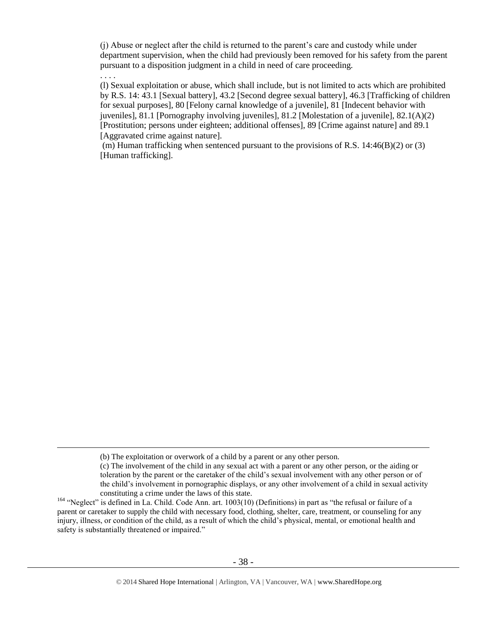(j) Abuse or neglect after the child is returned to the parent's care and custody while under department supervision, when the child had previously been removed for his safety from the parent pursuant to a disposition judgment in a child in need of care proceeding.

. . . .

 $\overline{a}$ 

(l) Sexual exploitation or abuse, which shall include, but is not limited to acts which are prohibited by R.S. 14: 43.1 [Sexual battery], 43.2 [Second degree sexual battery], 46.3 [Trafficking of children for sexual purposes], 80 [Felony carnal knowledge of a juvenile], 81 [Indecent behavior with juveniles], 81.1 [Pornography involving juveniles], 81.2 [Molestation of a juvenile], 82.1(A)(2) [Prostitution; persons under eighteen; additional offenses], 89 [Crime against nature] and 89.1 [Aggravated crime against nature].

(m) Human trafficking when sentenced pursuant to the provisions of R.S.  $14:46(B)(2)$  or (3) [Human trafficking].

<sup>(</sup>b) The exploitation or overwork of a child by a parent or any other person.

<sup>(</sup>c) The involvement of the child in any sexual act with a parent or any other person, or the aiding or toleration by the parent or the caretaker of the child's sexual involvement with any other person or of the child's involvement in pornographic displays, or any other involvement of a child in sexual activity constituting a crime under the laws of this state.

<sup>&</sup>lt;sup>164</sup> "Neglect" is defined in La. Child. Code Ann. art. 1003(10) (Definitions) in part as "the refusal or failure of a parent or caretaker to supply the child with necessary food, clothing, shelter, care, treatment, or counseling for any injury, illness, or condition of the child, as a result of which the child's physical, mental, or emotional health and safety is substantially threatened or impaired."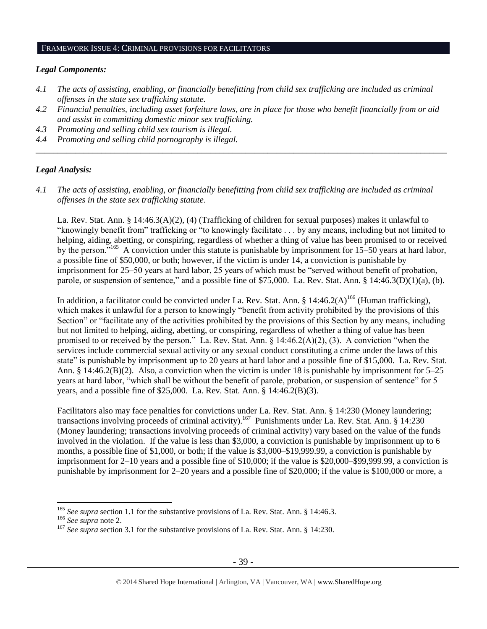## FRAMEWORK ISSUE 4: CRIMINAL PROVISIONS FOR FACILITATORS

#### *Legal Components:*

- *4.1 The acts of assisting, enabling, or financially benefitting from child sex trafficking are included as criminal offenses in the state sex trafficking statute.*
- *4.2 Financial penalties, including asset forfeiture laws, are in place for those who benefit financially from or aid and assist in committing domestic minor sex trafficking.*

*\_\_\_\_\_\_\_\_\_\_\_\_\_\_\_\_\_\_\_\_\_\_\_\_\_\_\_\_\_\_\_\_\_\_\_\_\_\_\_\_\_\_\_\_\_\_\_\_\_\_\_\_\_\_\_\_\_\_\_\_\_\_\_\_\_\_\_\_\_\_\_\_\_\_\_\_\_\_\_\_\_\_\_\_\_\_\_\_\_\_\_\_\_\_*

- *4.3 Promoting and selling child sex tourism is illegal.*
- *4.4 Promoting and selling child pornography is illegal.*

## *Legal Analysis:*

*4.1 The acts of assisting, enabling, or financially benefitting from child sex trafficking are included as criminal offenses in the state sex trafficking statute*.

La. Rev. Stat. Ann. § 14:46.3(A)(2), (4) (Trafficking of children for sexual purposes) makes it unlawful to "knowingly benefit from" trafficking or "to knowingly facilitate . . . by any means, including but not limited to helping, aiding, abetting, or conspiring, regardless of whether a thing of value has been promised to or received by the person."<sup>165</sup> A conviction under this statute is punishable by imprisonment for 15–50 years at hard labor, a possible fine of \$50,000, or both; however, if the victim is under 14, a conviction is punishable by imprisonment for 25–50 years at hard labor, 25 years of which must be "served without benefit of probation, parole, or suspension of sentence," and a possible fine of \$75,000. La. Rev. Stat. Ann. § 14:46.3(D)(1)(a), (b).

In addition, a facilitator could be convicted under La. Rev. Stat. Ann. § 14:46.2(A)<sup>166</sup> (Human trafficking), which makes it unlawful for a person to knowingly "benefit from activity prohibited by the provisions of this Section" or "facilitate any of the activities prohibited by the provisions of this Section by any means, including but not limited to helping, aiding, abetting, or conspiring, regardless of whether a thing of value has been promised to or received by the person." La. Rev. Stat. Ann. § 14:46.2(A)(2), (3). A conviction "when the services include commercial sexual activity or any sexual conduct constituting a crime under the laws of this state" is punishable by imprisonment up to 20 years at hard labor and a possible fine of \$15,000. La. Rev. Stat. Ann. § 14:46.2(B)(2). Also, a conviction when the victim is under 18 is punishable by imprisonment for 5–25 years at hard labor, "which shall be without the benefit of parole, probation, or suspension of sentence" for 5 years, and a possible fine of \$25,000. La. Rev. Stat. Ann. § 14:46.2(B)(3).

Facilitators also may face penalties for convictions under La. Rev. Stat. Ann. § 14:230 (Money laundering; transactions involving proceeds of criminal activity).<sup>167</sup> Punishments under La. Rev. Stat. Ann. § 14:230 (Money laundering; transactions involving proceeds of criminal activity) vary based on the value of the funds involved in the violation. If the value is less than \$3,000, a conviction is punishable by imprisonment up to 6 months, a possible fine of \$1,000, or both; if the value is \$3,000–\$19,999.99, a conviction is punishable by imprisonment for 2–10 years and a possible fine of \$10,000; if the value is \$20,000–\$99,999.99, a conviction is punishable by imprisonment for 2–20 years and a possible fine of \$20,000; if the value is \$100,000 or more, a

<sup>165</sup> *See supra* section 1.1 for the substantive provisions of La. Rev. Stat. Ann. § 14:46.3.

<sup>166</sup> *See supra* not[e 2.](#page-0-0)

<sup>&</sup>lt;sup>167</sup> See supra section 3.1 for the substantive provisions of La. Rev. Stat. Ann. § 14:230.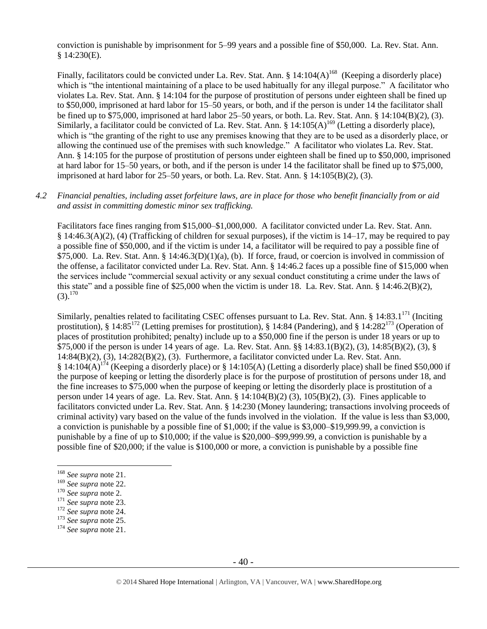conviction is punishable by imprisonment for 5–99 years and a possible fine of \$50,000. La. Rev. Stat. Ann. § 14:230(E).

Finally, facilitators could be convicted under La. Rev. Stat. Ann. § 14:104(A)<sup>168</sup> (Keeping a disorderly place) which is "the intentional maintaining of a place to be used habitually for any illegal purpose." A facilitator who violates La. Rev. Stat. Ann. § 14:104 for the purpose of prostitution of persons under eighteen shall be fined up to \$50,000, imprisoned at hard labor for 15–50 years, or both, and if the person is under 14 the facilitator shall be fined up to \$75,000, imprisoned at hard labor 25–50 years, or both. La. Rev. Stat. Ann. § 14:104(B)(2), (3). Similarly, a facilitator could be convicted of La. Rev. Stat. Ann. § 14:105(A)<sup>169</sup> (Letting a disorderly place), which is "the granting of the right to use any premises knowing that they are to be used as a disorderly place, or allowing the continued use of the premises with such knowledge." A facilitator who violates La. Rev. Stat. Ann. § 14:105 for the purpose of prostitution of persons under eighteen shall be fined up to \$50,000, imprisoned at hard labor for 15–50 years, or both, and if the person is under 14 the facilitator shall be fined up to \$75,000, imprisoned at hard labor for  $25-50$  years, or both. La. Rev. Stat. Ann. §  $14:105(B)(2)$ , (3).

## *4.2 Financial penalties, including asset forfeiture laws, are in place for those who benefit financially from or aid and assist in committing domestic minor sex trafficking.*

Facilitators face fines ranging from \$15,000–\$1,000,000. A facilitator convicted under La. Rev. Stat. Ann. § 14:46.3(A)(2), (4) (Trafficking of children for sexual purposes), if the victim is 14–17, may be required to pay a possible fine of \$50,000, and if the victim is under 14, a facilitator will be required to pay a possible fine of  $$75,000$ . La. Rev. Stat. Ann. § 14:46.3(D)(1)(a), (b). If force, fraud, or coercion is involved in commission of the offense, a facilitator convicted under La. Rev. Stat. Ann. § 14:46.2 faces up a possible fine of \$15,000 when the services include "commercial sexual activity or any sexual conduct constituting a crime under the laws of this state" and a possible fine of \$25,000 when the victim is under 18. La. Rev. Stat. Ann. § 14:46.2(B)(2),  $(3).^{170}$ 

Similarly, penalties related to facilitating CSEC offenses pursuant to La. Rev. Stat. Ann. § 14:83.1 $^{171}$  (Inciting prostitution), § 14:85<sup>172</sup> (Letting premises for prostitution), § 14:84 (Pandering), and § 14:282<sup>173</sup> (Operation of places of prostitution prohibited; penalty) include up to a \$50,000 fine if the person is under 18 years or up to \$75,000 if the person is under 14 years of age. La. Rev. Stat. Ann. §§ 14:83.1(B)(2), (3), 14:85(B)(2), (3), § 14:84(B)(2), (3), 14:282(B)(2), (3). Furthermore, a facilitator convicted under La. Rev. Stat. Ann. § 14:104(A)<sup>174</sup> (Keeping a disorderly place) or § 14:105(A) (Letting a disorderly place) shall be fined \$50,000 if the purpose of keeping or letting the disorderly place is for the purpose of prostitution of persons under 18, and the fine increases to \$75,000 when the purpose of keeping or letting the disorderly place is prostitution of a person under 14 years of age. La. Rev. Stat. Ann. § 14:104(B)(2) (3), 105(B)(2), (3). Fines applicable to facilitators convicted under La. Rev. Stat. Ann. § 14:230 (Money laundering; transactions involving proceeds of criminal activity) vary based on the value of the funds involved in the violation. If the value is less than \$3,000, a conviction is punishable by a possible fine of \$1,000; if the value is \$3,000–\$19,999.99, a conviction is punishable by a fine of up to \$10,000; if the value is \$20,000–\$99,999.99, a conviction is punishable by a possible fine of \$20,000; if the value is \$100,000 or more, a conviction is punishable by a possible fine

<sup>168</sup> *See supra* not[e 21.](#page-6-2)

<sup>169</sup> *See supra* not[e 22.](#page-6-3)

<sup>170</sup> *See supra* not[e 2.](#page-0-0)

<sup>171</sup> *See supra* not[e 23.](#page-7-1)

<sup>172</sup> *See supra* not[e 24.](#page-7-2)

<sup>173</sup> *See supra* not[e 25.](#page-7-0)

<sup>174</sup> *See supra* not[e 21.](#page-6-2)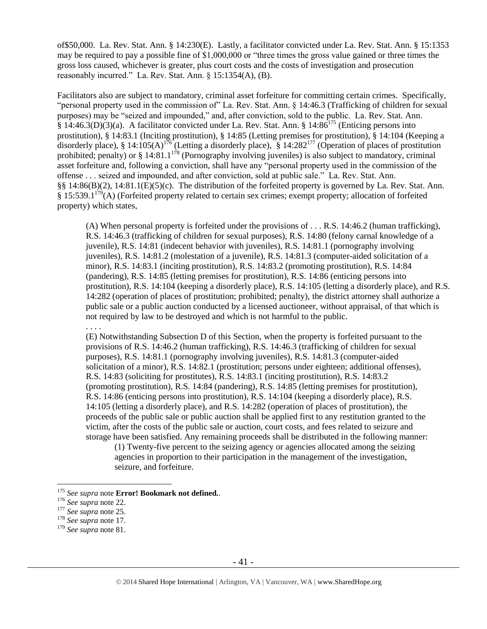of\$50,000. La. Rev. Stat. Ann. § 14:230(E). Lastly, a facilitator convicted under La. Rev. Stat. Ann. § 15:1353 may be required to pay a possible fine of \$1,000,000 or "three times the gross value gained or three times the gross loss caused, whichever is greater, plus court costs and the costs of investigation and prosecution reasonably incurred." La. Rev. Stat. Ann. § 15:1354(A), (B).

Facilitators also are subject to mandatory, criminal asset forfeiture for committing certain crimes. Specifically, "personal property used in the commission of" La. Rev. Stat. Ann. § 14:46.3 (Trafficking of children for sexual purposes) may be "seized and impounded," and, after conviction, sold to the public. La. Rev. Stat. Ann.  $\hat{\S}$  14:46.3(D)(3)(a). A facilitator convicted under La. Rev. Stat. Ann.  $\S$  14:86<sup>175</sup> (Enticing persons into prostitution), § 14:83.1 (Inciting prostitution), § 14:85 (Letting premises for prostitution), § 14:104 (Keeping a disorderly place), § 14:105(A)<sup>176</sup> (Letting a disorderly place), § 14:282<sup>177</sup> (Operation of places of prostitution prohibited; penalty) or § 14:81.1<sup>178</sup> (Pornography involving juveniles) is also subject to mandatory, criminal asset forfeiture and, following a conviction, shall have any "personal property used in the commission of the offense . . . seized and impounded, and after conviction, sold at public sale." La. Rev. Stat. Ann. §§ 14:86(B)(2), 14:81.1(E)(5)(c). The distribution of the forfeited property is governed by La. Rev. Stat. Ann. § 15:539.1<sup>179</sup>(A) (Forfeited property related to certain sex crimes; exempt property; allocation of forfeited property) which states,

(A) When personal property is forfeited under the provisions of . . . R.S. 14:46.2 (human trafficking), R.S. 14:46.3 (trafficking of children for sexual purposes), R.S. 14:80 (felony carnal knowledge of a juvenile), R.S. 14:81 (indecent behavior with juveniles), R.S. 14:81.1 (pornography involving juveniles), R.S. 14:81.2 (molestation of a juvenile), R.S. 14:81.3 (computer-aided solicitation of a minor), R.S. 14:83.1 (inciting prostitution), R.S. 14:83.2 (promoting prostitution), R.S. 14:84 (pandering), R.S. 14:85 (letting premises for prostitution), R.S. 14:86 (enticing persons into prostitution), R.S. 14:104 (keeping a disorderly place), R.S. 14:105 (letting a disorderly place), and R.S. 14:282 (operation of places of prostitution; prohibited; penalty), the district attorney shall authorize a public sale or a public auction conducted by a licensed auctioneer, without appraisal, of that which is not required by law to be destroyed and which is not harmful to the public.

. . . .

(E) Notwithstanding Subsection D of this Section, when the property is forfeited pursuant to the provisions of R.S. 14:46.2 (human trafficking), R.S. 14:46.3 (trafficking of children for sexual purposes), R.S. 14:81.1 (pornography involving juveniles), R.S. 14:81.3 (computer-aided solicitation of a minor), R.S. 14:82.1 (prostitution; persons under eighteen; additional offenses), R.S. 14:83 (soliciting for prostitutes), R.S. 14:83.1 (inciting prostitution), R.S. 14:83.2 (promoting prostitution), R.S. 14:84 (pandering), R.S. 14:85 (letting premises for prostitution), R.S. 14:86 (enticing persons into prostitution), R.S. 14:104 (keeping a disorderly place), R.S. 14:105 (letting a disorderly place), and R.S. 14:282 (operation of places of prostitution), the proceeds of the public sale or public auction shall be applied first to any restitution granted to the victim, after the costs of the public sale or auction, court costs, and fees related to seizure and storage have been satisfied. Any remaining proceeds shall be distributed in the following manner:

(1) Twenty-five percent to the seizing agency or agencies allocated among the seizing agencies in proportion to their participation in the management of the investigation, seizure, and forfeiture.

<sup>175</sup> *See supra* note **Error! Bookmark not defined.**.

<sup>176</sup> *See supra* not[e 22.](#page-6-3)

<sup>177</sup> *See supra* not[e 25.](#page-7-0)

<sup>178</sup> *See supra* not[e 17.](#page-5-1)

<sup>179</sup> *See supra* not[e 81.](#page-22-0)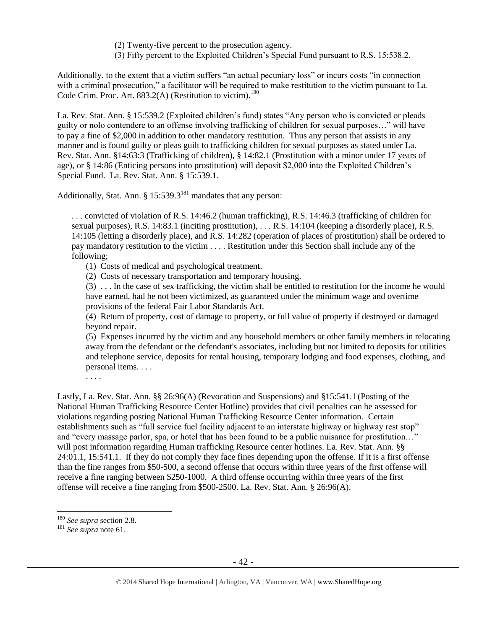- (2) Twenty-five percent to the prosecution agency.
- (3) Fifty percent to the Exploited Children's Special Fund pursuant to R.S. 15:538.2.

Additionally, to the extent that a victim suffers "an actual pecuniary loss" or incurs costs "in connection with a criminal prosecution," a facilitator will be required to make restitution to the victim pursuant to La. Code Crim. Proc. Art. 883.2(A) (Restitution to victim).<sup>180</sup>

La. Rev. Stat. Ann. § 15:539.2 (Exploited children's fund) states "Any person who is convicted or pleads guilty or nolo contendere to an offense involving trafficking of children for sexual purposes…" will have to pay a fine of \$2,000 in addition to other mandatory restitution. Thus any person that assists in any manner and is found guilty or pleas guilt to trafficking children for sexual purposes as stated under La. Rev. Stat. Ann. §14:63:3 (Trafficking of children), § 14:82.1 (Prostitution with a minor under 17 years of age), or § 14:86 (Enticing persons into prostitution) will deposit \$2,000 into the Exploited Children's Special Fund. La. Rev. Stat. Ann. § 15:539.1.

Additionally, Stat. Ann.  $\S 15:539.3^{181}$  mandates that any person:

. . . convicted of violation of R.S. 14:46.2 (human trafficking), R.S. 14:46.3 (trafficking of children for sexual purposes), R.S. 14:83.1 (inciting prostitution), . . . R.S. 14:104 (keeping a disorderly place), R.S. 14:105 (letting a disorderly place), and R.S. 14:282 (operation of places of prostitution) shall be ordered to pay mandatory restitution to the victim . . . . Restitution under this Section shall include any of the following;

(1) Costs of medical and psychological treatment.

(2) Costs of necessary transportation and temporary housing.

(3) . . . In the case of sex trafficking, the victim shall be entitled to restitution for the income he would have earned, had he not been victimized, as guaranteed under the minimum wage and overtime provisions of the federal Fair Labor Standards Act.

(4) Return of property, cost of damage to property, or full value of property if destroyed or damaged beyond repair.

(5) Expenses incurred by the victim and any household members or other family members in relocating away from the defendant or the defendant's associates, including but not limited to deposits for utilities and telephone service, deposits for rental housing, temporary lodging and food expenses, clothing, and personal items. . . .

Lastly, La. Rev. Stat. Ann. §§ 26:96(A) (Revocation and Suspensions) and §15:541.1 (Posting of the National Human Trafficking Resource Center Hotline) provides that civil penalties can be assessed for violations regarding posting National Human Trafficking Resource Center information. Certain establishments such as "full service fuel facility adjacent to an interstate highway or highway rest stop" and "every massage parlor, spa, or hotel that has been found to be a public nuisance for prostitution…" will post information regarding Human trafficking Resource center hotlines. La. Rev. Stat. Ann. §§ 24:01.1, 15:541.1. If they do not comply they face fines depending upon the offense. If it is a first offense than the fine ranges from \$50-500, a second offense that occurs within three years of the first offense will receive a fine ranging between \$250-1000. A third offense occurring within three years of the first offense will receive a fine ranging from \$500-2500. La. Rev. Stat. Ann. § 26:96(A).

 $\overline{a}$ 

. . . .

<sup>180</sup> *See supra* section 2.8.

<sup>181</sup> *See supra* not[e 61.](#page-18-0)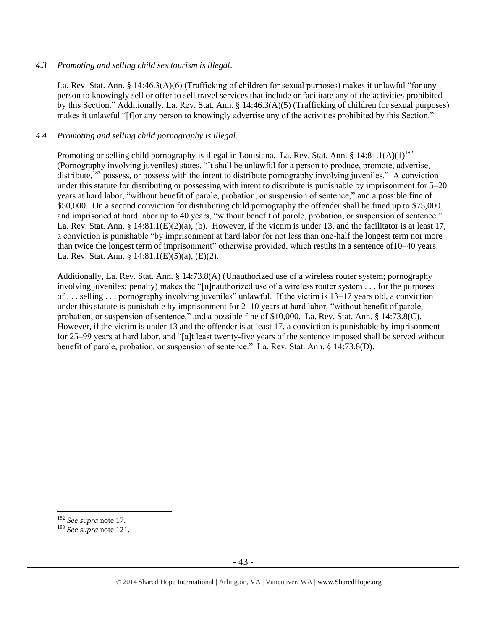## *4.3 Promoting and selling child sex tourism is illegal*.

La. Rev. Stat. Ann. § 14:46.3(A)(6) (Trafficking of children for sexual purposes) makes it unlawful "for any person to knowingly sell or offer to sell travel services that include or facilitate any of the activities prohibited by this Section." Additionally, La. Rev. Stat. Ann. § 14:46.3(A)(5) (Trafficking of children for sexual purposes) makes it unlawful "[f]or any person to knowingly advertise any of the activities prohibited by this Section."

## *4.4 Promoting and selling child pornography is illegal.*

Promoting or selling child pornography is illegal in Louisiana. La. Rev. Stat. Ann. § 14:81.1(A)(1)<sup>182</sup> (Pornography involving juveniles) states, "It shall be unlawful for a person to produce, promote, advertise, distribute,<sup>183</sup> possess, or possess with the intent to distribute pornography involving juveniles." A conviction under this statute for distributing or possessing with intent to distribute is punishable by imprisonment for 5–20 years at hard labor, "without benefit of parole, probation, or suspension of sentence," and a possible fine of \$50,000. On a second conviction for distributing child pornography the offender shall be fined up to \$75,000 and imprisoned at hard labor up to 40 years, "without benefit of parole, probation, or suspension of sentence." La. Rev. Stat. Ann. §  $14:81.1(E)(2)(a)$ , (b). However, if the victim is under 13, and the facilitator is at least 17, a conviction is punishable "by imprisonment at hard labor for not less than one-half the longest term nor more than twice the longest term of imprisonment" otherwise provided, which results in a sentence of10–40 years. La. Rev. Stat. Ann. § 14:81.1(E)(5)(a), (E)(2).

Additionally, La. Rev. Stat. Ann. § 14:73.8(A) (Unauthorized use of a wireless router system; pornography involving juveniles; penalty) makes the "[u]nauthorized use of a wireless router system . . . for the purposes of . . . selling . . . pornography involving juveniles" unlawful. If the victim is 13–17 years old, a conviction under this statute is punishable by imprisonment for 2–10 years at hard labor, "without benefit of parole, probation, or suspension of sentence," and a possible fine of \$10,000. La. Rev. Stat. Ann. § 14:73.8(C). However, if the victim is under 13 and the offender is at least 17, a conviction is punishable by imprisonment for 25–99 years at hard labor, and "[a]t least twenty-five years of the sentence imposed shall be served without benefit of parole, probation, or suspension of sentence." La. Rev. Stat. Ann. § 14:73.8(D).

<sup>182</sup> *See supra* not[e 17.](#page-5-1)

<sup>183</sup> *See supra* not[e 121.](#page-30-0)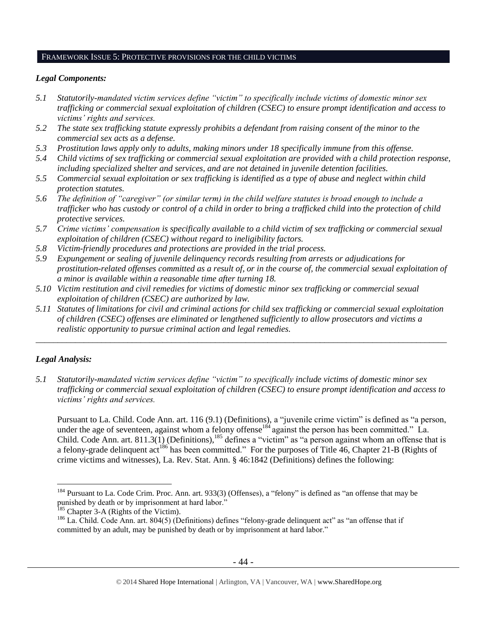#### FRAMEWORK ISSUE 5: PROTECTIVE PROVISIONS FOR THE CHILD VICTIMS

# *Legal Components:*

- *5.1 Statutorily-mandated victim services define "victim" to specifically include victims of domestic minor sex trafficking or commercial sexual exploitation of children (CSEC) to ensure prompt identification and access to victims' rights and services.*
- *5.2 The state sex trafficking statute expressly prohibits a defendant from raising consent of the minor to the commercial sex acts as a defense.*
- *5.3 Prostitution laws apply only to adults, making minors under 18 specifically immune from this offense.*
- *5.4 Child victims of sex trafficking or commercial sexual exploitation are provided with a child protection response, including specialized shelter and services, and are not detained in juvenile detention facilities.*
- *5.5 Commercial sexual exploitation or sex trafficking is identified as a type of abuse and neglect within child protection statutes.*
- *5.6 The definition of "caregiver" (or similar term) in the child welfare statutes is broad enough to include a trafficker who has custody or control of a child in order to bring a trafficked child into the protection of child protective services.*
- *5.7 Crime victims' compensation is specifically available to a child victim of sex trafficking or commercial sexual exploitation of children (CSEC) without regard to ineligibility factors.*
- *5.8 Victim-friendly procedures and protections are provided in the trial process.*
- *5.9 Expungement or sealing of juvenile delinquency records resulting from arrests or adjudications for prostitution-related offenses committed as a result of, or in the course of, the commercial sexual exploitation of a minor is available within a reasonable time after turning 18.*
- *5.10 Victim restitution and civil remedies for victims of domestic minor sex trafficking or commercial sexual exploitation of children (CSEC) are authorized by law.*
- *5.11 Statutes of limitations for civil and criminal actions for child sex trafficking or commercial sexual exploitation of children (CSEC) offenses are eliminated or lengthened sufficiently to allow prosecutors and victims a realistic opportunity to pursue criminal action and legal remedies.*

*\_\_\_\_\_\_\_\_\_\_\_\_\_\_\_\_\_\_\_\_\_\_\_\_\_\_\_\_\_\_\_\_\_\_\_\_\_\_\_\_\_\_\_\_\_\_\_\_\_\_\_\_\_\_\_\_\_\_\_\_\_\_\_\_\_\_\_\_\_\_\_\_\_\_\_\_\_\_\_\_\_\_\_\_\_\_\_\_\_\_\_\_\_\_*

# *Legal Analysis:*

 $\overline{a}$ 

*5.1 Statutorily-mandated victim services define "victim" to specifically include victims of domestic minor sex trafficking or commercial sexual exploitation of children (CSEC) to ensure prompt identification and access to victims' rights and services.*

Pursuant to La. Child. Code Ann. art. 116 (9.1) (Definitions), a "juvenile crime victim" is defined as "a person, under the age of seventeen, against whom a felony offense<sup>184</sup> against the person has been committed." La. Child. Code Ann. art. 811.3(1) (Definitions),<sup>185</sup> defines a "victim" as "a person against whom an offense that is a felony-grade delinquent act<sup>186</sup> has been committed." For the purposes of Title 46, Chapter 21-B (Rights of crime victims and witnesses), La. Rev. Stat. Ann. § 46:1842 (Definitions) defines the following:

<sup>&</sup>lt;sup>184</sup> Pursuant to La. Code Crim. Proc. Ann. art. 933(3) (Offenses), a "felony" is defined as "an offense that may be punished by death or by imprisonment at hard labor."

<sup>&</sup>lt;sup>185</sup> Chapter 3-A (Rights of the [Victim\)](https://a.next.westlaw.com/Browse/Home/StatutesCourtRules/LouisianaStatutesCourtRules?guid=NF8446070943111DA82A9861CF4CA18AB&transitionType=DocumentItem&contextData=(sc.Search)).

<sup>&</sup>lt;sup>186</sup> La. Child. Code Ann. art. 804(5) (Definitions) defines "felony-grade delinquent act" as "an offense that if committed by an adult, may be punished by death or by imprisonment at hard labor."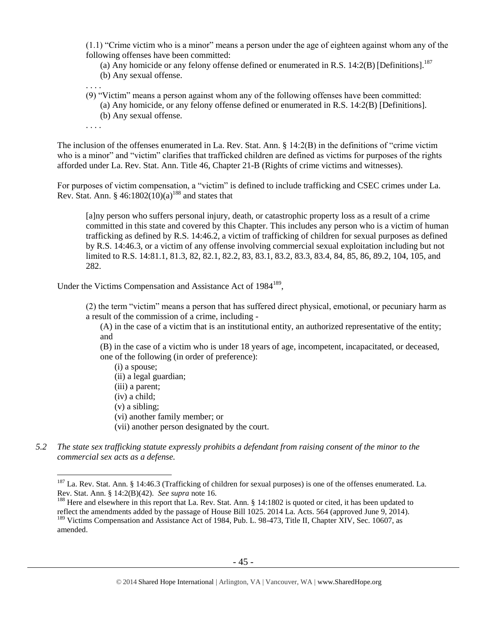(1.1) "Crime victim who is a minor" means a person under the age of eighteen against whom any of the following offenses have been committed:

- (a) Any homicide or any felony offense defined or enumerated in R.S.  $14:2(B)$  [Definitions].<sup>187</sup>
- (b) Any sexual offense.
- . . . . (9) "Victim" means a person against whom any of the following offenses have been committed:
	- (a) Any homicide, or any felony offense defined or enumerated in R.S. 14:2(B) [Definitions].
	- (b) Any sexual offense.
- . . . .

 $\overline{a}$ 

The inclusion of the offenses enumerated in La. Rev. Stat. Ann. § 14:2(B) in the definitions of "crime victim who is a minor" and "victim" clarifies that trafficked children are defined as victims for purposes of the rights afforded under La. Rev. Stat. Ann. Title 46, Chapter 21-B (Rights of crime victims and witnesses).

For purposes of victim compensation, a "victim" is defined to include trafficking and CSEC crimes under La. Rev. Stat. Ann. §  $46:1802(10)(a)^{188}$  and states that

<span id="page-44-0"></span>[a]ny person who suffers personal injury, death, or catastrophic property loss as a result of a crime committed in this state and covered by this Chapter. This includes any person who is a victim of human trafficking as defined by R.S. 14:46.2, a victim of trafficking of children for sexual purposes as defined by R.S. 14:46.3, or a victim of any offense involving commercial sexual exploitation including but not limited to R.S. 14:81.1, 81.3, 82, 82.1, 82.2, 83, 83.1, 83.2, 83.3, 83.4, 84, 85, 86, 89.2, 104, 105, and 282.

Under the Victims Compensation and Assistance Act of 1984<sup>189</sup>,

(2) the term "victim" means a person that has suffered direct physical, emotional, or pecuniary harm as a result of the commission of a crime, including -

(A) in the case of a victim that is an institutional entity, an authorized representative of the entity; and

(B) in the case of a victim who is under 18 years of age, incompetent, incapacitated, or deceased, one of the following (in order of preference):

(i) a spouse; (ii) a legal guardian; (iii) a parent; (iv) a child; (v) a sibling; (vi) another family member; or (vii) another person designated by the court.

*5.2 The state sex trafficking statute expressly prohibits a defendant from raising consent of the minor to the commercial sex acts as a defense.*

<sup>&</sup>lt;sup>187</sup> La. Rev. Stat. Ann. § 14:46.3 (Trafficking of children for sexual purposes) is one of the offenses enumerated. La. Rev. Stat. Ann. § 14:2(B)(42). *See supra* note [16.](#page-4-3)

<sup>&</sup>lt;sup>188</sup> Here and elsewhere in this report that La. Rev. Stat. Ann. § 14:1802 is quoted or cited, it has been updated to reflect the amendments added by the passage of House Bill 1025. 2014 La. Acts. 564 (approved June 9, 2014).

<sup>&</sup>lt;sup>189</sup> Victims Compensation and Assistance Act of 1984, Pub. L. 98-473, Title II, Chapter XIV, Sec. 10607, as amended.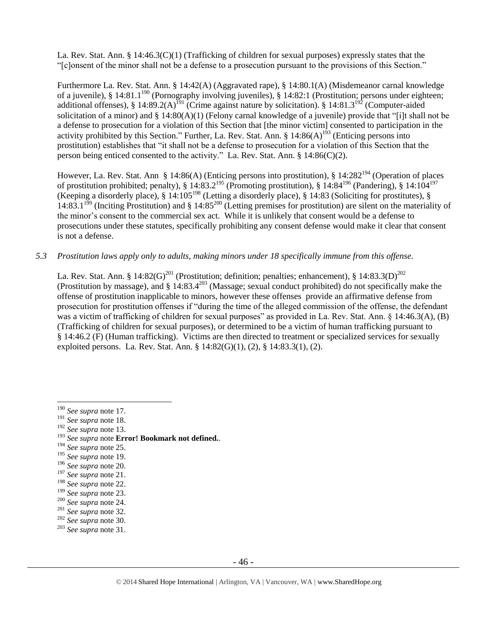La. Rev. Stat. Ann. § 14:46.3(C)(1) (Trafficking of children for sexual purposes) expressly states that the "[c]onsent of the minor shall not be a defense to a prosecution pursuant to the provisions of this Section."

Furthermore La. Rev. Stat. Ann. § 14:42(A) (Aggravated rape), § 14:80.1(A) (Misdemeanor carnal knowledge of a juvenile), § 14:81.1<sup>190</sup> (Pornography involving juveniles), § 14:82:1 (Prostitution; persons under eighteen; additional offenses), § 14:89.2(A)<sup>191</sup> (Crime against nature by solicitation). § 14:81.3<sup>192</sup> (Computer-aided solicitation of a minor) and § 14:80(A)(1) (Felony carnal knowledge of a juvenile) provide that "[i]t shall not be a defense to prosecution for a violation of this Section that [the minor victim] consented to participation in the activity prohibited by this Section." Further, La. Rev. Stat. Ann. §  $14:86(A)^{193}$  (Enticing persons into prostitution) establishes that "it shall not be a defense to prosecution for a violation of this Section that the person being enticed consented to the activity." La. Rev. Stat. Ann. § 14:86(C)(2).

However, La. Rev. Stat. Ann § 14:86(A) (Enticing persons into prostitution), § 14:282<sup>194</sup> (Operation of places of prostitution prohibited; penalty), § 14:83.2<sup>195</sup> (Promoting prostitution), § 14:84<sup>196</sup> (Pandering), § 14:104<sup>197</sup> (Keeping a disorderly place), § 14:105<sup>198</sup> (Letting a disorderly place), § 14:83 (Soliciting for prostitutes), §  $14:83.1^{199}$  (Inciting Prostitution) and § 14:85<sup>200</sup> (Letting premises for prostitution) are silent on the materiality of the minor's consent to the commercial sex act. While it is unlikely that consent would be a defense to prosecutions under these statutes, specifically prohibiting any consent defense would make it clear that consent is not a defense.

*5.3 Prostitution laws apply only to adults, making minors under 18 specifically immune from this offense.*

La. Rev. Stat. Ann. § 14:82(G)<sup>201</sup> (Prostitution; definition; penalties; enhancement), § 14:83.3(D)<sup>202</sup> (Prostitution by massage), and  $\S 14:83.4^{203}$  (Massage; sexual conduct prohibited) do not specifically make the offense of prostitution inapplicable to minors, however these offenses provide an affirmative defense from prosecution for prostitution offenses if "during the time of the alleged commission of the offense, the defendant was a victim of trafficking of children for sexual purposes" as provided in La. Rev. Stat. Ann. § 14:46.3(A), (B) (Trafficking of children for sexual purposes), or determined to be a victim of human trafficking pursuant to § 14:46.2 (F) (Human trafficking). Victims are then directed to treatment or specialized services for sexually exploited persons. La. Rev. Stat. Ann. § 14:82(G)(1), (2), § 14:83.3(1), (2).

 $\overline{a}$ 

<sup>192</sup> *See supra* not[e 13.](#page-4-0)

- <sup>194</sup> *See supra* not[e 25.](#page-7-0)
- <sup>195</sup> *See supra* not[e 19.](#page-6-1)
- <sup>196</sup> *See supra* not[e 20.](#page-6-0)

<sup>201</sup> *See supra* not[e 32.](#page-11-0)

<sup>190</sup> *See supra* not[e 17.](#page-5-1)

<sup>191</sup> *See supra* not[e 18.](#page-5-0)

<sup>193</sup> *See supra* note **Error! Bookmark not defined.**.

<sup>197</sup> *See supra* not[e 21.](#page-6-2)

<sup>198</sup> *See supra* not[e 22.](#page-6-3)

<sup>199</sup> *See supra* not[e 23.](#page-7-1)

<sup>200</sup> *See supra* not[e 24.](#page-7-2)

<sup>202</sup> *See supra* not[e 30.](#page-11-1)

<sup>203</sup> *See supra* not[e 31.](#page-11-2)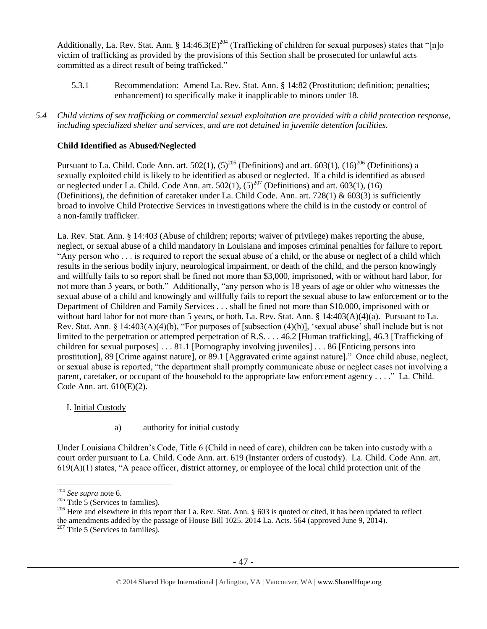Additionally, La. Rev. Stat. Ann. §  $14:46.3(E)^{204}$  (Trafficking of children for sexual purposes) states that "[n]o victim of trafficking as provided by the provisions of this Section shall be prosecuted for unlawful acts committed as a direct result of being trafficked."

<span id="page-46-0"></span>5.3.1 Recommendation: Amend La. Rev. Stat. Ann. § 14:82 (Prostitution; definition; penalties; enhancement) to specifically make it inapplicable to minors under 18.

*5.4 Child victims of sex trafficking or commercial sexual exploitation are provided with a child protection response, including specialized shelter and services, and are not detained in juvenile detention facilities.*

# **Child Identified as Abused/Neglected**

Pursuant to La. Child. Code Ann. art. 502(1),  $(5)^{205}$  (Definitions) and art. 603(1),  $(16)^{206}$  (Definitions) a sexually exploited child is likely to be identified as abused or neglected. If a child is identified as abused or neglected under La. Child. Code Ann. art.  $502(1)$ ,  $(5)^{207}$  (Definitions) and art.  $603(1)$ ,  $(16)$ (Definitions), the definition of caretaker under La. Child Code. Ann. art. 728(1) & 603(3) is sufficiently broad to involve Child Protective Services in investigations where the child is in the custody or control of a non-family trafficker.

La. Rev. Stat. Ann. § 14:403 (Abuse of children; reports; waiver of privilege) makes reporting the abuse, neglect, or sexual abuse of a child mandatory in Louisiana and imposes criminal penalties for failure to report. "Any person who . . . is required to report the sexual abuse of a child, or the abuse or neglect of a child which results in the serious bodily injury, neurological impairment, or death of the child, and the person knowingly and willfully fails to so report shall be fined not more than \$3,000, imprisoned, with or without hard labor, for not more than 3 years, or both." Additionally, "any person who is 18 years of age or older who witnesses the sexual abuse of a child and knowingly and willfully fails to report the sexual abuse to law enforcement or to the Department of Children and Family Services . . . shall be fined not more than \$10,000, imprisoned with or without hard labor for not more than 5 years, or both. La. Rev. Stat. Ann. § 14:403(A)(4)(a). Pursuant to La. Rev. Stat. Ann. § 14:403(A)(4)(b), "For purposes of [subsection (4)(b)], 'sexual abuse' shall include but is not limited to the perpetration or attempted perpetration of R.S. . . . 46.2 [Human trafficking], 46.3 [Trafficking of children for sexual purposes] . . . 81.1 [Pornography involving juveniles] . . . 86 [Enticing persons into prostitution], 89 [Crime against nature], or 89.1 [Aggravated crime against nature]." Once child abuse, neglect, or sexual abuse is reported, "the department shall promptly communicate abuse or neglect cases not involving a parent, caretaker, or occupant of the household to the appropriate law enforcement agency . . . ." La. Child. Code Ann. art. 610(E)(2).

# I. Initial Custody

a) authority for initial custody

Under Louisiana Children's Code, Title 6 (Child in need of care), children can be taken into custody with a court order pursuant to La. Child. Code Ann. art. 619 (Instanter orders of custody). La. Child. Code Ann. art.  $619(A)(1)$  states, "A peace officer, district attorney, or employee of the local child protection unit of the

<sup>204</sup> *See supra* not[e 6.](#page-2-0)

<sup>&</sup>lt;sup>205</sup> Title 5 (Services to families).

<sup>&</sup>lt;sup>206</sup> Here and elsewhere in this report that La. Rev. Stat. Ann. § 603 is quoted or cited, it has been updated to reflect the amendments added by the passage of House Bill 1025. 2014 La. Acts. 564 (approved June 9, 2014).

 $207$  Title 5 (Services to families).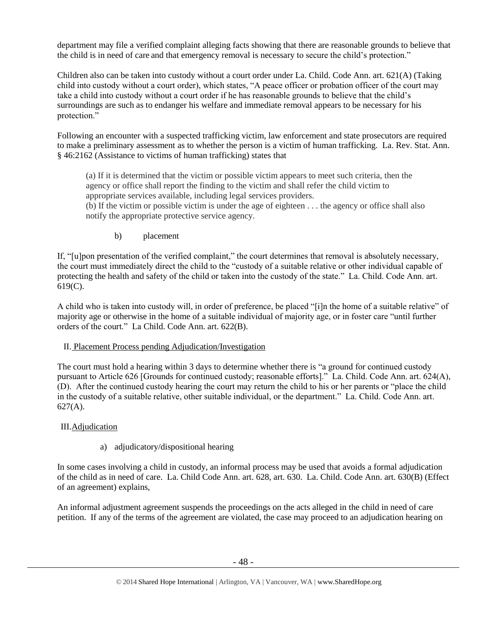department may file a verified complaint alleging facts showing that there are reasonable grounds to believe that the child is in need of care and that emergency removal is necessary to secure the child's protection."

Children also can be taken into custody without a court order under La. Child. Code Ann. art. 621(A) (Taking child into custody without a court order), which states, "A peace officer or probation officer of the court may take a child into custody without a court order if he has reasonable grounds to believe that the child's surroundings are such as to endanger his welfare and immediate removal appears to be necessary for his protection."

Following an encounter with a suspected trafficking victim, law enforcement and state prosecutors are required to make a preliminary assessment as to whether the person is a victim of human trafficking. La. Rev. Stat. Ann. § 46:2162 (Assistance to victims of human trafficking) states that

(a) If it is determined that the victim or possible victim appears to meet such criteria, then the agency or office shall report the finding to the victim and shall refer the child victim to appropriate services available, including legal services providers.

(b) If the victim or possible victim is under the age of eighteen . . . the agency or office shall also notify the appropriate protective service agency.

b) placement

If, "[u]pon presentation of the verified complaint," the court determines that removal is absolutely necessary, the court must immediately direct the child to the "custody of a suitable relative or other individual capable of protecting the health and safety of the child or taken into the custody of the state." La. Child. Code Ann. art. 619(C).

A child who is taken into custody will, in order of preference, be placed "[i]n the home of a suitable relative" of majority age or otherwise in the home of a suitable individual of majority age, or in foster care "until further orders of the court." La Child. Code Ann. art. 622(B).

# II. Placement Process pending Adjudication/Investigation

The court must hold a hearing within 3 days to determine whether there is "a ground for continued custody pursuant to Article 626 [Grounds for continued custody; reasonable efforts]." La. Child. Code Ann. art. 624(A), (D). After the continued custody hearing the court may return the child to his or her parents or "place the child in the custody of a suitable relative, other suitable individual, or the department." La. Child. Code Ann. art.  $627(A)$ .

# III.Adjudication

# a) adjudicatory/dispositional hearing

In some cases involving a child in custody, an informal process may be used that avoids a formal adjudication of the child as in need of care. La. Child Code Ann. art. 628, art. 630. La. Child. Code Ann. art. 630(B) (Effect of an agreement) explains,

An informal adjustment agreement suspends the proceedings on the acts alleged in the child in need of care petition. If any of the terms of the agreement are violated, the case may proceed to an adjudication hearing on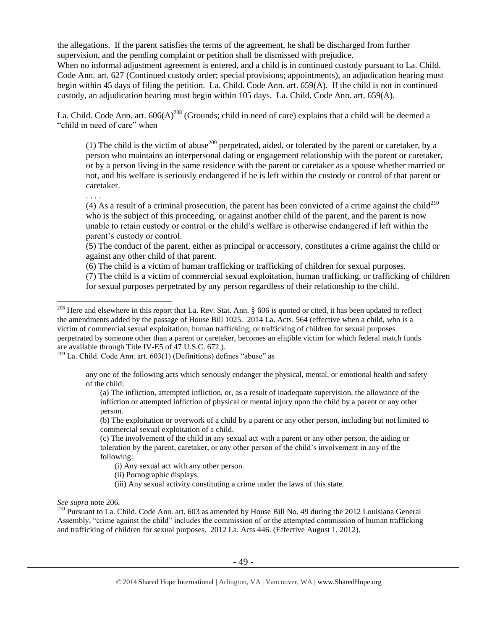the allegations. If the parent satisfies the terms of the agreement, he shall be discharged from further supervision, and the pending complaint or petition shall be dismissed with prejudice.

When no informal adjustment agreement is entered, and a child is in continued custody pursuant to La. Child. Code Ann. art. 627 (Continued custody order; special provisions; appointments), an adjudication hearing must begin within 45 days of filing the petition. La. Child. Code Ann. art. 659(A). If the child is not in continued custody, an adjudication hearing must begin within 105 days. La. Child. Code Ann. art. 659(A).

La. Child. Code Ann. art.  $606(A)^{208}$  (Grounds; child in need of care) explains that a child will be deemed a "child in need of care" when

(1) The child is the victim of abuse<sup>209</sup> perpetrated, aided, or tolerated by the parent or caretaker, by a person who maintains an interpersonal dating or engagement relationship with the parent or caretaker, or by a person living in the same residence with the parent or caretaker as a spouse whether married or not, and his welfare is seriously endangered if he is left within the custody or control of that parent or caretaker.

. . . .

 $\overline{a}$ 

(4) As a result of a criminal prosecution, the parent has been convicted of a crime against the child<sup>210</sup> who is the subject of this proceeding, or against another child of the parent, and the parent is now unable to retain custody or control or the child's welfare is otherwise endangered if left within the parent's custody or control.

(5) The conduct of the parent, either as principal or accessory, constitutes a crime against the child or against any other child of that parent.

(6) The child is a victim of human trafficking or trafficking of children for sexual purposes.

(7) The child is a victim of commercial sexual exploitation, human trafficking, or trafficking of children

for sexual purposes perpetrated by any person regardless of their relationship to the child.

any one of the following acts which seriously endanger the physical, mental, or emotional health and safety of the child:

(a) The infliction, attempted infliction, or, as a result of inadequate supervision, the allowance of the infliction or attempted infliction of physical or mental injury upon the child by a parent or any other person.

(b) The exploitation or overwork of a child by a parent or any other person, including but not limited to commercial sexual exploitation of a child.

(c) The involvement of the child in any sexual act with a parent or any other person, the aiding or toleration by the parent, caretaker, or any other person of the child's involvement in any of the following:

- (i) Any sexual act with any other person.
- (ii) Pornographic displays.
- (iii) Any sexual activity constituting a crime under the laws of this state.

## *See supra* note [206.](#page-46-0)

<sup>210</sup> Pursuant to La. Child. Code Ann. art. 603 as amended by House Bill No. 49 during the 2012 Louisiana General Assembly, "crime against the child" includes the commission of or the attempted commission of human trafficking and trafficking of children for sexual purposes. 2012 La. Acts 446. (Effective August 1, 2012).

 $^{208}$  Here and elsewhere in this report that La. Rev. Stat. Ann. § 606 is quoted or cited, it has been updated to reflect the amendments added by the passage of House Bill 1025. 2014 La. Acts. 564 (effective when a child, who is a victim of commercial sexual exploitation, human trafficking, or trafficking of children for sexual purposes perpetrated by someone other than a parent or caretaker, becomes an eligible victim for which federal match funds are available through Title IV-E5 of 47 U.S.C. 672.).

 $209$  La. Child. Code Ann. art. 603(1) (Definitions) defines "abuse" as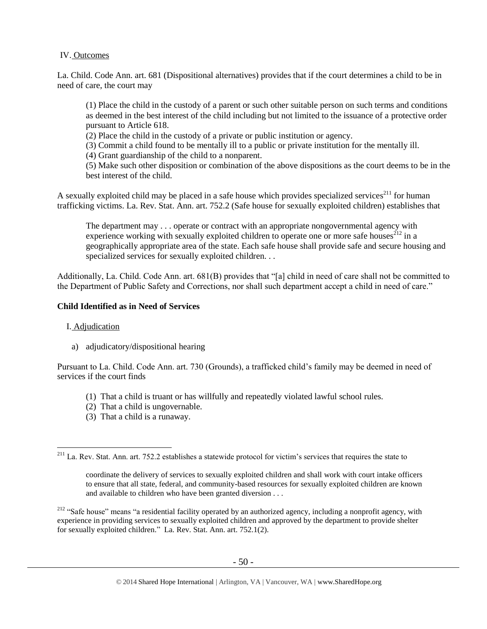# IV. Outcomes

La. Child. Code Ann. art. 681 (Dispositional alternatives) provides that if the court determines a child to be in need of care, the court may

(1) Place the child in the custody of a parent or such other suitable person on such terms and conditions as deemed in the best interest of the child including but not limited to the issuance of a protective order pursuant to Article 618.

(2) Place the child in the custody of a private or public institution or agency.

(3) Commit a child found to be mentally ill to a public or private institution for the mentally ill.

(4) Grant guardianship of the child to a nonparent.

(5) Make such other disposition or combination of the above dispositions as the court deems to be in the best interest of the child.

A sexually exploited child may be placed in a safe house which provides specialized services<sup>211</sup> for human trafficking victims. La. Rev. Stat. Ann. art. 752.2 (Safe house for sexually exploited children) establishes that

<span id="page-49-0"></span>The department may . . . operate or contract with an appropriate nongovernmental agency with experience working with sexually exploited children to operate one or more safe houses<sup>212</sup> in a geographically appropriate area of the state. Each safe house shall provide safe and secure housing and specialized services for sexually exploited children. . .

Additionally, La. Child. Code Ann. art. 681(B) provides that "[a] child in need of care shall not be committed to the Department of Public Safety and Corrections, nor shall such department accept a child in need of care."

## **Child Identified as in Need of Services**

## I. Adjudication

 $\overline{a}$ 

a) adjudicatory/dispositional hearing

Pursuant to La. Child. Code Ann. art. 730 (Grounds), a trafficked child's family may be deemed in need of services if the court finds

- (1) That a child is truant or has willfully and repeatedly violated lawful school rules.
- (2) That a child is ungovernable.
- (3) That a child is a runaway.

<sup>212</sup> "Safe house" means "a residential facility operated by an authorized agency, including a nonprofit agency, with experience in providing services to sexually exploited children and approved by the department to provide shelter for sexually exploited children." La. Rev. Stat. Ann. art. 752.1(2).

 $2^{211}$  La. Rev. Stat. Ann. art. 752.2 establishes a statewide protocol for victim's services that requires the state to

coordinate the delivery of services to sexually exploited children and shall work with court intake officers to ensure that all state, federal, and community-based resources for sexually exploited children are known and available to children who have been granted diversion . . .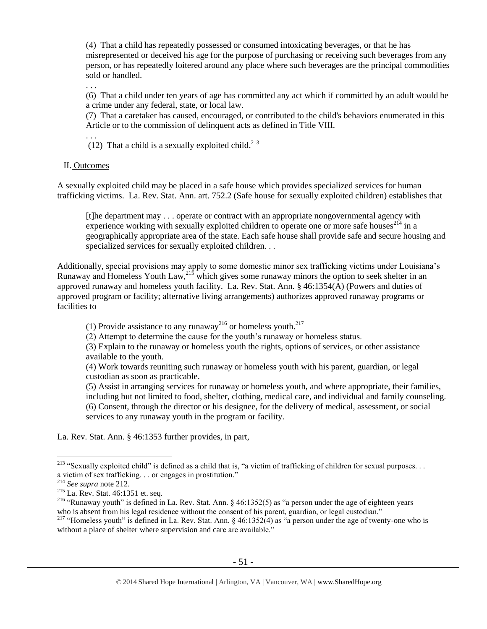(4) That a child has repeatedly possessed or consumed intoxicating beverages, or that he has misrepresented or deceived his age for the purpose of purchasing or receiving such beverages from any person, or has repeatedly loitered around any place where such beverages are the principal commodities sold or handled.

. . .

(6) That a child under ten years of age has committed any act which if committed by an adult would be a crime under any federal, state, or local law.

(7) That a caretaker has caused, encouraged, or contributed to the child's behaviors enumerated in this Article or to the commission of delinquent acts as defined in Title VIII.

. . .

(12) That a child is a sexually exploited child. $^{213}$ 

## II. Outcomes

A sexually exploited child may be placed in a safe house which provides specialized services for human trafficking victims. La. Rev. Stat. Ann. art. 752.2 (Safe house for sexually exploited children) establishes that

[t]he department may . . . operate or contract with an appropriate nongovernmental agency with experience working with sexually exploited children to operate one or more safe houses<sup>214</sup> in a geographically appropriate area of the state. Each safe house shall provide safe and secure housing and specialized services for sexually exploited children. . .

Additionally, special provisions may apply to some domestic minor sex trafficking victims under Louisiana's Runaway and Homeless Youth Law,  $^{215}$  which gives some runaway minors the option to seek shelter in an approved runaway and homeless youth facility. La. Rev. Stat. Ann. § 46:1354(A) (Powers and duties of approved program or facility; alternative living arrangements) authorizes approved runaway programs or facilities to

(1) Provide assistance to any runaway<sup>216</sup> or homeless youth.<sup>217</sup>

(2) Attempt to determine the cause for the youth's runaway or homeless status.

(3) Explain to the runaway or homeless youth the rights, options of services, or other assistance available to the youth.

(4) Work towards reuniting such runaway or homeless youth with his parent, guardian, or legal custodian as soon as practicable.

(5) Assist in arranging services for runaway or homeless youth, and where appropriate, their families, including but not limited to food, shelter, clothing, medical care, and individual and family counseling. (6) Consent, through the director or his designee, for the delivery of medical, assessment, or social services to any runaway youth in the program or facility.

La. Rev. Stat. Ann. § 46:1353 further provides, in part,

 $\overline{a}$ <sup>213</sup> "Sexually exploited child" is defined as a child that is, "a victim of trafficking of children for sexual purposes... a victim of sex trafficking. . . or engages in prostitution."

<sup>214</sup> *See supra* not[e 212.](#page-49-0)

<sup>215</sup> La. Rev. Stat. 46:1351 et. seq.

<sup>&</sup>lt;sup>216</sup> "Runaway youth" is defined in La. Rev. Stat. Ann. § 46:1352(5) as "a person under the age of eighteen years who is absent from his legal residence without the consent of his parent, guardian, or legal custodian."

<sup>217 &</sup>quot;Homeless youth" is defined in La. Rev. Stat. Ann.  $\S$  46:1352(4) as "a person under the age of twenty-one who is without a place of shelter where supervision and care are available."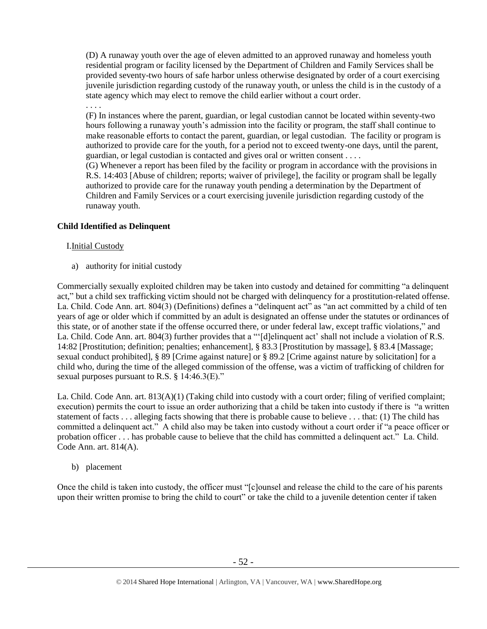(D) A runaway youth over the age of eleven admitted to an approved runaway and homeless youth residential program or facility licensed by the Department of Children and Family Services shall be provided seventy-two hours of safe harbor unless otherwise designated by order of a court exercising juvenile jurisdiction regarding custody of the runaway youth, or unless the child is in the custody of a state agency which may elect to remove the child earlier without a court order.

# . . . .

(F) In instances where the parent, guardian, or legal custodian cannot be located within seventy-two hours following a runaway youth's admission into the facility or program, the staff shall continue to make reasonable efforts to contact the parent, guardian, or legal custodian. The facility or program is authorized to provide care for the youth, for a period not to exceed twenty-one days, until the parent, guardian, or legal custodian is contacted and gives oral or written consent . . . .

(G) Whenever a report has been filed by the facility or program in accordance with the provisions in R.S. 14:403 [Abuse of children; reports; waiver of privilege], the facility or program shall be legally authorized to provide care for the runaway youth pending a determination by the Department of Children and Family Services or a court exercising juvenile jurisdiction regarding custody of the runaway youth.

# **Child Identified as Delinquent**

# I.Initial Custody

a) authority for initial custody

Commercially sexually exploited children may be taken into custody and detained for committing "a delinquent act," but a child sex trafficking victim should not be charged with delinquency for a prostitution-related offense. La. Child. Code Ann. art. 804(3) (Definitions) defines a "delinquent act" as "an act committed by a child of ten years of age or older which if committed by an adult is designated an offense under the statutes or ordinances of this state, or of another state if the offense occurred there, or under federal law, except traffic violations," and La. Child. Code Ann. art. 804(3) further provides that a "'[d]elinquent act' shall not include a violation of R.S. 14:82 [Prostitution; definition; penalties; enhancement], § 83.3 [Prostitution by massage], § 83.4 [Massage; sexual conduct prohibited], § 89 [Crime against nature] or § 89.2 [Crime against nature by solicitation] for a child who, during the time of the alleged commission of the offense, was a victim of trafficking of children for sexual purposes pursuant to R.S. § 14:46.3(E)."

La. Child. Code Ann. art. 813(A)(1) (Taking child into custody with a court order; filing of verified complaint; execution) permits the court to issue an order authorizing that a child be taken into custody if there is "a written statement of facts . . . alleging facts showing that there is probable cause to believe . . . that: (1) The child has committed a delinquent act." A child also may be taken into custody without a court order if "a peace officer or probation officer . . . has probable cause to believe that the child has committed a delinquent act." La. Child. Code Ann. art. 814(A).

## b) placement

Once the child is taken into custody, the officer must "[c]ounsel and release the child to the care of his parents upon their written promise to bring the child to court" or take the child to a juvenile detention center if taken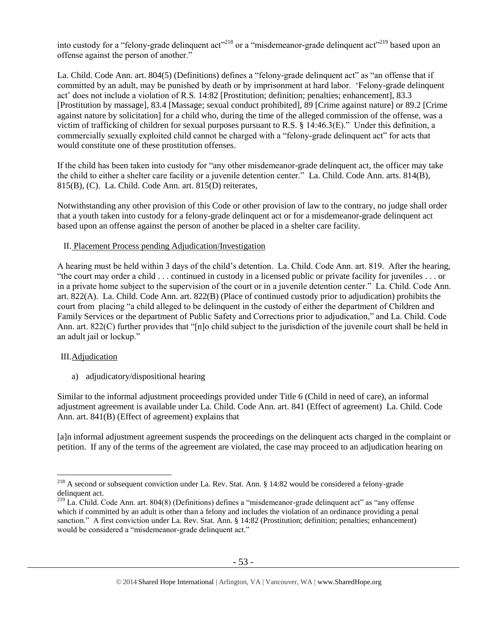into custody for a "felony-grade delinquent act"<sup>218</sup> or a "misdemeanor-grade delinquent act"<sup>219</sup> based upon an offense against the person of another."

La. Child. Code Ann. art. 804(5) (Definitions) defines a "felony-grade delinquent act" as "an offense that if committed by an adult, may be punished by death or by imprisonment at hard labor. 'Felony-grade delinquent act' does not include a violation of R.S. 14:82 [Prostitution; definition; penalties; enhancement], 83.3 [Prostitution by massage], 83.4 [Massage; sexual conduct prohibited], 89 [Crime against nature] or 89.2 [Crime against nature by solicitation] for a child who, during the time of the alleged commission of the offense, was a victim of trafficking of children for sexual purposes pursuant to R.S. § 14:46.3(E)." Under this definition, a commercially sexually exploited child cannot be charged with a "felony-grade delinquent act" for acts that would constitute one of these prostitution offenses.

If the child has been taken into custody for "any other misdemeanor-grade delinquent act, the officer may take the child to either a shelter care facility or a juvenile detention center." La. Child. Code Ann. arts. 814(B), 815(B), (C). La. Child. Code Ann. art. 815(D) reiterates,

Notwithstanding any other provision of this Code or other provision of law to the contrary, no judge shall order that a youth taken into custody for a felony-grade delinquent act or for a misdemeanor-grade delinquent act based upon an offense against the person of another be placed in a shelter care facility.

# II. Placement Process pending Adjudication/Investigation

A hearing must be held within 3 days of the child's detention. La. Child. Code Ann. art. 819. After the hearing, "the court may order a child . . . continued in custody in a licensed public or private facility for juveniles . . . or in a private home subject to the supervision of the court or in a juvenile detention center." La. Child. Code Ann. art. 822(A). La. Child. Code Ann. art. 822(B) (Place of continued custody prior to adjudication) prohibits the court from placing "a child alleged to be delinquent in the custody of either the department of Children and Family Services or the department of Public Safety and Corrections prior to adjudication," and La. Child. Code Ann. art. 822(C) further provides that "[n]o child subject to the jurisdiction of the juvenile court shall be held in an adult jail or lockup."

## III.Adjudication

 $\overline{a}$ 

a) adjudicatory/dispositional hearing

Similar to the informal adjustment proceedings provided under Title 6 (Child in need of care), an informal adjustment agreement is available under La. Child. Code Ann. art. 841 (Effect of agreement) La. Child. Code Ann. art. 841(B) (Effect of agreement) explains that

[a]n informal adjustment agreement suspends the proceedings on the delinquent acts charged in the complaint or petition. If any of the terms of the agreement are violated, the case may proceed to an adjudication hearing on

<sup>&</sup>lt;sup>218</sup> A second or subsequent conviction under La. Rev. Stat. Ann. § 14:82 would be considered a felony-grade delinquent act.

 $^{219}$  La. Child. Code Ann. art. 804(8) (Definitions) defines a "misdemeanor-grade delinquent act" as "any offense which if committed by an adult is other than a felony and includes the violation of an ordinance providing a penal sanction." A first conviction under La. Rev. Stat. Ann. § 14:82 (Prostitution; definition; penalties; enhancement) would be considered a "misdemeanor-grade delinquent act."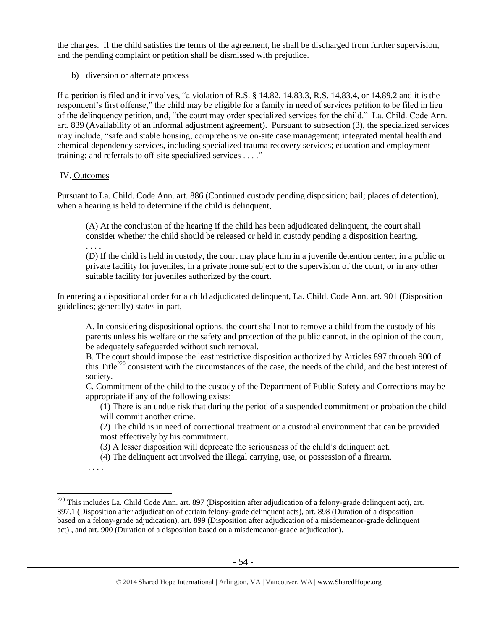the charges. If the child satisfies the terms of the agreement, he shall be discharged from further supervision, and the pending complaint or petition shall be dismissed with prejudice.

b) diversion or alternate process

If a petition is filed and it involves, "a violation of R.S. § 14.82, 14.83.3, R.S. 14.83.4, or 14.89.2 and it is the respondent's first offense," the child may be eligible for a family in need of services petition to be filed in lieu of the delinquency petition, and, "the court may order specialized services for the child." La. Child. Code Ann. art. 839 (Availability of an informal adjustment agreement). Pursuant to subsection (3), the specialized services may include, "safe and stable housing; comprehensive on-site case management; integrated mental health and chemical dependency services, including specialized trauma recovery services; education and employment training; and referrals to off-site specialized services . . . ."

## IV. Outcomes

. . . .

Pursuant to La. Child. Code Ann. art. 886 (Continued custody pending disposition; bail; places of detention), when a hearing is held to determine if the child is delinquent,

(A) At the conclusion of the hearing if the child has been adjudicated delinquent, the court shall consider whether the child should be released or held in custody pending a disposition hearing.

(D) If the child is held in custody, the court may place him in a juvenile detention center, in a public or private facility for juveniles, in a private home subject to the supervision of the court, or in any other suitable facility for juveniles authorized by the court.

In entering a dispositional order for a child adjudicated delinquent, La. Child. Code Ann. art. 901 (Disposition guidelines; generally) states in part,

A. In considering dispositional options, the court shall not to remove a child from the custody of his parents unless his welfare or the safety and protection of the public cannot, in the opinion of the court, be adequately safeguarded without such removal.

B. The court should impose the least restrictive disposition authorized by Articles 897 through 900 of this Title<sup>220</sup> consistent with the circumstances of the case, the needs of the child, and the best interest of society.

C. Commitment of the child to the custody of the Department of Public Safety and Corrections may be appropriate if any of the following exists:

(1) There is an undue risk that during the period of a suspended commitment or probation the child will commit another crime.

(2) The child is in need of correctional treatment or a custodial environment that can be provided most effectively by his commitment.

(3) A lesser disposition will deprecate the seriousness of the child's delinquent act.

(4) The delinquent act involved the illegal carrying, use, or possession of a firearm.

. . . .

 $^{220}$  This includes La. Child Code Ann. art. 897 (Disposition after adjudication of a felony-grade delinquent act), art. 897.1 (Disposition after adjudication of certain felony-grade delinquent acts), art. 898 (Duration of a disposition based on a felony-grade adjudication), art. 899 (Disposition after adjudication of a misdemeanor-grade delinquent act) , and art. 900 (Duration of a disposition based on a misdemeanor-grade adjudication).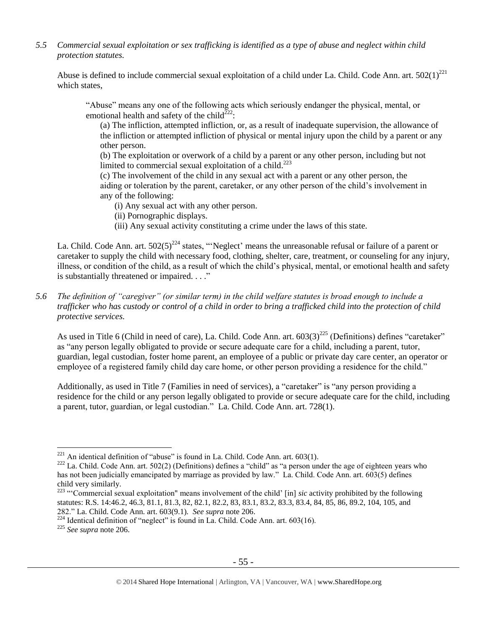*5.5 Commercial sexual exploitation or sex trafficking is identified as a type of abuse and neglect within child protection statutes.*

Abuse is defined to include commercial sexual exploitation of a child under La. Child. Code Ann. art.  $502(1)^{221}$ which states,

"Abuse" means any one of the following acts which seriously endanger the physical, mental, or emotional health and safety of the child<sup>222</sup>:

(a) The infliction, attempted infliction, or, as a result of inadequate supervision, the allowance of the infliction or attempted infliction of physical or mental injury upon the child by a parent or any other person.

(b) The exploitation or overwork of a child by a parent or any other person, including but not limited to commercial sexual exploitation of a child.<sup>223</sup>

(c) The involvement of the child in any sexual act with a parent or any other person, the aiding or toleration by the parent, caretaker, or any other person of the child's involvement in any of the following:

(i) Any sexual act with any other person.

- (ii) Pornographic displays.
- (iii) Any sexual activity constituting a crime under the laws of this state.

La. Child. Code Ann. art.  $502(5)^{224}$  states, "'Neglect' means the unreasonable refusal or failure of a parent or caretaker to supply the child with necessary food, clothing, shelter, care, treatment, or counseling for any injury, illness, or condition of the child, as a result of which the child's physical, mental, or emotional health and safety is substantially threatened or impaired. . . ."

*5.6 The definition of "caregiver" (or similar term) in the child welfare statutes is broad enough to include a trafficker who has custody or control of a child in order to bring a trafficked child into the protection of child protective services.*

As used in Title 6 (Child in need of care), La. Child. Code Ann. art.  $603(3)^{225}$  (Definitions) defines "caretaker" as "any person legally obligated to provide or secure adequate care for a child, including a parent, tutor, guardian, legal custodian, foster home parent, an employee of a public or private day care center, an operator or employee of a registered family child day care home, or other person providing a residence for the child."

Additionally, as used in Title 7 (Families in need of services), a "caretaker" is "any person providing a residence for the child or any person legally obligated to provide or secure adequate care for the child, including a parent, tutor, guardian, or legal custodian." La. Child. Code Ann. art. 728(1).

 $^{221}$  An identical definition of "abuse" is found in La. Child. Code Ann. art. 603(1).

<sup>&</sup>lt;sup>222</sup> La. Child. Code Ann. art. 502(2) (Definitions) defines a "child" as "a person under the age of eighteen years who has not been judicially emancipated by marriage as provided by law." La. Child. Code Ann. art. 603(5) defines child very similarly.

<sup>223</sup> "'Commercial sexual exploitation" means involvement of the child' [in] *sic* activity prohibited by the following statutes: R.S. 14:46.2, 46.3, 81.1, 81.3, 82, 82.1, 82.2, 83, 83.1, 83.2, 83.3, 83.4, 84, 85, 86, 89.2, 104, 105, and 282." La. Child. Code Ann. art. 603(9.1). *See supra* not[e 206.](#page-46-0)

 $^{224}$  Identical definition of "neglect" is found in La. Child. Code Ann. art. 603(16).

<sup>225</sup> *See supra* not[e 206.](#page-46-0)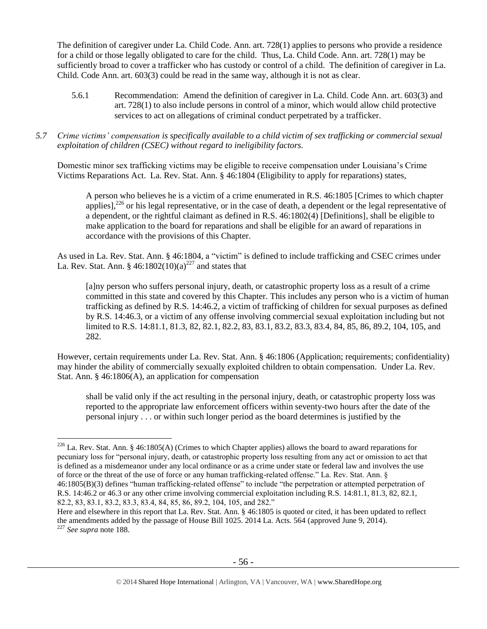The definition of caregiver under La. Child Code. Ann. art. 728(1) applies to persons who provide a residence for a child or those legally obligated to care for the child. Thus, La. Child Code. Ann. art. 728(1) may be sufficiently broad to cover a trafficker who has custody or control of a child. The definition of caregiver in La. Child. Code Ann. art. 603(3) could be read in the same way, although it is not as clear.

- 5.6.1 Recommendation: Amend the definition of caregiver in La. Child. Code Ann. art. 603(3) and art. 728(1) to also include persons in control of a minor, which would allow child protective services to act on allegations of criminal conduct perpetrated by a trafficker.
- *5.7 Crime victims' compensation is specifically available to a child victim of sex trafficking or commercial sexual exploitation of children (CSEC) without regard to ineligibility factors.*

Domestic minor sex trafficking victims may be eligible to receive compensation under Louisiana's Crime Victims Reparations Act. La. Rev. Stat. Ann. § 46:1804 (Eligibility to apply for reparations) states,

A person who believes he is a victim of a crime enumerated in R.S. 46:1805 [Crimes to which chapter applies], $^{226}$  or his legal representative, or in the case of death, a dependent or the legal representative of a dependent, or the rightful claimant as defined in R.S. 46:1802(4) [Definitions], shall be eligible to make application to the board for reparations and shall be eligible for an award of reparations in accordance with the provisions of this Chapter.

As used in La. Rev. Stat. Ann. § 46:1804, a "victim" is defined to include trafficking and CSEC crimes under La. Rev. Stat. Ann. § 46:1802(10)(a)<sup>227</sup> and states that

[a]ny person who suffers personal injury, death, or catastrophic property loss as a result of a crime committed in this state and covered by this Chapter. This includes any person who is a victim of human trafficking as defined by R.S. 14:46.2, a victim of trafficking of children for sexual purposes as defined by R.S. 14:46.3, or a victim of any offense involving commercial sexual exploitation including but not limited to R.S. 14:81.1, 81.3, 82, 82.1, 82.2, 83, 83.1, 83.2, 83.3, 83.4, 84, 85, 86, 89.2, 104, 105, and 282.

However, certain requirements under La. Rev. Stat. Ann. § 46:1806 (Application; requirements; confidentiality) may hinder the ability of commercially sexually exploited children to obtain compensation. Under La. Rev. Stat. Ann. § 46:1806(A), an application for compensation

shall be valid only if the act resulting in the personal injury, death, or catastrophic property loss was reported to the appropriate law enforcement officers within seventy-two hours after the date of the personal injury . . . or within such longer period as the board determines is justified by the

<sup>&</sup>lt;sup>226</sup> La. Rev. Stat. Ann. § 46:1805(A) (Crimes to which Chapter applies) allows the board to award reparations for pecuniary loss for "personal injury, death, or catastrophic property loss resulting from any act or omission to act that is defined as a misdemeanor under any local ordinance or as a crime under state or federal law and involves the use of force or the threat of the use of force or any human trafficking-related offense." La. Rev. Stat. Ann. § 46:1805(B)(3) defines "human trafficking-related offense" to include "the perpetration or attempted perpetration of R.S. 14:46.2 or 46.3 or any other crime involving commercial exploitation including R.S. 14:81.1, 81.3, 82, 82.1, 82.2, 83, 83.1, 83.2, 83.3, 83.4, 84, 85, 86, 89.2, 104, 105, and 282."

Here and elsewhere in this report that La. Rev. Stat. Ann. § 46:1805 is quoted or cited, it has been updated to reflect the amendments added by the passage of House Bill 1025. 2014 La. Acts. 564 (approved June 9, 2014). <sup>227</sup> *See supra* not[e 188.](#page-44-0)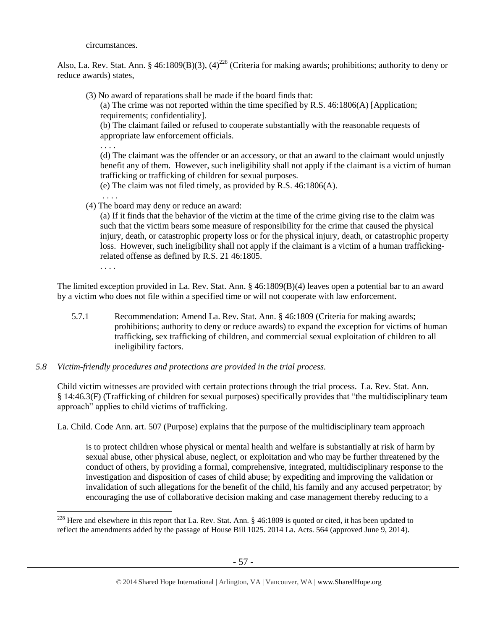circumstances.

Also, La. Rev. Stat. Ann. § 46:1809(B)(3), (4)<sup>228</sup> (Criteria for making awards; prohibitions; authority to deny or reduce awards) states,

(3) No award of reparations shall be made if the board finds that:

(a) The crime was not reported within the time specified by [R.S. 46:1806\(A\)](https://www.lexis.com/research/buttonTFLink?_m=828597f30eb2199f250a997a4f901e1e&_xfercite=%3ccite%20cc%3d%22USA%22%3e%3c%21%5bCDATA%5bLa.%20R.S.%2046%3a1809%5d%5d%3e%3c%2fcite%3e&_butType=4&_butStat=0&_butNum=4&_butInline=1&_butinfo=LACODE%2046%3a1806&_fmtstr=FULL&docnum=1&_startdoc=1&wchp=dGLbVzS-zSkAl&_md5=04dd6e063e878d2b6da274e0eb2ca513) [Application; requirements; confidentiality].

(b) The claimant failed or refused to cooperate substantially with the reasonable requests of appropriate law enforcement officials.

. . . .

. . . .

(d) The claimant was the offender or an accessory, or that an award to the claimant would unjustly benefit any of them. However, such ineligibility shall not apply if the claimant is a victim of human trafficking or trafficking of children for sexual purposes.

(e) The claim was not filed timely, as provided by R.S. 46:1806(A).

(4) The board may deny or reduce an award:

(a) If it finds that the behavior of the victim at the time of the crime giving rise to the claim was such that the victim bears some measure of responsibility for the crime that caused the physical injury, death, or catastrophic property loss or for the physical injury, death, or catastrophic property loss. However, such ineligibility shall not apply if the claimant is a victim of a human traffickingrelated offense as defined by R.S. 21 46:1805.

. . . .

 $\overline{a}$ 

The limited exception provided in La. Rev. Stat. Ann. § 46:1809(B)(4) leaves open a potential bar to an award by a victim who does not file within a specified time or will not cooperate with law enforcement.

- 5.7.1 Recommendation: Amend La. Rev. Stat. Ann. § 46:1809 (Criteria for making awards; prohibitions; authority to deny or reduce awards) to expand the exception for victims of human trafficking, sex trafficking of children, and commercial sexual exploitation of children to all ineligibility factors.
- *5.8 Victim-friendly procedures and protections are provided in the trial process.*

Child victim witnesses are provided with certain protections through the trial process. La. Rev. Stat. Ann. § 14:46.3(F) (Trafficking of children for sexual purposes) specifically provides that "the multidisciplinary team approach" applies to child victims of trafficking.

La. Child. Code Ann. art. 507 (Purpose) explains that the purpose of the multidisciplinary team approach

is to protect children whose physical or mental health and welfare is substantially at risk of harm by sexual abuse, other physical abuse, neglect, or exploitation and who may be further threatened by the conduct of others, by providing a formal, comprehensive, integrated, multidisciplinary response to the investigation and disposition of cases of child abuse; by expediting and improving the validation or invalidation of such allegations for the benefit of the child, his family and any accused perpetrator; by encouraging the use of collaborative decision making and case management thereby reducing to a

<sup>&</sup>lt;sup>228</sup> Here and elsewhere in this report that La. Rev. Stat. Ann.  $§$  46:1809 is quoted or cited, it has been updated to reflect the amendments added by the passage of House Bill 1025. 2014 La. Acts. 564 (approved June 9, 2014).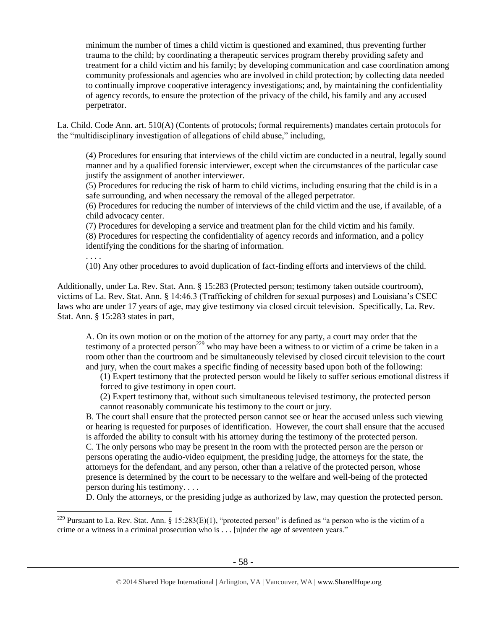minimum the number of times a child victim is questioned and examined, thus preventing further trauma to the child; by coordinating a therapeutic services program thereby providing safety and treatment for a child victim and his family; by developing communication and case coordination among community professionals and agencies who are involved in child protection; by collecting data needed to continually improve cooperative interagency investigations; and, by maintaining the confidentiality of agency records, to ensure the protection of the privacy of the child, his family and any accused perpetrator.

La. Child. Code Ann. art. 510(A) (Contents of protocols; formal requirements) mandates certain protocols for the "multidisciplinary investigation of allegations of child abuse," including,

(4) Procedures for ensuring that interviews of the child victim are conducted in a neutral, legally sound manner and by a qualified forensic interviewer, except when the circumstances of the particular case justify the assignment of another interviewer.

(5) Procedures for reducing the risk of harm to child victims, including ensuring that the child is in a safe surrounding, and when necessary the removal of the alleged perpetrator.

(6) Procedures for reducing the number of interviews of the child victim and the use, if available, of a child advocacy center.

(7) Procedures for developing a service and treatment plan for the child victim and his family. (8) Procedures for respecting the confidentiality of agency records and information, and a policy identifying the conditions for the sharing of information.

(10) Any other procedures to avoid duplication of fact-finding efforts and interviews of the child.

Additionally, under La. Rev. Stat. Ann. § 15:283 (Protected person; testimony taken outside courtroom), victims of La. Rev. Stat. Ann. § 14:46.3 (Trafficking of children for sexual purposes) and Louisiana's CSEC laws who are under 17 years of age, may give testimony via closed circuit television. Specifically, La. Rev. Stat. Ann. § 15:283 states in part,

. . . .

 $\overline{a}$ 

A. On its own motion or on the motion of the attorney for any party, a court may order that the testimony of a protected person<sup>229</sup> who may have been a witness to or victim of a crime be taken in a room other than the courtroom and be simultaneously televised by closed circuit television to the court and jury, when the court makes a specific finding of necessity based upon both of the following:

(1) Expert testimony that the protected person would be likely to suffer serious emotional distress if forced to give testimony in open court.

(2) Expert testimony that, without such simultaneous televised testimony, the protected person cannot reasonably communicate his testimony to the court or jury.

B. The court shall ensure that the protected person cannot see or hear the accused unless such viewing or hearing is requested for purposes of identification. However, the court shall ensure that the accused is afforded the ability to consult with his attorney during the testimony of the protected person. C. The only persons who may be present in the room with the protected person are the person or persons operating the audio-video equipment, the presiding judge, the attorneys for the state, the attorneys for the defendant, and any person, other than a relative of the protected person, whose presence is determined by the court to be necessary to the welfare and well-being of the protected person during his testimony. . . .

D. Only the attorneys, or the presiding judge as authorized by law, may question the protected person.

<sup>&</sup>lt;sup>229</sup> Pursuant to La. Rev. Stat. Ann. § 15:283(E)(1), "protected person" is defined as "a person who is the victim of a crime or a witness in a criminal prosecution who is . . . [u]nder the age of seventeen years."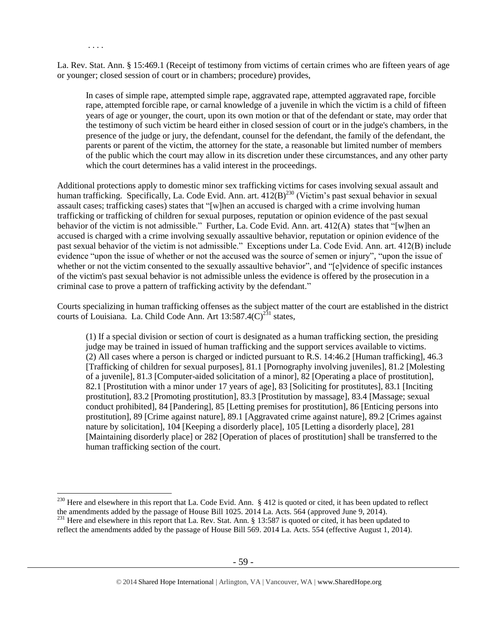La. Rev. Stat. Ann. § 15:469.1 (Receipt of testimony from victims of certain crimes who are fifteen years of age or younger; closed session of court or in chambers; procedure) provides,

. . . .

 $\overline{a}$ 

In cases of simple rape, attempted simple rape, aggravated rape, attempted aggravated rape, forcible rape, attempted forcible rape, or carnal knowledge of a juvenile in which the victim is a child of fifteen years of age or younger, the court, upon its own motion or that of the defendant or state, may order that the testimony of such victim be heard either in closed session of court or in the judge's chambers, in the presence of the judge or jury, the defendant, counsel for the defendant, the family of the defendant, the parents or parent of the victim, the attorney for the state, a reasonable but limited number of members of the public which the court may allow in its discretion under these circumstances, and any other party which the court determines has a valid interest in the proceedings.

Additional protections apply to domestic minor sex trafficking victims for cases involving sexual assault and human trafficking. Specifically, La. Code Evid. Ann. art. 412(B)<sup>230</sup> (Victim's past sexual behavior in sexual assault cases; trafficking cases) states that "[w]hen an accused is charged with a crime involving human trafficking or trafficking of children for sexual purposes, reputation or opinion evidence of the past sexual behavior of the victim is not admissible." Further, La. Code Evid. Ann. art. 412(A) states that "[w]hen an accused is charged with a crime involving sexually assaultive behavior, reputation or opinion evidence of the past sexual behavior of the victim is not admissible." Exceptions under La. Code Evid. Ann. art. 412(B) include evidence "upon the issue of whether or not the accused was the source of semen or injury", "upon the issue of whether or not the victim consented to the sexually assaultive behavior", and "[e]vidence of specific instances of the victim's past sexual behavior is not admissible unless the evidence is offered by the prosecution in a criminal case to prove a pattern of trafficking activity by the defendant."

Courts specializing in human trafficking offenses as the subject matter of the court are established in the district courts of Louisiana. La. Child Code Ann. Art  $13:587.4(C)^{231}$  states,

(1) If a special division or section of court is designated as a human trafficking section, the presiding judge may be trained in issued of human trafficking and the support services available to victims. (2) All cases where a person is charged or indicted pursuant to R.S. 14:46.2 [Human trafficking], 46.3 [Trafficking of children for sexual purposes], 81.1 [Pornography involving juveniles], 81.2 [Molesting of a juvenile], 81.3 [Computer-aided solicitation of a minor], 82 [Operating a place of prostitution], 82.1 [Prostitution with a minor under 17 years of age], 83 [Soliciting for prostitutes], 83.1 [Inciting prostitution], 83.2 [Promoting prostitution], 83.3 [Prostitution by massage], 83.4 [Massage; sexual conduct prohibited], 84 [Pandering], 85 [Letting premises for prostitution], 86 [Enticing persons into prostitution], 89 [Crime against nature], 89.1 [Aggravated crime against nature], 89.2 [Crimes against nature by solicitation], 104 [Keeping a disorderly place], 105 [Letting a disorderly place], 281 [Maintaining disorderly place] or 282 [Operation of places of prostitution] shall be transferred to the human trafficking section of the court.

<sup>&</sup>lt;sup>230</sup> Here and elsewhere in this report that La. Code Evid. Ann.  $\S$  412 is quoted or cited, it has been updated to reflect the amendments added by the passage of House Bill 1025. 2014 La. Acts. 564 (approved June 9, 2014).

<sup>&</sup>lt;sup>231</sup> Here and elsewhere in this report that La. Rev. Stat. Ann. § 13:587 is quoted or cited, it has been updated to reflect the amendments added by the passage of House Bill 569. 2014 La. Acts. 554 (effective August 1, 2014).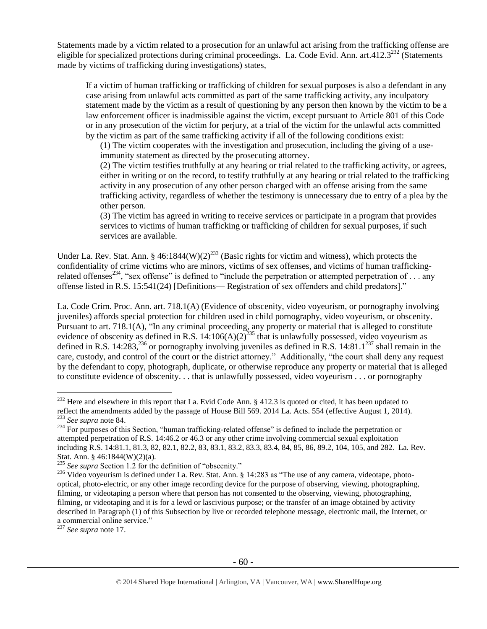Statements made by a victim related to a prosecution for an unlawful act arising from the trafficking offense are eligible for specialized protections during criminal proceedings. La. Code Evid. Ann. art.412.3<sup>232</sup> (Statements made by victims of trafficking during investigations) states,

If a victim of human trafficking or trafficking of children for sexual purposes is also a defendant in any case arising from unlawful acts committed as part of the same trafficking activity, any inculpatory statement made by the victim as a result of questioning by any person then known by the victim to be a law enforcement officer is inadmissible against the victim, except pursuant to Article 801 of this Code or in any prosecution of the victim for perjury, at a trial of the victim for the unlawful acts committed by the victim as part of the same trafficking activity if all of the following conditions exist:

(1) The victim cooperates with the investigation and prosecution, including the giving of a useimmunity statement as directed by the prosecuting attorney.

(2) The victim testifies truthfully at any hearing or trial related to the trafficking activity, or agrees, either in writing or on the record, to testify truthfully at any hearing or trial related to the trafficking activity in any prosecution of any other person charged with an offense arising from the same trafficking activity, regardless of whether the testimony is unnecessary due to entry of a plea by the other person.

(3) The victim has agreed in writing to receive services or participate in a program that provides services to victims of human trafficking or trafficking of children for sexual purposes, if such services are available.

Under La. Rev. Stat. Ann. § 46:1844(W)(2)<sup>233</sup> (Basic rights for victim and witness), which protects the confidentiality of crime victims who are minors, victims of sex offenses, and victims of human traffickingrelated offenses<sup>234</sup>, "sex offense" is defined to "include the perpetration or attempted perpetration of ... any offense listed in R.S. 15:541(24) [Definitions— Registration of sex offenders and child predators]."

La. Code Crim. Proc. Ann. art. 718.1(A) (Evidence of obscenity, video voyeurism, or pornography involving juveniles) affords special protection for children used in child pornography, video voyeurism, or obscenity. Pursuant to art. 718.1(A), "In any criminal proceeding, any property or material that is alleged to constitute evidence of obscenity as defined in R.S.  $14:106(A)(2)^{235}$  that is unlawfully possessed, video voyeurism as defined in R.S. 14:283,<sup>236</sup> or pornography involving juveniles as defined in R.S. 14:81.1<sup>237</sup> shall remain in the care, custody, and control of the court or the district attorney." Additionally, "the court shall deny any request by the defendant to copy, photograph, duplicate, or otherwise reproduce any property or material that is alleged to constitute evidence of obscenity. . . that is unlawfully possessed, video voyeurism . . . or pornography

<sup>237</sup> *See supra* not[e 17.](#page-5-1)

<sup>&</sup>lt;sup>232</sup> Here and elsewhere in this report that La. Evid Code Ann. § 412.3 is quoted or cited, it has been updated to reflect the amendments added by the passage of House Bill 569. 2014 La. Acts. 554 (effective August 1, 2014). <sup>233</sup> *See supra* not[e 84.](#page-23-0)

<sup>&</sup>lt;sup>234</sup> For purposes of this Section, "human trafficking-related offense" is defined to include the perpetration or attempted perpetration of R.S. 14:46.2 or 46.3 or any other crime involving commercial sexual exploitation including R.S. 14:81.1, 81.3, 82, 82.1, 82.2, 83, 83.1, 83.2, 83.3, 83.4, 84, 85, 86, 89.2, 104, 105, and 282. La. Rev. Stat. Ann. § 46:1844(W)(2)(a).

<sup>&</sup>lt;sup>235</sup> See supra Section 1.2 for the definition of "obscenity."

<sup>&</sup>lt;sup>236</sup> Video voyeurism is defined under La. Rev. Stat. Ann. § 14:283 as "The use of any camera, videotape, photooptical, photo-electric, or any other image recording device for the purpose of observing, viewing, photographing, filming, or videotaping a person where that person has not consented to the observing, viewing, photographing, filming, or videotaping and it is for a lewd or lascivious purpose; or the transfer of an image obtained by activity described in Paragraph (1) of this Subsection by live or recorded telephone message, electronic mail, the Internet, or a commercial online service."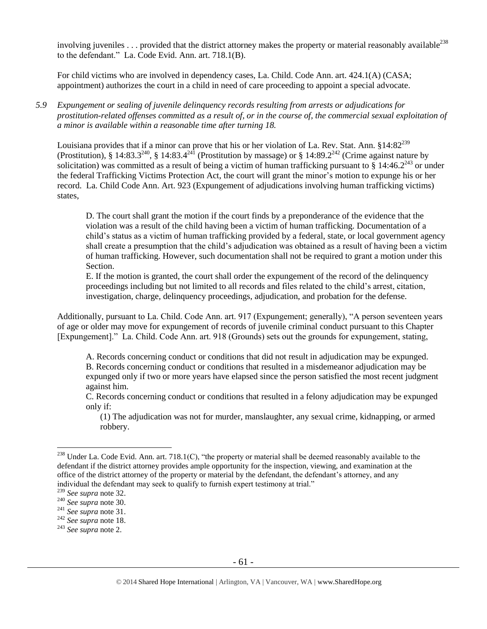involving juveniles  $\dots$  provided that the district attorney makes the property or material reasonably available<sup>238</sup> to the defendant." La. Code Evid. Ann. art. 718.1(B).

For child victims who are involved in dependency cases, La. Child. Code Ann. art. 424.1(A) (CASA; appointment) authorizes the court in a child in need of care proceeding to appoint a special advocate.

*5.9 Expungement or sealing of juvenile delinquency records resulting from arrests or adjudications for prostitution-related offenses committed as a result of, or in the course of, the commercial sexual exploitation of a minor is available within a reasonable time after turning 18.*

Louisiana provides that if a minor can prove that his or her violation of La. Rev. Stat. Ann. §14:82<sup>239</sup> (Prostitution), § 14:83.3<sup>240</sup>, § 14:83.4<sup>241</sup> (Prostitution by massage) or § 14:89.2<sup>242</sup> (Crime against nature by solicitation) was committed as a result of being a victim of human trafficking pursuant to  $\frac{8}{3}$  14:46.2<sup>243</sup> or under the federal Trafficking Victims Protection Act, the court will grant the minor's motion to expunge his or her record. La. Child Code Ann. Art. 923 (Expungement of adjudications involving human trafficking victims) states,

D. The court shall grant the motion if the court finds by a preponderance of the evidence that the violation was a result of the child having been a victim of human trafficking. Documentation of a child's status as a victim of human trafficking provided by a federal, state, or local government agency shall create a presumption that the child's adjudication was obtained as a result of having been a victim of human trafficking. However, such documentation shall not be required to grant a motion under this Section.

E. If the motion is granted, the court shall order the expungement of the record of the delinquency proceedings including but not limited to all records and files related to the child's arrest, citation, investigation, charge, delinquency proceedings, adjudication, and probation for the defense.

Additionally, pursuant to La. Child. Code Ann. art. 917 (Expungement; generally), "A person seventeen years of age or older may move for expungement of records of juvenile criminal conduct pursuant to this Chapter [Expungement]." La. Child. Code Ann. art. 918 (Grounds) sets out the grounds for expungement, stating,

A. Records concerning conduct or conditions that did not result in adjudication may be expunged. B. Records concerning conduct or conditions that resulted in a misdemeanor adjudication may be expunged only if two or more years have elapsed since the person satisfied the most recent judgment against him.

C. Records concerning conduct or conditions that resulted in a felony adjudication may be expunged only if:

(1) The adjudication was not for murder, manslaughter, any sexual crime, kidnapping, or armed robbery.

 $^{238}$  Under La. Code Evid. Ann. art. 718.1(C), "the property or material shall be deemed reasonably available to the defendant if the district attorney provides ample opportunity for the inspection, viewing, and examination at the office of the district attorney of the property or material by the defendant, the defendant's attorney, and any individual the defendant may seek to qualify to furnish expert testimony at trial."

<sup>239</sup> *See supra* not[e 32.](#page-11-0)

<sup>240</sup> *See supra* not[e 30.](#page-11-1)

<sup>241</sup> *See supra* not[e 31.](#page-11-2)

<sup>242</sup> *See supra* not[e 18.](#page-5-0)

<sup>243</sup> *See supra* not[e 2.](#page-0-0)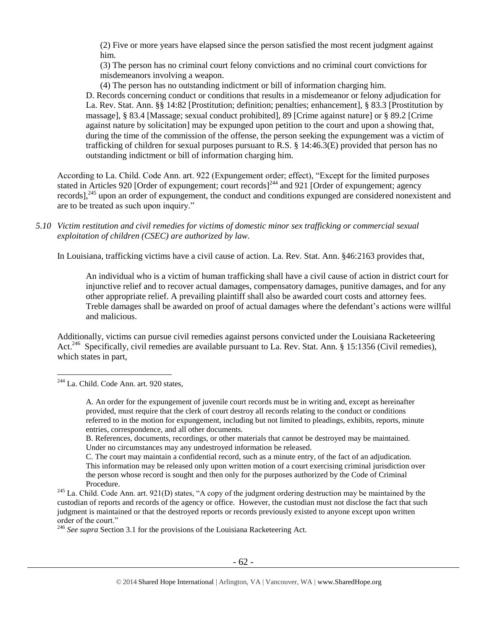(2) Five or more years have elapsed since the person satisfied the most recent judgment against him.

(3) The person has no criminal court felony convictions and no criminal court convictions for misdemeanors involving a weapon.

(4) The person has no outstanding indictment or bill of information charging him.

D. Records concerning conduct or conditions that results in a misdemeanor or felony adjudication for La. Rev. Stat. Ann. §§ 14:82 [Prostitution; definition; penalties; enhancement], § 83.3 [Prostitution by massage], § 83.4 [Massage; sexual conduct prohibited], 89 [Crime against nature] or § 89.2 [Crime against nature by solicitation] may be expunged upon petition to the court and upon a showing that, during the time of the commission of the offense, the person seeking the expungement was a victim of trafficking of children for sexual purposes pursuant to R.S. § 14:46.3(E) provided that person has no outstanding indictment or bill of information charging him.

According to La. Child. Code Ann. art. 922 (Expungement order; effect), "Except for the limited purposes stated in Articles 920 [Order of expungement; court records]<sup>244</sup> and 921 [Order of expungement; agency records],<sup>245</sup> upon an order of expungement, the conduct and conditions expunged are considered nonexistent and are to be treated as such upon inquiry."

## *5.10 Victim restitution and civil remedies for victims of domestic minor sex trafficking or commercial sexual exploitation of children (CSEC) are authorized by law.*

In Louisiana, trafficking victims have a civil cause of action. La. Rev. Stat. Ann. §46:2163 provides that,

An individual who is a victim of human trafficking shall have a civil cause of action in district court for injunctive relief and to recover actual damages, compensatory damages, punitive damages, and for any other appropriate relief. A prevailing plaintiff shall also be awarded court costs and attorney fees. Treble damages shall be awarded on proof of actual damages where the defendant's actions were willful and malicious.

Additionally, victims can pursue civil remedies against persons convicted under the Louisiana Racketeering Act.<sup>246</sup> Specifically, civil remedies are available pursuant to La. Rev. Stat. Ann. § 15:1356 (Civil remedies), which states in part,

 $\overline{a}$ 

C. The court may maintain a confidential record, such as a minute entry, of the fact of an adjudication. This information may be released only upon written motion of a court exercising criminal jurisdiction over the person whose record is sought and then only for the purposes authorized by the Code of Criminal Procedure.

<sup>&</sup>lt;sup>244</sup> La. Child. Code Ann. art. 920 states,

A. An order for the expungement of juvenile court records must be in writing and, except as hereinafter provided, must require that the clerk of court destroy all records relating to the conduct or conditions referred to in the motion for expungement, including but not limited to pleadings, exhibits, reports, minute entries, correspondence, and all other documents.

B. References, documents, recordings, or other materials that cannot be destroyed may be maintained. Under no circumstances may any undestroyed information be released.

<sup>&</sup>lt;sup>245</sup> La. Child. Code Ann. art. 921(D) states, "A copy of the judgment ordering destruction may be maintained by the custodian of reports and records of the agency or office. However, the custodian must not disclose the fact that such judgment is maintained or that the destroyed reports or records previously existed to anyone except upon written order of the court."

<sup>&</sup>lt;sup>246</sup> See supra Section 3.1 for the provisions of the Louisiana Racketeering Act.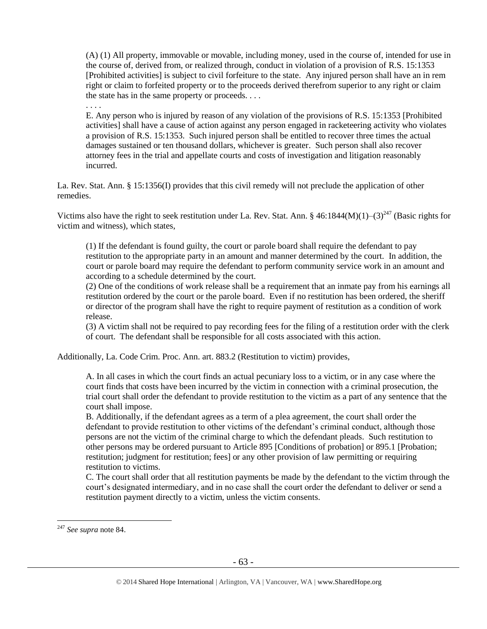(A) (1) All property, immovable or movable, including money, used in the course of, intended for use in the course of, derived from, or realized through, conduct in violation of a provision of [R.S. 15:1353](https://www.lexis.com/research/buttonTFLink?_m=adbaaf1e18f2b659dc9b502e460590c9&_xfercite=%3ccite%20cc%3d%22USA%22%3e%3c%21%5bCDATA%5bLa.%20R.S.%2015%3a1356%5d%5d%3e%3c%2fcite%3e&_butType=4&_butStat=0&_butNum=2&_butInline=1&_butinfo=LACODE%2015%3a1353&_fmtstr=FULL&docnum=1&_startdoc=1&wchp=dGLbVzV-zSkAW&_md5=1d254099e34f73c122bf836a1bcd50ac) [Prohibited activities] is subject to civil forfeiture to the state. Any injured person shall have an in rem right or claim to forfeited property or to the proceeds derived therefrom superior to any right or claim the state has in the same property or proceeds. . . .

. . . .

E. Any person who is injured by reason of any violation of the provisions of R.S. 15:1353 [Prohibited activities] shall have a cause of action against any person engaged in racketeering activity who violates a provision of R.S. 15:1353. Such injured person shall be entitled to recover three times the actual damages sustained or ten thousand dollars, whichever is greater. Such person shall also recover attorney fees in the trial and appellate courts and costs of investigation and litigation reasonably incurred.

La. Rev. Stat. Ann. § 15:1356(I) provides that this civil remedy will not preclude the application of other remedies.

Victims also have the right to seek restitution under La. Rev. Stat. Ann. § 46:1844(M)(1)–(3)<sup>247</sup> (Basic rights for victim and witness), which states,

(1) If the defendant is found guilty, the court or parole board shall require the defendant to pay restitution to the appropriate party in an amount and manner determined by the court. In addition, the court or parole board may require the defendant to perform community service work in an amount and according to a schedule determined by the court.

(2) One of the conditions of work release shall be a requirement that an inmate pay from his earnings all restitution ordered by the court or the parole board. Even if no restitution has been ordered, the sheriff or director of the program shall have the right to require payment of restitution as a condition of work release.

(3) A victim shall not be required to pay recording fees for the filing of a restitution order with the clerk of court. The defendant shall be responsible for all costs associated with this action.

Additionally, La. Code Crim. Proc. Ann. art. 883.2 (Restitution to victim) provides,

A. In all cases in which the court finds an actual pecuniary loss to a victim, or in any case where the court finds that costs have been incurred by the victim in connection with a criminal prosecution, the trial court shall order the defendant to provide restitution to the victim as a part of any sentence that the court shall impose.

B. Additionally, if the defendant agrees as a term of a plea agreement, the court shall order the defendant to provide restitution to other victims of the defendant's criminal conduct, although those persons are not the victim of the criminal charge to which the defendant pleads. Such restitution to other persons may be ordered pursuant to Article 895 [Conditions of probation] or 895.1 [Probation; restitution; judgment for restitution; fees] or any other provision of law permitting or requiring restitution to victims.

C. The court shall order that all restitution payments be made by the defendant to the victim through the court's designated intermediary, and in no case shall the court order the defendant to deliver or send a restitution payment directly to a victim, unless the victim consents.

<sup>247</sup> *See supra* not[e 84.](#page-23-0)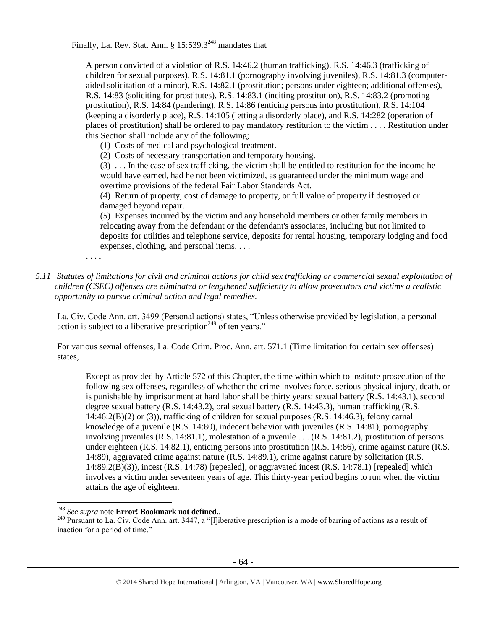Finally, La. Rev. Stat. Ann.  $8\ 15:539.3^{248}$  mandates that

A person convicted of a violation of R.S. 14:46.2 (human trafficking). R.S. 14:46.3 (trafficking of children for sexual purposes), R.S. 14:81.1 (pornography involving juveniles), R.S. 14:81.3 (computeraided solicitation of a minor), R.S. 14:82.1 (prostitution; persons under eighteen; additional offenses), R.S. 14:83 (soliciting for prostitutes), R.S. 14:83.1 (inciting prostitution), R.S. 14:83.2 (promoting prostitution), R.S. 14:84 (pandering), R.S. 14:86 (enticing persons into prostitution), R.S. 14:104 (keeping a disorderly place), R.S. 14:105 (letting a disorderly place), and R.S. 14:282 (operation of places of prostitution) shall be ordered to pay mandatory restitution to the victim . . . . Restitution under this Section shall include any of the following;

(1) Costs of medical and psychological treatment.

(2) Costs of necessary transportation and temporary housing.

(3) . . . In the case of sex trafficking, the victim shall be entitled to restitution for the income he would have earned, had he not been victimized, as guaranteed under the minimum wage and overtime provisions of the federal Fair Labor Standards Act.

(4) Return of property, cost of damage to property, or full value of property if destroyed or damaged beyond repair.

(5) Expenses incurred by the victim and any household members or other family members in relocating away from the defendant or the defendant's associates, including but not limited to deposits for utilities and telephone service, deposits for rental housing, temporary lodging and food expenses, clothing, and personal items. . . .

. . . .

 $\overline{a}$ 

*5.11 Statutes of limitations for civil and criminal actions for child sex trafficking or commercial sexual exploitation of children (CSEC) offenses are eliminated or lengthened sufficiently to allow prosecutors and victims a realistic opportunity to pursue criminal action and legal remedies.*

La. Civ. Code Ann. art. 3499 (Personal actions) states, "Unless otherwise provided by legislation, a personal action is subject to a liberative prescription<sup> $249$ </sup> of ten years."

For various sexual offenses, La. Code Crim. Proc. Ann. art. 571.1 (Time limitation for certain sex offenses) states,

Except as provided by Article 572 of this Chapter, the time within which to institute prosecution of the following sex offenses, regardless of whether the crime involves force, serious physical injury, death, or is punishable by imprisonment at hard labor shall be thirty years: sexual battery (R.S. 14:43.1), second degree sexual battery (R.S. 14:43.2), oral sexual battery (R.S. 14:43.3), human trafficking (R.S. 14:46:2(B)(2) or (3)), trafficking of children for sexual purposes (R.S. 14:46.3), felony carnal knowledge of a juvenile (R.S. 14:80), indecent behavior with juveniles (R.S. 14:81), pornography involving juveniles (R.S. 14:81.1), molestation of a juvenile . . . (R.S. 14:81.2), prostitution of persons under eighteen (R.S. 14:82.1), enticing persons into prostitution (R.S. 14:86), crime against nature (R.S. 14:89), aggravated crime against nature (R.S. 14:89.1), crime against nature by solicitation (R.S.  $14:89.2(B)(3)$ ), incest (R.S. 14:78) [repealed], or aggravated incest (R.S. 14:78.1) [repealed] which involves a victim under seventeen years of age. This thirty-year period begins to run when the victim attains the age of eighteen.

<sup>248</sup> *See supra* note **Error! Bookmark not defined.**.

<sup>&</sup>lt;sup>249</sup> Pursuant to La. Civ. Code Ann. art. 3447, a "[l]iberative prescription is a mode of barring of actions as a result of inaction for a period of time."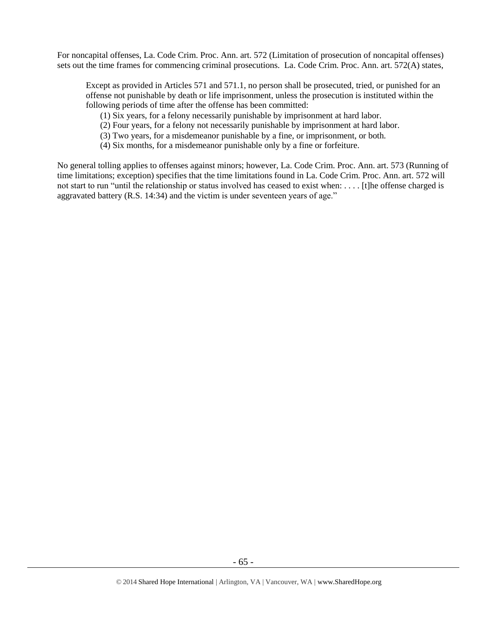For noncapital offenses, La. Code Crim. Proc. Ann. art. 572 (Limitation of prosecution of noncapital offenses) sets out the time frames for commencing criminal prosecutions. La. Code Crim. Proc. Ann. art. 572(A) states,

Except as provided in Articles 571 and 571.1, no person shall be prosecuted, tried, or punished for an offense not punishable by death or life imprisonment, unless the prosecution is instituted within the following periods of time after the offense has been committed:

(1) Six years, for a felony necessarily punishable by imprisonment at hard labor.

(2) Four years, for a felony not necessarily punishable by imprisonment at hard labor.

(3) Two years, for a misdemeanor punishable by a fine, or imprisonment, or both.

(4) Six months, for a misdemeanor punishable only by a fine or forfeiture.

No general tolling applies to offenses against minors; however, La. Code Crim. Proc. Ann. art. 573 (Running of time limitations; exception) specifies that the time limitations found in La. Code Crim. Proc. Ann. art. 572 will not start to run "until the relationship or status involved has ceased to exist when: . . . . [t]he offense charged is aggravated battery (R.S. 14:34) and the victim is under seventeen years of age."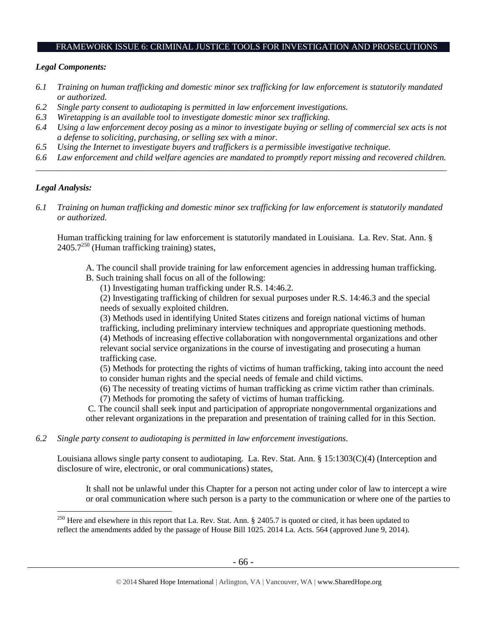#### FRAMEWORK ISSUE 6: CRIMINAL JUSTICE TOOLS FOR INVESTIGATION AND PROSECUTIONS

## *Legal Components:*

- *6.1 Training on human trafficking and domestic minor sex trafficking for law enforcement is statutorily mandated or authorized.*
- *6.2 Single party consent to audiotaping is permitted in law enforcement investigations.*
- *6.3 Wiretapping is an available tool to investigate domestic minor sex trafficking.*
- *6.4 Using a law enforcement decoy posing as a minor to investigate buying or selling of commercial sex acts is not a defense to soliciting, purchasing, or selling sex with a minor.*
- *6.5 Using the Internet to investigate buyers and traffickers is a permissible investigative technique.*
- *6.6 Law enforcement and child welfare agencies are mandated to promptly report missing and recovered children. \_\_\_\_\_\_\_\_\_\_\_\_\_\_\_\_\_\_\_\_\_\_\_\_\_\_\_\_\_\_\_\_\_\_\_\_\_\_\_\_\_\_\_\_\_\_\_\_\_\_\_\_\_\_\_\_\_\_\_\_\_\_\_\_\_\_\_\_\_\_\_\_\_\_\_\_\_\_\_\_\_\_\_\_\_\_\_\_\_\_\_\_\_\_*

# *Legal Analysis:*

 $\overline{a}$ 

*6.1 Training on human trafficking and domestic minor sex trafficking for law enforcement is statutorily mandated or authorized.*

Human trafficking training for law enforcement is statutorily mandated in Louisiana. La. Rev. Stat. Ann. §  $2405.7^{250}$  (Human trafficking training) states,

- A. The council shall provide training for law enforcement agencies in addressing human trafficking.
- B. Such training shall focus on all of the following:
	- (1) Investigating human trafficking under R.S. 14:46.2.

(2) Investigating trafficking of children for sexual purposes under R.S. 14:46.3 and the special needs of sexually exploited children.

(3) Methods used in identifying United States citizens and foreign national victims of human trafficking, including preliminary interview techniques and appropriate questioning methods. (4) Methods of increasing effective collaboration with nongovernmental organizations and other relevant social service organizations in the course of investigating and prosecuting a human trafficking case.

(5) Methods for protecting the rights of victims of human trafficking, taking into account the need to consider human rights and the special needs of female and child victims.

- (6) The necessity of treating victims of human trafficking as crime victim rather than criminals.
- (7) Methods for promoting the safety of victims of human trafficking.

C. The council shall seek input and participation of appropriate nongovernmental organizations and other relevant organizations in the preparation and presentation of training called for in this Section.

*6.2 Single party consent to audiotaping is permitted in law enforcement investigations.*

Louisiana allows single party consent to audiotaping. La. Rev. Stat. Ann. § 15:1303(C)(4) (Interception and disclosure of wire, electronic, or oral communications) states,

It shall not be unlawful under this Chapter for a person not acting under color of law to intercept a wire or oral communication where such person is a party to the communication or where one of the parties to

 $^{250}$  Here and elsewhere in this report that La. Rev. Stat. Ann. § 2405.7 is quoted or cited, it has been updated to reflect the amendments added by the passage of House Bill 1025. 2014 La. Acts. 564 (approved June 9, 2014).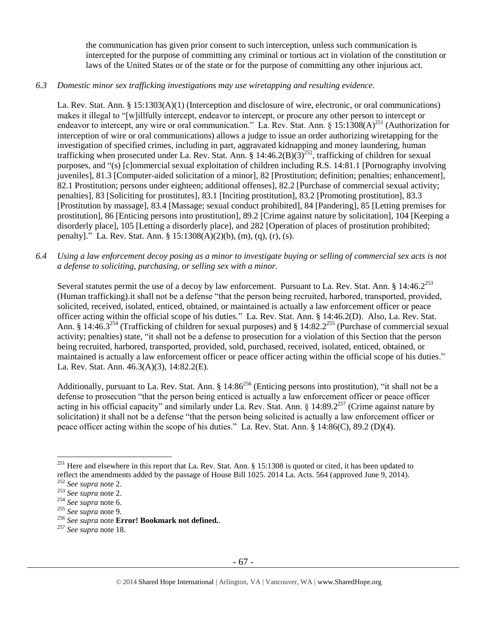the communication has given prior consent to such interception, unless such communication is intercepted for the purpose of committing any criminal or tortious act in violation of the constitution or laws of the United States or of the state or for the purpose of committing any other injurious act.

## *6.3 Domestic minor sex trafficking investigations may use wiretapping and resulting evidence.*

La. Rev. Stat. Ann. § 15:1303(A)(1) (Interception and disclosure of wire, electronic, or oral communications) makes it illegal to "[w]illfully intercept, endeavor to intercept, or procure any other person to intercept or endeavor to intercept, any wire or oral communication." La. Rev. Stat. Ann. §  $15:1308(A)^{251}$  (Authorization for interception of wire or oral communications) allows a judge to issue an order authorizing wiretapping for the investigation of specified crimes, including in part, aggravated kidnapping and money laundering, human trafficking when prosecuted under La. Rev. Stat. Ann. § 14:46.2(B)( $3)^{252}$ , trafficking of children for sexual purposes, and "(s) [c]ommercial sexual exploitation of children including R.S. 14:81.1 [Pornography involving juveniles], 81.3 [Computer-aided solicitation of a minor], 82 [Prostitution; definition; penalties; enhancement], 82.1 Prostitution; persons under eighteen; additional offenses], 82.2 [Purchase of commercial sexual activity; penalties], 83 [Soliciting for prostitutes], 83.1 [Inciting prostitution], 83.2 [Promoting prostitution], 83.3 [Prostitution by massage], 83.4 [Massage; sexual conduct prohibited], 84 [Pandering], 85 [Letting premises for prostitution], 86 [Enticing persons into prostitution], 89.2 [Crime against nature by solicitation], 104 [Keeping a disorderly place], 105 [Letting a disorderly place], and 282 [Operation of places of prostitution prohibited; penalty]." La. Rev. Stat. Ann. § 15:1308(A)(2)(b), (m), (q), (r), (s).

*6.4 Using a law enforcement decoy posing as a minor to investigate buying or selling of commercial sex acts is not a defense to soliciting, purchasing, or selling sex with a minor.*

Several statutes permit the use of a decoy by law enforcement. Pursuant to La. Rev. Stat. Ann.  $\S 14:46.2^{253}$ (Human trafficking).it shall not be a defense "that the person being recruited, harbored, transported, provided, solicited, received, isolated, enticed, obtained, or maintained is actually a law enforcement officer or peace officer acting within the official scope of his duties." La. Rev. Stat. Ann. § 14:46.2(D). Also, La. Rev. Stat. Ann. § 14:46.3<sup>254</sup> (Trafficking of children for sexual purposes) and § 14:82.2<sup>255</sup> (Purchase of commercial sexual activity; penalties) state, "it shall not be a defense to prosecution for a violation of this Section that the person being recruited, harbored, transported, provided, sold, purchased, received, isolated, enticed, obtained, or maintained is actually a law enforcement officer or peace officer acting within the official scope of his duties." La. Rev. Stat. Ann. 46.3(A)(3), 14:82.2(E).

Additionally, pursuant to La. Rev. Stat. Ann.  $\S 14:86^{256}$  (Enticing persons into prostitution), "it shall not be a defense to prosecution "that the person being enticed is actually a law enforcement officer or peace officer acting in his official capacity" and similarly under La. Rev. Stat. Ann. § 14:89.2<sup>257</sup> (Crime against nature by solicitation) it shall not be a defense "that the person being solicited is actually a law enforcement officer or peace officer acting within the scope of his duties." La. Rev. Stat. Ann. § 14:86(C), 89.2 (D)(4).

<sup>&</sup>lt;sup>251</sup> Here and elsewhere in this report that La. Rev. Stat. Ann.  $\S 15:1308$  is quoted or cited, it has been updated to reflect the amendments added by the passage of House Bill 1025. 2014 La. Acts. 564 (approved June 9, 2014).

<sup>252</sup> *See supra* not[e 2.](#page-0-0)

<sup>253</sup> *See supra* not[e 2.](#page-0-0)

<sup>254</sup> *See supra* not[e 6.](#page-2-0)

<sup>255</sup> *See supra* not[e 9.](#page-3-1)

<sup>256</sup> *See supra* note **Error! Bookmark not defined.**.

<sup>257</sup> *See supra* not[e 18.](#page-5-0)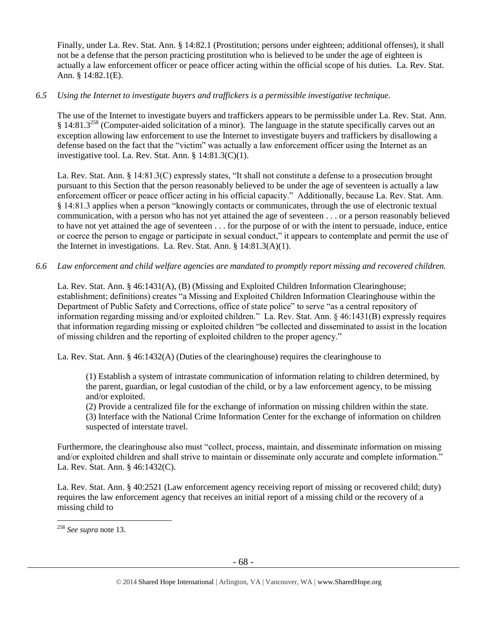Finally, under La. Rev. Stat. Ann. § 14:82.1 (Prostitution; persons under eighteen; additional offenses), it shall not be a defense that the person practicing prostitution who is believed to be under the age of eighteen is actually a law enforcement officer or peace officer acting within the official scope of his duties. La. Rev. Stat. Ann. § 14:82.1(E).

# *6.5 Using the Internet to investigate buyers and traffickers is a permissible investigative technique.*

The use of the Internet to investigate buyers and traffickers appears to be permissible under La. Rev. Stat. Ann. § 14:81.3<sup>258</sup> (Computer-aided solicitation of a minor). The language in the statute specifically carves out an exception allowing law enforcement to use the Internet to investigate buyers and traffickers by disallowing a defense based on the fact that the "victim" was actually a law enforcement officer using the Internet as an investigative tool. La. Rev. Stat. Ann. § 14:81.3(C)(1).

La. Rev. Stat. Ann. § 14:81.3(C) expressly states, "It shall not constitute a defense to a prosecution brought pursuant to this Section that the person reasonably believed to be under the age of seventeen is actually a law enforcement officer or peace officer acting in his official capacity." Additionally, because La. Rev. Stat. Ann. § 14:81.3 applies when a person "knowingly contacts or communicates, through the use of electronic textual communication, with a person who has not yet attained the age of seventeen . . . or a person reasonably believed to have not yet attained the age of seventeen . . . for the purpose of or with the intent to persuade, induce, entice or coerce the person to engage or participate in sexual conduct," it appears to contemplate and permit the use of the Internet in investigations. La. Rev. Stat. Ann. § 14:81.3(A)(1).

# *6.6 Law enforcement and child welfare agencies are mandated to promptly report missing and recovered children.*

La. Rev. Stat. Ann. § 46:1431(A), (B) (Missing and Exploited Children Information Clearinghouse; establishment; definitions) creates "a Missing and Exploited Children Information Clearinghouse within the Department of Public Safety and Corrections, office of state police" to serve "as a central repository of information regarding missing and/or exploited children." La. Rev. Stat. Ann. § 46:1431(B) expressly requires that information regarding missing or exploited children "be collected and disseminated to assist in the location of missing children and the reporting of exploited children to the proper agency."

La. Rev. Stat. Ann. § 46:1432(A) (Duties of the clearinghouse) requires the clearinghouse to

(1) Establish a system of intrastate communication of information relating to children determined, by the parent, guardian, or legal custodian of the child, or by a law enforcement agency, to be missing and/or exploited.

(2) Provide a centralized file for the exchange of information on missing children within the state. (3) Interface with the National Crime Information Center for the exchange of information on children suspected of interstate travel.

Furthermore, the clearinghouse also must "collect, process, maintain, and disseminate information on missing and/or exploited children and shall strive to maintain or disseminate only accurate and complete information." La. Rev. Stat. Ann. § 46:1432(C).

La. Rev. Stat. Ann. § 40:2521 (Law enforcement agency receiving report of missing or recovered child; duty) requires the law enforcement agency that receives an initial report of a missing child or the recovery of a missing child to

 $\overline{a}$ <sup>258</sup> *See supra* not[e 13.](#page-4-0)